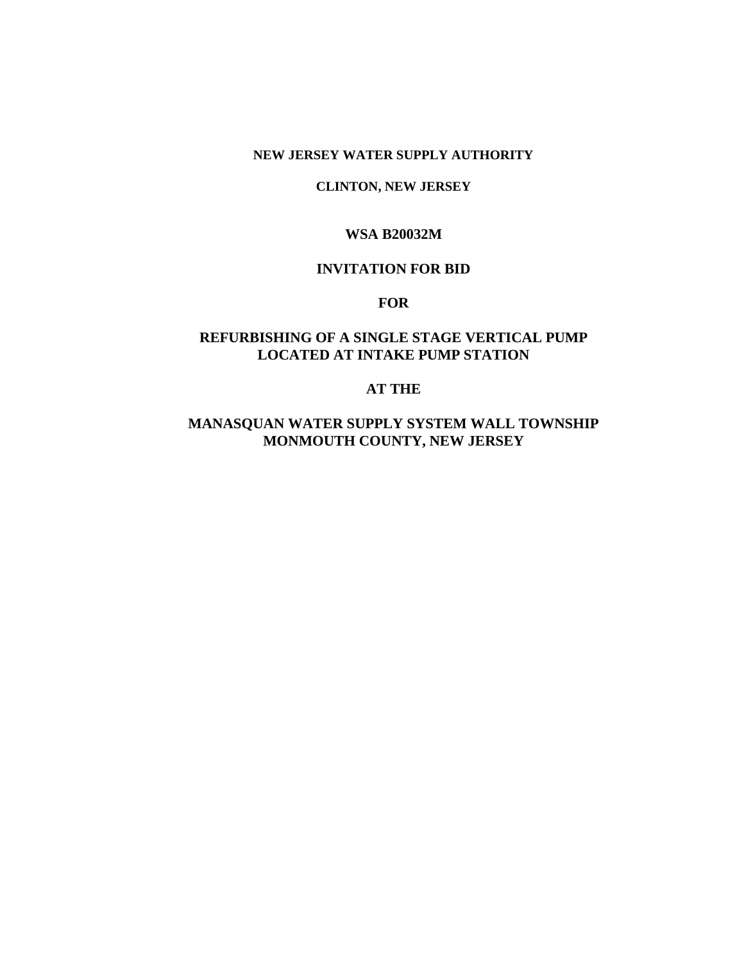## **NEW JERSEY WATER SUPPLY AUTHORITY**

#### **CLINTON, NEW JERSEY**

## **WSA B20032M**

# **INVITATION FOR BID**

# **FOR**

# **REFURBISHING OF A SINGLE STAGE VERTICAL PUMP LOCATED AT INTAKE PUMP STATION**

# **AT THE**

# **MANASQUAN WATER SUPPLY SYSTEM WALL TOWNSHIP MONMOUTH COUNTY, NEW JERSEY**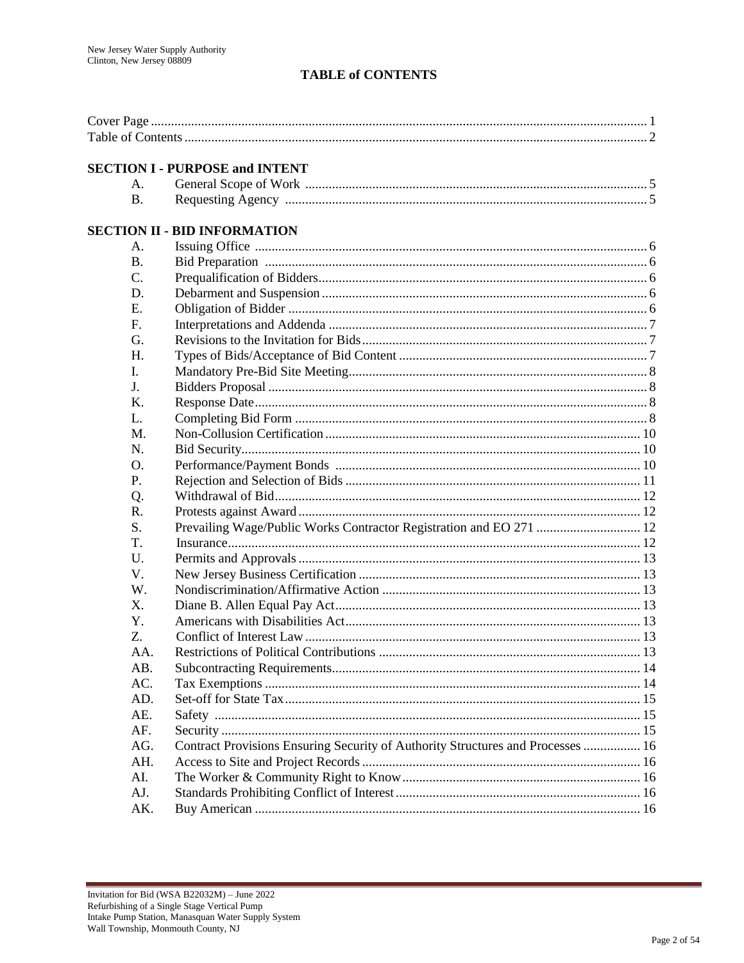# **TABLE of CONTENTS**

## **SECTION I - PURPOSE and INTENT**

# **SECTION II - BID INFORMATION**

| A.             |                                                                                 |  |
|----------------|---------------------------------------------------------------------------------|--|
| <b>B.</b>      |                                                                                 |  |
| C.             |                                                                                 |  |
| D.             |                                                                                 |  |
| E.             |                                                                                 |  |
| F.             |                                                                                 |  |
| G.             |                                                                                 |  |
| H.             |                                                                                 |  |
| L.             |                                                                                 |  |
| J <sub>r</sub> |                                                                                 |  |
| K.             |                                                                                 |  |
| $\mathbf{L}$   |                                                                                 |  |
| M.             |                                                                                 |  |
| N.             |                                                                                 |  |
| O.             |                                                                                 |  |
| P.             |                                                                                 |  |
| Q.             |                                                                                 |  |
| R.             |                                                                                 |  |
| S.             | Prevailing Wage/Public Works Contractor Registration and EO 271  12             |  |
| T.             |                                                                                 |  |
| U.             |                                                                                 |  |
| V.             |                                                                                 |  |
| W.             |                                                                                 |  |
| X.             |                                                                                 |  |
| Y.             |                                                                                 |  |
| Z.             |                                                                                 |  |
| AA.            |                                                                                 |  |
| AB.            |                                                                                 |  |
| AC.            |                                                                                 |  |
| AD.            |                                                                                 |  |
| AE.            |                                                                                 |  |
| AF.            |                                                                                 |  |
| AG.            | Contract Provisions Ensuring Security of Authority Structures and Processes  16 |  |
| AH.            |                                                                                 |  |
| AI.            |                                                                                 |  |
| AJ.            |                                                                                 |  |
| AK.            |                                                                                 |  |

÷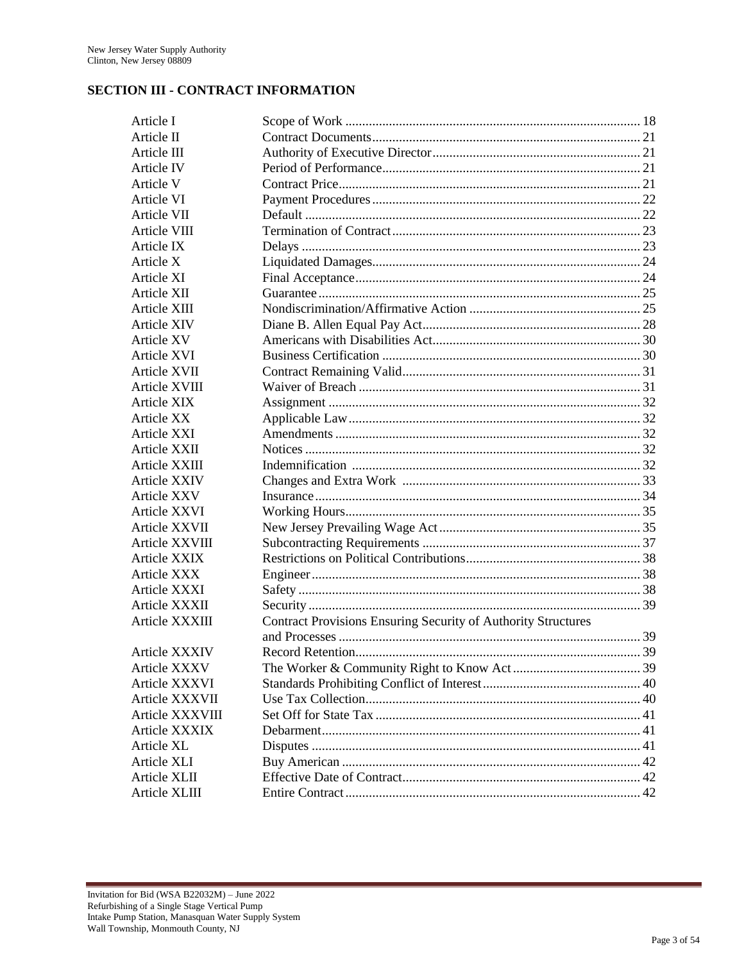# **SECTION III - CONTRACT INFORMATION**

| Article I            |                                                                      |  |
|----------------------|----------------------------------------------------------------------|--|
| Article II           |                                                                      |  |
| Article III          |                                                                      |  |
| Article IV           |                                                                      |  |
| Article V            |                                                                      |  |
| Article VI           |                                                                      |  |
| Article VII          |                                                                      |  |
| Article VIII         |                                                                      |  |
| Article IX           |                                                                      |  |
| Article X            |                                                                      |  |
| Article XI           |                                                                      |  |
| Article XII          |                                                                      |  |
| Article XIII         |                                                                      |  |
| Article XIV          |                                                                      |  |
| Article XV           |                                                                      |  |
| Article XVI          |                                                                      |  |
| Article XVII         |                                                                      |  |
| Article XVIII        |                                                                      |  |
| <b>Article XIX</b>   |                                                                      |  |
| Article XX           |                                                                      |  |
| Article XXI          |                                                                      |  |
| Article XXII         |                                                                      |  |
| Article XXIII        |                                                                      |  |
| Article XXIV         |                                                                      |  |
| Article XXV          |                                                                      |  |
| Article XXVI         |                                                                      |  |
| Article XXVII        |                                                                      |  |
| Article XXVIII       |                                                                      |  |
| Article XXIX         |                                                                      |  |
| Article XXX          |                                                                      |  |
| Article XXXI         |                                                                      |  |
| Article XXXII        |                                                                      |  |
| Article XXXIII       | <b>Contract Provisions Ensuring Security of Authority Structures</b> |  |
|                      |                                                                      |  |
| <b>Article XXXIV</b> |                                                                      |  |
| Article XXXV         |                                                                      |  |
| Article XXXVI        |                                                                      |  |
| Article XXXVII       |                                                                      |  |
| Article XXXVIII      |                                                                      |  |
| Article XXXIX        |                                                                      |  |
| Article XL           |                                                                      |  |
| Article XLI          |                                                                      |  |
| Article XLII         |                                                                      |  |
| Article XLIII        |                                                                      |  |
|                      |                                                                      |  |

÷.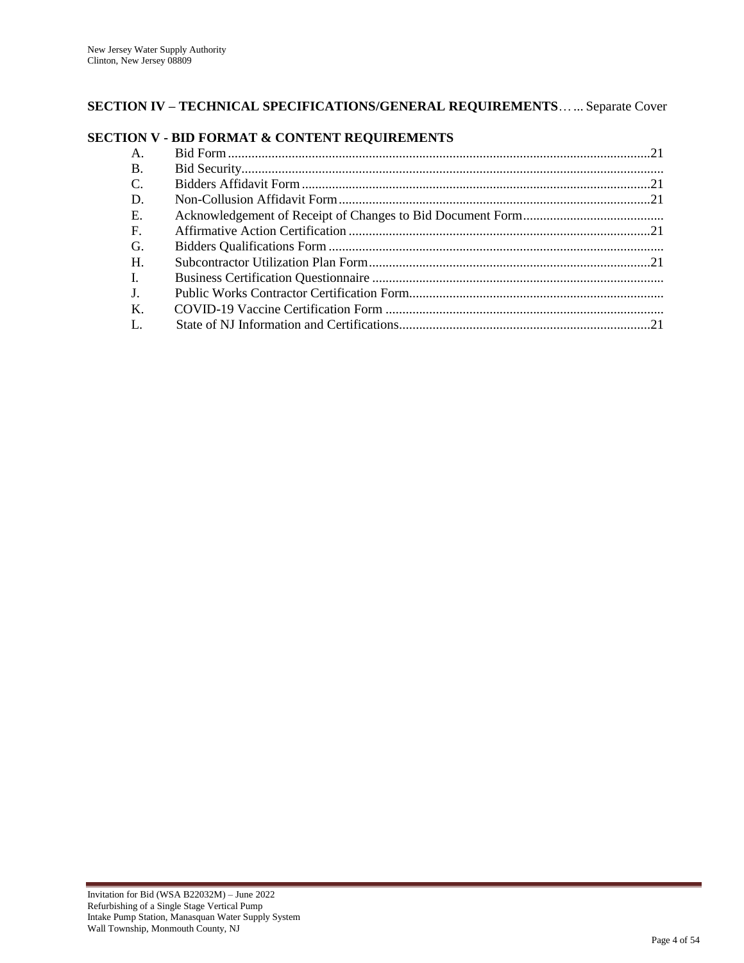# **SECTION IV – TECHNICAL SPECIFICATIONS/GENERAL REQUIREMENTS**…... Separate Cover

## **SECTION V - BID FORMAT & CONTENT REQUIREMENTS**

÷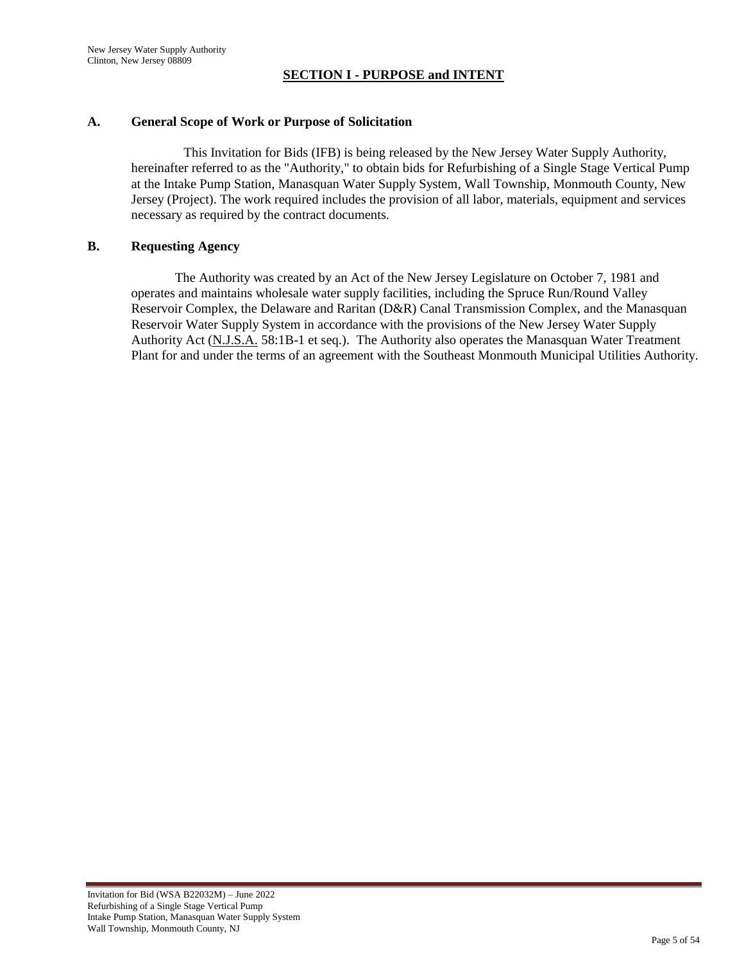#### **SECTION I - PURPOSE and INTENT**

#### **A. General Scope of Work or Purpose of Solicitation**

This Invitation for Bids (IFB) is being released by the New Jersey Water Supply Authority, hereinafter referred to as the "Authority," to obtain bids for Refurbishing of a Single Stage Vertical Pump at the Intake Pump Station, Manasquan Water Supply System, Wall Township, Monmouth County, New Jersey (Project). The work required includes the provision of all labor, materials, equipment and services necessary as required by the contract documents.

#### **B. Requesting Agency**

The Authority was created by an Act of the New Jersey Legislature on October 7, 1981 and operates and maintains wholesale water supply facilities, including the Spruce Run/Round Valley Reservoir Complex, the Delaware and Raritan (D&R) Canal Transmission Complex, and the Manasquan Reservoir Water Supply System in accordance with the provisions of the New Jersey Water Supply Authority Act (N.J.S.A. 58:1B-1 et seq.). The Authority also operates the Manasquan Water Treatment Plant for and under the terms of an agreement with the Southeast Monmouth Municipal Utilities Authority.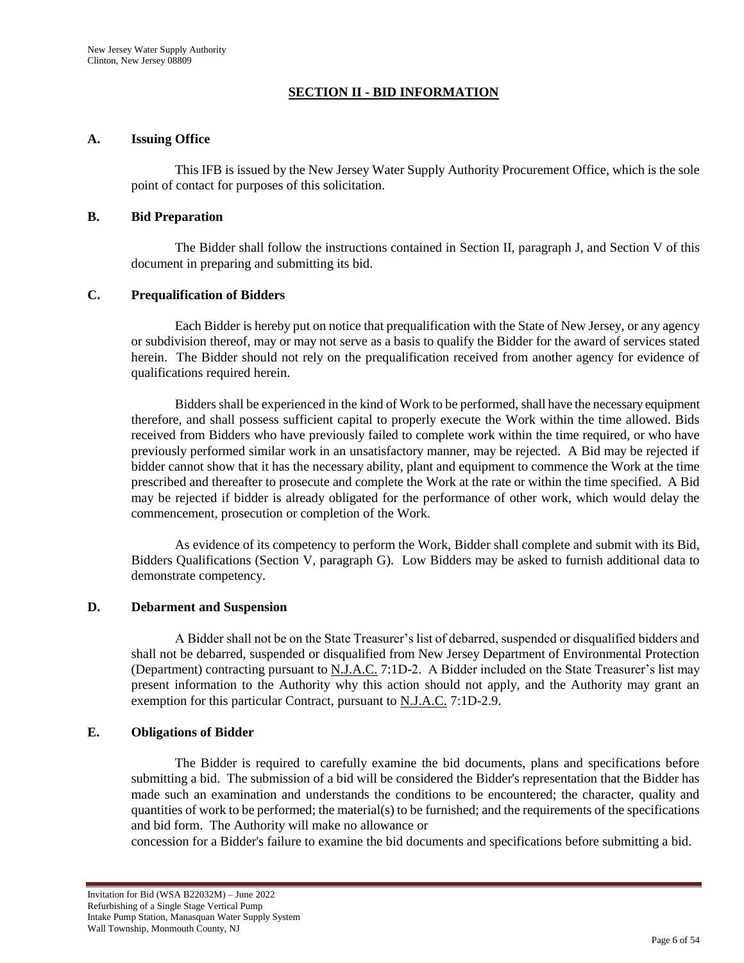## **SECTION II - BID INFORMATION**

#### **A. Issuing Office**

This IFB is issued by the New Jersey Water Supply Authority Procurement Office, which is the sole point of contact for purposes of this solicitation.

#### **B. Bid Preparation**

The Bidder shall follow the instructions contained in Section II, paragraph J, and Section V of this document in preparing and submitting its bid.

## **C. Prequalification of Bidders**

Each Bidder is hereby put on notice that prequalification with the State of New Jersey, or any agency or subdivision thereof, may or may not serve as a basis to qualify the Bidder for the award of services stated herein. The Bidder should not rely on the prequalification received from another agency for evidence of qualifications required herein.

Bidders shall be experienced in the kind of Work to be performed, shall have the necessary equipment therefore, and shall possess sufficient capital to properly execute the Work within the time allowed. Bids received from Bidders who have previously failed to complete work within the time required, or who have previously performed similar work in an unsatisfactory manner, may be rejected. A Bid may be rejected if bidder cannot show that it has the necessary ability, plant and equipment to commence the Work at the time prescribed and thereafter to prosecute and complete the Work at the rate or within the time specified. A Bid may be rejected if bidder is already obligated for the performance of other work, which would delay the commencement, prosecution or completion of the Work.

As evidence of its competency to perform the Work, Bidder shall complete and submit with its Bid, Bidders Qualifications (Section V, paragraph G). Low Bidders may be asked to furnish additional data to demonstrate competency.

## **D. Debarment and Suspension**

A Bidder shall not be on the State Treasurer"s list of debarred, suspended or disqualified bidders and shall not be debarred, suspended or disqualified from New Jersey Department of Environmental Protection (Department) contracting pursuant to N.J.A.C. 7:1D-2. A Bidder included on the State Treasurer"s list may present information to the Authority why this action should not apply, and the Authority may grant an exemption for this particular Contract, pursuant to N.J.A.C. 7:1D-2.9.

## **E. Obligations of Bidder**

The Bidder is required to carefully examine the bid documents, plans and specifications before submitting a bid. The submission of a bid will be considered the Bidder's representation that the Bidder has made such an examination and understands the conditions to be encountered; the character, quality and quantities of work to be performed; the material(s) to be furnished; and the requirements of the specifications and bid form. The Authority will make no allowance or

concession for a Bidder's failure to examine the bid documents and specifications before submitting a bid.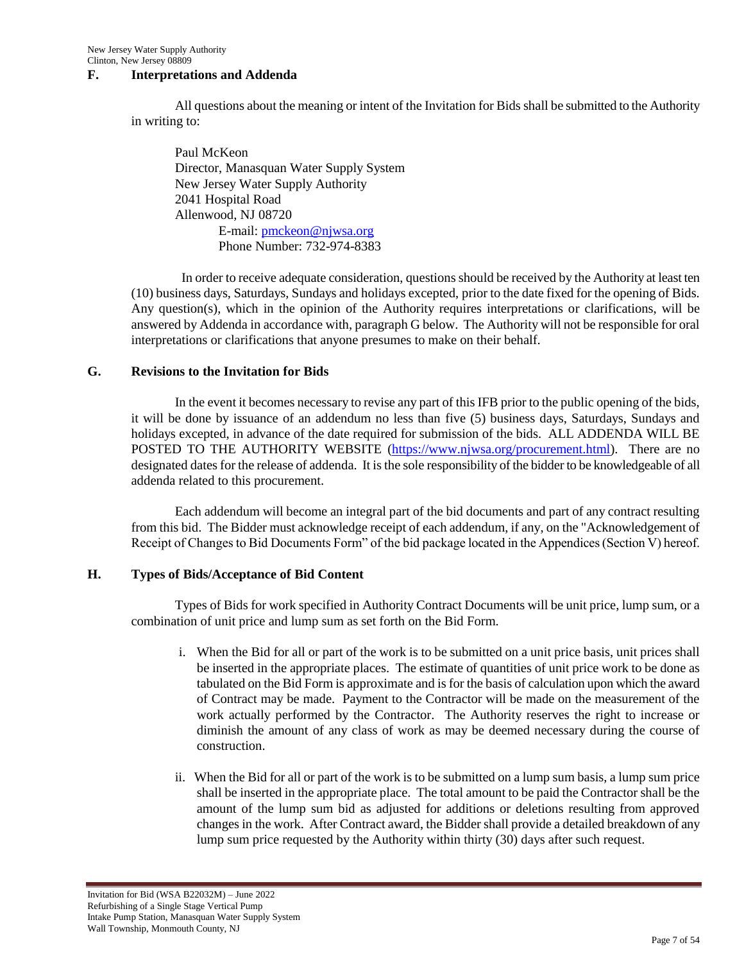## **F. Interpretations and Addenda**

All questions about the meaning or intent of the Invitation for Bids shall be submitted to the Authority in writing to:

Paul McKeon Director, Manasquan Water Supply System New Jersey Water Supply Authority 2041 Hospital Road Allenwood, NJ 08720 E-mail: [pmckeon@njwsa.org](mailto:pmckeon@njwsa.org) Phone Number: 732-974-8383

 In order to receive adequate consideration, questions should be received by the Authority at least ten (10) business days, Saturdays, Sundays and holidays excepted, prior to the date fixed for the opening of Bids. Any question(s), which in the opinion of the Authority requires interpretations or clarifications, will be answered by Addenda in accordance with, paragraph G below. The Authority will not be responsible for oral interpretations or clarifications that anyone presumes to make on their behalf.

#### **G. Revisions to the Invitation for Bids**

In the event it becomes necessary to revise any part of this IFB prior to the public opening of the bids, it will be done by issuance of an addendum no less than five (5) business days, Saturdays, Sundays and holidays excepted, in advance of the date required for submission of the bids. ALL ADDENDA WILL BE POSTED TO THE AUTHORITY WEBSITE [\(https://www.njwsa.org/procurement.html\)](https://www.njwsa.org/procurement.html). There are no designated dates for the release of addenda. It is the sole responsibility of the bidder to be knowledgeable of all addenda related to this procurement.

Each addendum will become an integral part of the bid documents and part of any contract resulting from this bid. The Bidder must acknowledge receipt of each addendum, if any, on the "Acknowledgement of Receipt of Changes to Bid Documents Form" of the bid package located in the Appendices (Section V) hereof.

## **H. Types of Bids/Acceptance of Bid Content**

Types of Bids for work specified in Authority Contract Documents will be unit price, lump sum, or a combination of unit price and lump sum as set forth on the Bid Form.

- i. When the Bid for all or part of the work is to be submitted on a unit price basis, unit prices shall be inserted in the appropriate places. The estimate of quantities of unit price work to be done as tabulated on the Bid Form is approximate and is for the basis of calculation upon which the award of Contract may be made. Payment to the Contractor will be made on the measurement of the work actually performed by the Contractor. The Authority reserves the right to increase or diminish the amount of any class of work as may be deemed necessary during the course of construction.
- ii. When the Bid for all or part of the work is to be submitted on a lump sum basis, a lump sum price shall be inserted in the appropriate place. The total amount to be paid the Contractor shall be the amount of the lump sum bid as adjusted for additions or deletions resulting from approved changes in the work. After Contract award, the Bidder shall provide a detailed breakdown of any lump sum price requested by the Authority within thirty (30) days after such request.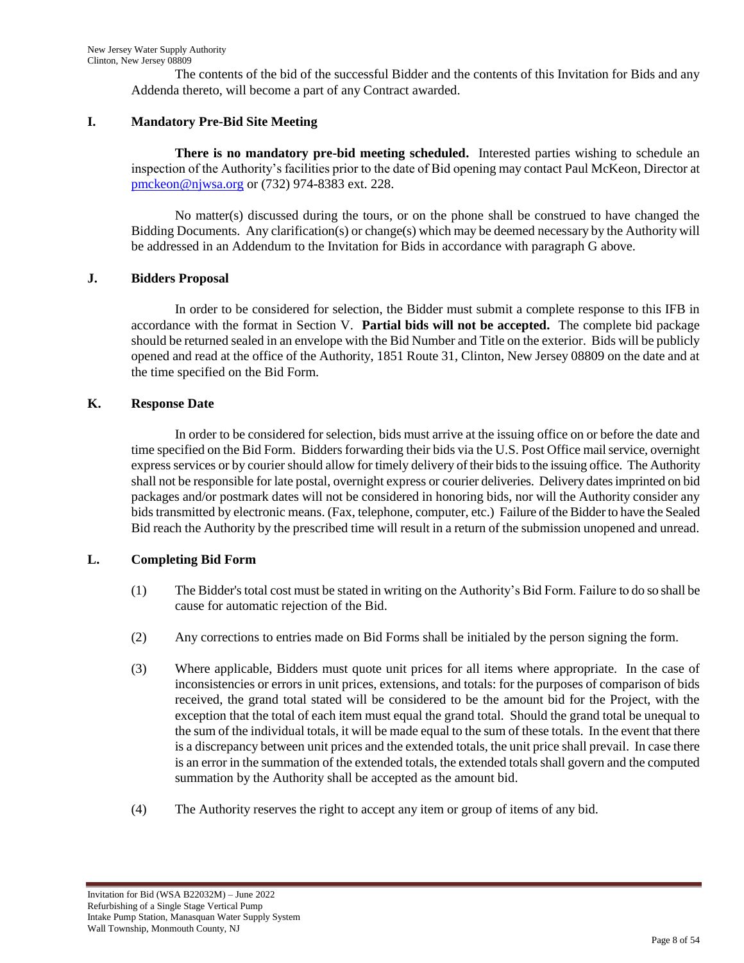The contents of the bid of the successful Bidder and the contents of this Invitation for Bids and any Addenda thereto, will become a part of any Contract awarded.

# **I. Mandatory Pre-Bid Site Meeting**

**There is no mandatory pre-bid meeting scheduled.** Interested parties wishing to schedule an inspection of the Authority"s facilities prior to the date of Bid opening may contact Paul McKeon, Director at [pmckeon@njwsa.org](mailto:pmckeon@njwsa.org) or (732) 974-8383 ext. 228.

No matter(s) discussed during the tours, or on the phone shall be construed to have changed the Bidding Documents. Any clarification(s) or change(s) which may be deemed necessary by the Authority will be addressed in an Addendum to the Invitation for Bids in accordance with paragraph G above.

# **J. Bidders Proposal**

In order to be considered for selection, the Bidder must submit a complete response to this IFB in accordance with the format in Section V. **Partial bids will not be accepted.** The complete bid package should be returned sealed in an envelope with the Bid Number and Title on the exterior. Bids will be publicly opened and read at the office of the Authority, 1851 Route 31, Clinton, New Jersey 08809 on the date and at the time specified on the Bid Form.

## **K. Response Date**

In order to be considered for selection, bids must arrive at the issuing office on or before the date and time specified on the Bid Form. Bidders forwarding their bids via the U.S. Post Office mail service, overnight express services or by courier should allow for timely delivery of their bids to the issuing office. The Authority shall not be responsible for late postal, overnight express or courier deliveries. Delivery dates imprinted on bid packages and/or postmark dates will not be considered in honoring bids, nor will the Authority consider any bids transmitted by electronic means. (Fax, telephone, computer, etc.) Failure of the Bidder to have the Sealed Bid reach the Authority by the prescribed time will result in a return of the submission unopened and unread.

# **L. Completing Bid Form**

- (1) The Bidder's total cost must be stated in writing on the Authority"s Bid Form. Failure to do so shall be cause for automatic rejection of the Bid.
- (2) Any corrections to entries made on Bid Forms shall be initialed by the person signing the form.
- (3) Where applicable, Bidders must quote unit prices for all items where appropriate. In the case of inconsistencies or errors in unit prices, extensions, and totals: for the purposes of comparison of bids received, the grand total stated will be considered to be the amount bid for the Project, with the exception that the total of each item must equal the grand total. Should the grand total be unequal to the sum of the individual totals, it will be made equal to the sum of these totals. In the event that there is a discrepancy between unit prices and the extended totals, the unit price shall prevail. In case there is an error in the summation of the extended totals, the extended totals shall govern and the computed summation by the Authority shall be accepted as the amount bid.
- (4) The Authority reserves the right to accept any item or group of items of any bid.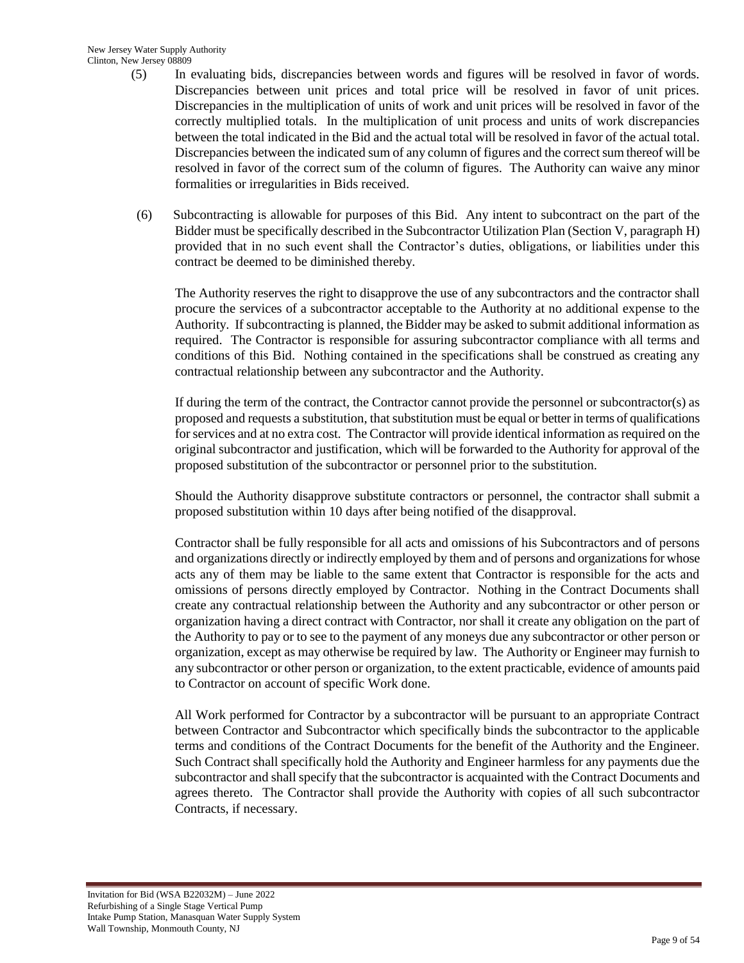- (5) In evaluating bids, discrepancies between words and figures will be resolved in favor of words. Discrepancies between unit prices and total price will be resolved in favor of unit prices. Discrepancies in the multiplication of units of work and unit prices will be resolved in favor of the correctly multiplied totals. In the multiplication of unit process and units of work discrepancies between the total indicated in the Bid and the actual total will be resolved in favor of the actual total. Discrepancies between the indicated sum of any column of figures and the correct sum thereof will be resolved in favor of the correct sum of the column of figures. The Authority can waive any minor formalities or irregularities in Bids received.
- (6) Subcontracting is allowable for purposes of this Bid. Any intent to subcontract on the part of the Bidder must be specifically described in the Subcontractor Utilization Plan (Section V, paragraph H) provided that in no such event shall the Contractor"s duties, obligations, or liabilities under this contract be deemed to be diminished thereby.

The Authority reserves the right to disapprove the use of any subcontractors and the contractor shall procure the services of a subcontractor acceptable to the Authority at no additional expense to the Authority. If subcontracting is planned, the Bidder may be asked to submit additional information as required. The Contractor is responsible for assuring subcontractor compliance with all terms and conditions of this Bid. Nothing contained in the specifications shall be construed as creating any contractual relationship between any subcontractor and the Authority.

If during the term of the contract, the Contractor cannot provide the personnel or subcontractor(s) as proposed and requests a substitution, that substitution must be equal or better in terms of qualifications for services and at no extra cost. The Contractor will provide identical information as required on the original subcontractor and justification, which will be forwarded to the Authority for approval of the proposed substitution of the subcontractor or personnel prior to the substitution.

Should the Authority disapprove substitute contractors or personnel, the contractor shall submit a proposed substitution within 10 days after being notified of the disapproval.

Contractor shall be fully responsible for all acts and omissions of his Subcontractors and of persons and organizations directly or indirectly employed by them and of persons and organizations for whose acts any of them may be liable to the same extent that Contractor is responsible for the acts and omissions of persons directly employed by Contractor. Nothing in the Contract Documents shall create any contractual relationship between the Authority and any subcontractor or other person or organization having a direct contract with Contractor, nor shall it create any obligation on the part of the Authority to pay or to see to the payment of any moneys due any subcontractor or other person or organization, except as may otherwise be required by law. The Authority or Engineer may furnish to any subcontractor or other person or organization, to the extent practicable, evidence of amounts paid to Contractor on account of specific Work done.

All Work performed for Contractor by a subcontractor will be pursuant to an appropriate Contract between Contractor and Subcontractor which specifically binds the subcontractor to the applicable terms and conditions of the Contract Documents for the benefit of the Authority and the Engineer. Such Contract shall specifically hold the Authority and Engineer harmless for any payments due the subcontractor and shall specify that the subcontractor is acquainted with the Contract Documents and agrees thereto. The Contractor shall provide the Authority with copies of all such subcontractor Contracts, if necessary.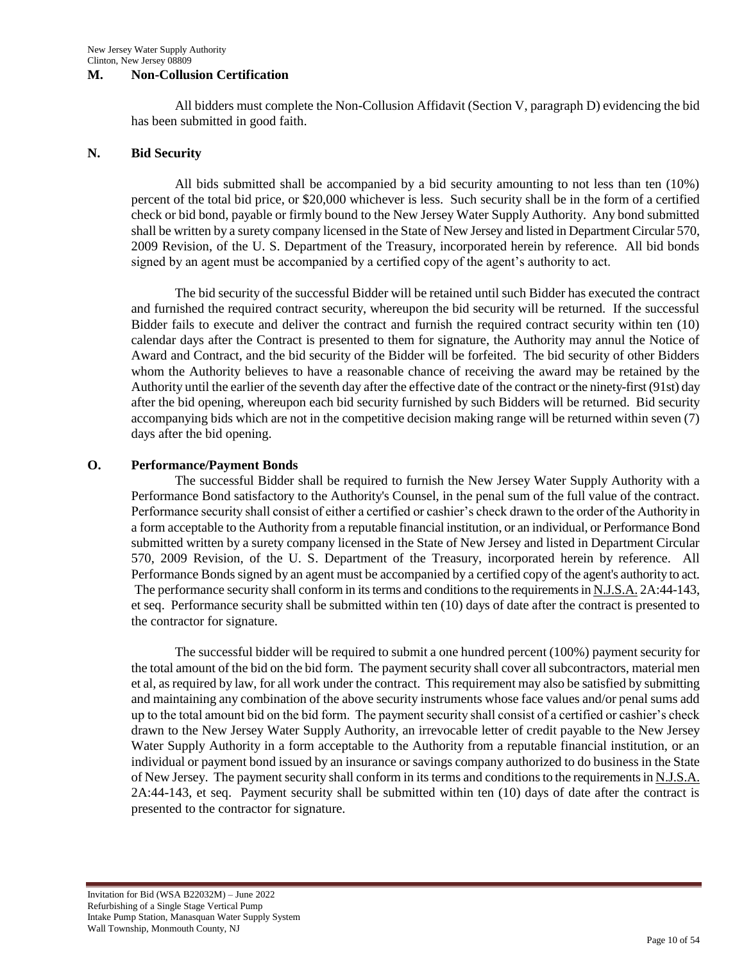#### **M. Non-Collusion Certification**

All bidders must complete the Non-Collusion Affidavit (Section V, paragraph D) evidencing the bid has been submitted in good faith.

#### **N. Bid Security**

All bids submitted shall be accompanied by a bid security amounting to not less than ten (10%) percent of the total bid price, or \$20,000 whichever is less. Such security shall be in the form of a certified check or bid bond, payable or firmly bound to the New Jersey Water Supply Authority. Any bond submitted shall be written by a surety company licensed in the State of New Jersey and listed in Department Circular 570, 2009 Revision, of the U. S. Department of the Treasury, incorporated herein by reference. All bid bonds signed by an agent must be accompanied by a certified copy of the agent's authority to act.

The bid security of the successful Bidder will be retained until such Bidder has executed the contract and furnished the required contract security, whereupon the bid security will be returned. If the successful Bidder fails to execute and deliver the contract and furnish the required contract security within ten (10) calendar days after the Contract is presented to them for signature, the Authority may annul the Notice of Award and Contract, and the bid security of the Bidder will be forfeited. The bid security of other Bidders whom the Authority believes to have a reasonable chance of receiving the award may be retained by the Authority until the earlier of the seventh day after the effective date of the contract or the ninety-first (91st) day after the bid opening, whereupon each bid security furnished by such Bidders will be returned. Bid security accompanying bids which are not in the competitive decision making range will be returned within seven (7) days after the bid opening.

#### **O. Performance/Payment Bonds**

The successful Bidder shall be required to furnish the New Jersey Water Supply Authority with a Performance Bond satisfactory to the Authority's Counsel, in the penal sum of the full value of the contract. Performance security shall consist of either a certified or cashier"s check drawn to the order of the Authority in a form acceptable to the Authority from a reputable financial institution, or an individual, or Performance Bond submitted written by a surety company licensed in the State of New Jersey and listed in Department Circular 570, 2009 Revision, of the U. S. Department of the Treasury, incorporated herein by reference. All Performance Bonds signed by an agent must be accompanied by a certified copy of the agent's authority to act. The performance security shall conform in its terms and conditions to the requirements in N.J.S.A. 2A:44-143, et seq. Performance security shall be submitted within ten (10) days of date after the contract is presented to the contractor for signature.

The successful bidder will be required to submit a one hundred percent (100%) payment security for the total amount of the bid on the bid form. The payment security shall cover all subcontractors, material men et al, as required by law, for all work under the contract. This requirement may also be satisfied by submitting and maintaining any combination of the above security instruments whose face values and/or penal sums add up to the total amount bid on the bid form. The payment security shall consist of a certified or cashier"s check drawn to the New Jersey Water Supply Authority, an irrevocable letter of credit payable to the New Jersey Water Supply Authority in a form acceptable to the Authority from a reputable financial institution, or an individual or payment bond issued by an insurance or savings company authorized to do business in the State of New Jersey. The payment security shall conform in its terms and conditions to the requirements in N.J.S.A. 2A:44-143, et seq. Payment security shall be submitted within ten (10) days of date after the contract is presented to the contractor for signature.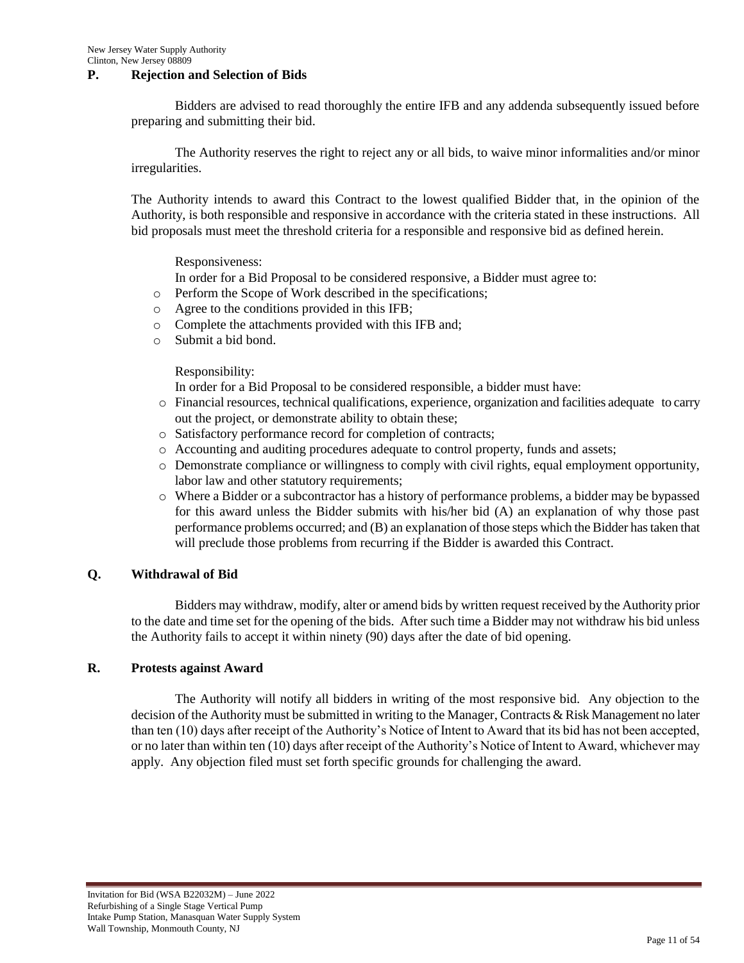## **P. Rejection and Selection of Bids**

Bidders are advised to read thoroughly the entire IFB and any addenda subsequently issued before preparing and submitting their bid.

The Authority reserves the right to reject any or all bids, to waive minor informalities and/or minor irregularities.

The Authority intends to award this Contract to the lowest qualified Bidder that, in the opinion of the Authority, is both responsible and responsive in accordance with the criteria stated in these instructions. All bid proposals must meet the threshold criteria for a responsible and responsive bid as defined herein.

Responsiveness:

In order for a Bid Proposal to be considered responsive, a Bidder must agree to:

o Perform the Scope of Work described in the specifications;

- o Agree to the conditions provided in this IFB;
- o Complete the attachments provided with this IFB and;
- o Submit a bid bond.

Responsibility:

In order for a Bid Proposal to be considered responsible, a bidder must have:

- o Financial resources, technical qualifications, experience, organization and facilities adequate to carry out the project, or demonstrate ability to obtain these;
- o Satisfactory performance record for completion of contracts;
- o Accounting and auditing procedures adequate to control property, funds and assets;
- o Demonstrate compliance or willingness to comply with civil rights, equal employment opportunity, labor law and other statutory requirements;
- o Where a Bidder or a subcontractor has a history of performance problems, a bidder may be bypassed for this award unless the Bidder submits with his/her bid (A) an explanation of why those past performance problems occurred; and (B) an explanation of those steps which the Bidder has taken that will preclude those problems from recurring if the Bidder is awarded this Contract.

## **Q. Withdrawal of Bid**

Bidders may withdraw, modify, alter or amend bids by written request received by the Authority prior to the date and time set for the opening of the bids. After such time a Bidder may not withdraw his bid unless the Authority fails to accept it within ninety (90) days after the date of bid opening.

## **R. Protests against Award**

The Authority will notify all bidders in writing of the most responsive bid. Any objection to the decision of the Authority must be submitted in writing to the Manager, Contracts & Risk Management no later than ten (10) days after receipt of the Authority"s Notice of Intent to Award that its bid has not been accepted, or no later than within ten (10) days after receipt of the Authority"s Notice of Intent to Award, whichever may apply. Any objection filed must set forth specific grounds for challenging the award.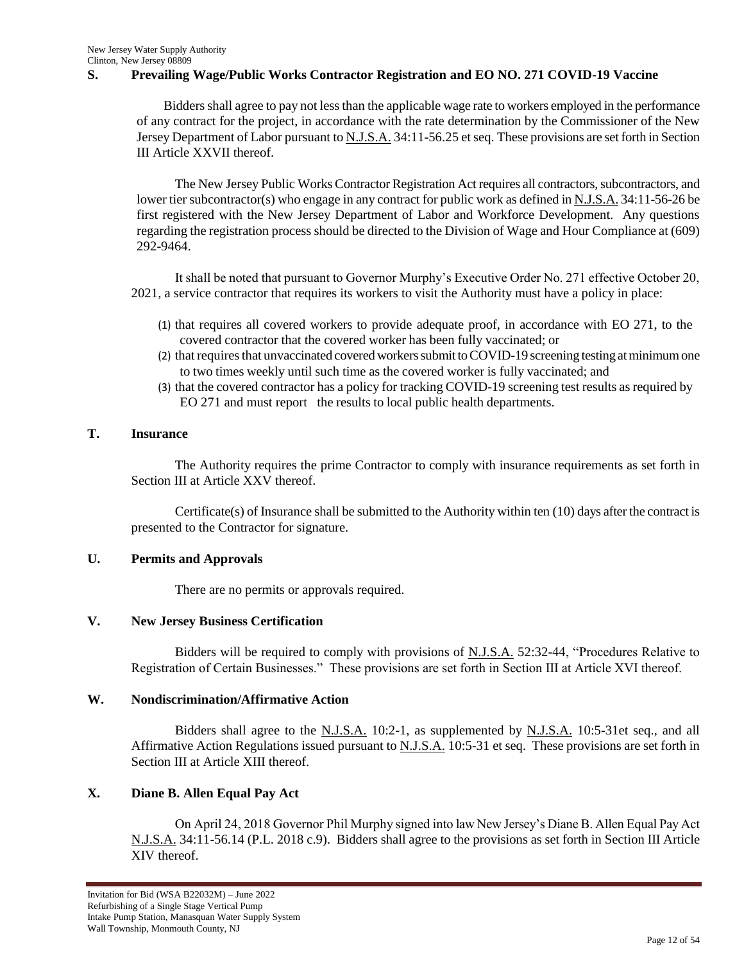#### **S. Prevailing Wage/Public Works Contractor Registration and EO NO. 271 COVID-19 Vaccine**

 Bidders shall agree to pay not less than the applicable wage rate to workers employed in the performance of any contract for the project, in accordance with the rate determination by the Commissioner of the New Jersey Department of Labor pursuant to N.J.S.A. 34:11-56.25 et seq. These provisions are set forth in Section III Article XXVII thereof.

The New Jersey Public Works Contractor Registration Act requires all contractors, subcontractors, and lower tier subcontractor(s) who engage in any contract for public work as defined in N.J.S.A. 34:11-56-26 be first registered with the New Jersey Department of Labor and Workforce Development. Any questions regarding the registration process should be directed to the Division of Wage and Hour Compliance at (609) 292-9464.

It shall be noted that pursuant to Governor Murphy"s Executive Order No. 271 effective October 20, 2021, a service contractor that requires its workers to visit the Authority must have a policy in place:

- (1) that requires all covered workers to provide adequate proof, in accordance with EO [271,](https://www.state.nj.us/infobank/eo/056murphy/pdf/EO-271.pdf) to the covered contractor that the covered worker has been fully vaccinated; or
- (2) that requires that unvaccinated covered workers submit to COVID-19 screening testing at minimum one to two times weekly until such time as the covered worker is fully vaccinated; and
- (3) that the covered contractor has a policy for tracking COVID-19 screening test results asrequired by EO [271](https://www.state.nj.us/infobank/eo/056murphy/pdf/EO-271.pdf) and must report the results to local public health departments.

#### **T. Insurance**

The Authority requires the prime Contractor to comply with insurance requirements as set forth in Section III at Article XXV thereof.

Certificate(s) of Insurance shall be submitted to the Authority within ten (10) days after the contract is presented to the Contractor for signature.

## **U. Permits and Approvals**

There are no permits or approvals required.

#### **V. New Jersey Business Certification**

Bidders will be required to comply with provisions of N.J.S.A. 52:32-44, "Procedures Relative to Registration of Certain Businesses." These provisions are set forth in Section III at Article XVI thereof.

## **W. Nondiscrimination/Affirmative Action**

Bidders shall agree to the N.J.S.A. 10:2-1, as supplemented by N.J.S.A. 10:5-31et seq., and all Affirmative Action Regulations issued pursuant to N.J.S.A. 10:5-31 et seq. These provisions are set forth in Section III at Article XIII thereof.

## **X. Diane B. Allen Equal Pay Act**

On April 24, 2018 Governor Phil Murphy signed into law New Jersey"s Diane B. Allen Equal Pay Act N.J.S.A. 34:11-56.14 (P.L. 2018 c.9). Bidders shall agree to the provisions as set forth in Section III Article XIV thereof.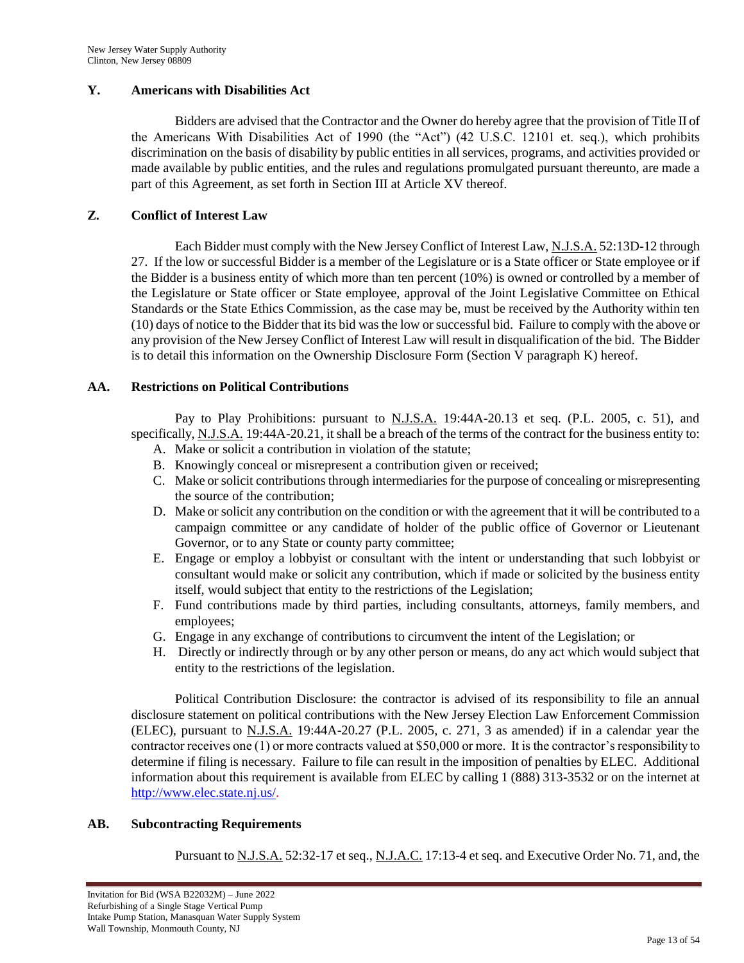## **Y. Americans with Disabilities Act**

Bidders are advised that the Contractor and the Owner do hereby agree that the provision of Title II of the Americans With Disabilities Act of 1990 (the "Act") (42 U.S.C. 12101 et. seq.), which prohibits discrimination on the basis of disability by public entities in all services, programs, and activities provided or made available by public entities, and the rules and regulations promulgated pursuant thereunto, are made a part of this Agreement, as set forth in Section III at Article XV thereof.

## **Z. Conflict of Interest Law**

Each Bidder must comply with the New Jersey Conflict of Interest Law, N.J.S.A. 52:13D-12 through 27. If the low or successful Bidder is a member of the Legislature or is a State officer or State employee or if the Bidder is a business entity of which more than ten percent (10%) is owned or controlled by a member of the Legislature or State officer or State employee, approval of the Joint Legislative Committee on Ethical Standards or the State Ethics Commission, as the case may be, must be received by the Authority within ten (10) days of notice to the Bidder that its bid was the low or successful bid. Failure to comply with the above or any provision of the New Jersey Conflict of Interest Law will result in disqualification of the bid. The Bidder is to detail this information on the Ownership Disclosure Form (Section V paragraph K) hereof.

## **AA. Restrictions on Political Contributions**

Pay to Play Prohibitions: pursuant to N.J.S.A. 19:44A-20.13 et seq. (P.L. 2005, c. 51), and specifically, N.J.S.A. 19:44A-20.21, it shall be a breach of the terms of the contract for the business entity to:

- A. Make or solicit a contribution in violation of the statute;
- B. Knowingly conceal or misrepresent a contribution given or received;
- C. Make or solicit contributions through intermediaries for the purpose of concealing or misrepresenting the source of the contribution;
- D. Make or solicit any contribution on the condition or with the agreement that it will be contributed to a campaign committee or any candidate of holder of the public office of Governor or Lieutenant Governor, or to any State or county party committee;
- E. Engage or employ a lobbyist or consultant with the intent or understanding that such lobbyist or consultant would make or solicit any contribution, which if made or solicited by the business entity itself, would subject that entity to the restrictions of the Legislation;
- F. Fund contributions made by third parties, including consultants, attorneys, family members, and employees;
- G. Engage in any exchange of contributions to circumvent the intent of the Legislation; or
- H. Directly or indirectly through or by any other person or means, do any act which would subject that entity to the restrictions of the legislation.

Political Contribution Disclosure: the contractor is advised of its responsibility to file an annual disclosure statement on political contributions with the New Jersey Election Law Enforcement Commission (ELEC), pursuant to N.J.S.A. 19:44A-20.27 (P.L. 2005, c. 271, 3 as amended) if in a calendar year the contractor receives one  $(1)$  or more contracts valued at \$50,000 or more. It is the contractor's responsibility to determine if filing is necessary. Failure to file can result in the imposition of penalties by ELEC. Additional information about this requirement is available from ELEC by calling 1 (888) 313-3532 or on the internet at [http://www.elec.state.nj.us/.](http://www.elec.state.nj.us/)

## **AB. Subcontracting Requirements**

Pursuant to <u>N.J.S.A.</u> 52:32-17 et seq., N.J.A.C. 17:13-4 et seq. and Executive Order No. 71, and, the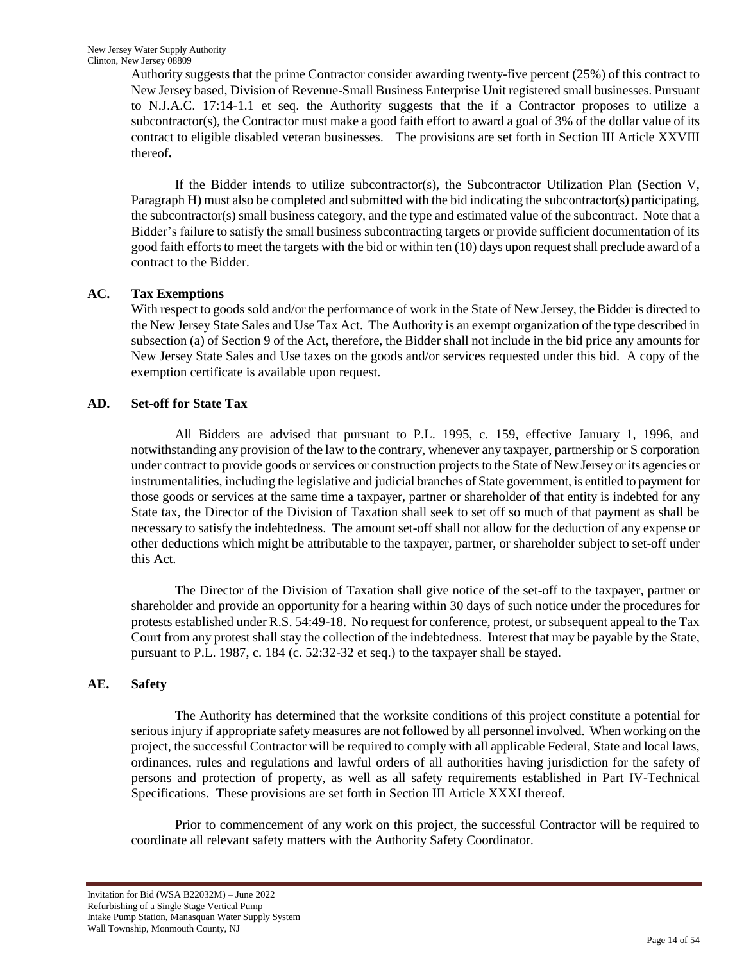Authority suggests that the prime Contractor consider awarding twenty-five percent (25%) of this contract to New Jersey based, Division of Revenue-Small Business Enterprise Unit registered small businesses. Pursuant to N.J.A.C. 17:14-1.1 et seq. the Authority suggests that the if a Contractor proposes to utilize a subcontractor(s), the Contractor must make a good faith effort to award a goal of 3% of the dollar value of its contract to eligible disabled veteran businesses. The provisions are set forth in Section III Article XXVIII thereof**.**

If the Bidder intends to utilize subcontractor(s), the Subcontractor Utilization Plan **(**Section V, Paragraph H) must also be completed and submitted with the bid indicating the subcontractor(s) participating, the subcontractor(s) small business category, and the type and estimated value of the subcontract. Note that a Bidder"s failure to satisfy the small business subcontracting targets or provide sufficient documentation of its good faith efforts to meet the targets with the bid or within ten (10) days upon request shall preclude award of a contract to the Bidder.

# **AC. Tax Exemptions**

With respect to goods sold and/or the performance of work in the State of New Jersey, the Bidder is directed to the New Jersey State Sales and Use Tax Act. The Authority is an exempt organization of the type described in subsection (a) of Section 9 of the Act, therefore, the Bidder shall not include in the bid price any amounts for New Jersey State Sales and Use taxes on the goods and/or services requested under this bid. A copy of the exemption certificate is available upon request.

# **AD. Set-off for State Tax**

All Bidders are advised that pursuant to P.L. 1995, c. 159, effective January 1, 1996, and notwithstanding any provision of the law to the contrary, whenever any taxpayer, partnership or S corporation under contract to provide goods or services or construction projects to the State of New Jersey or its agencies or instrumentalities, including the legislative and judicial branches of State government, is entitled to payment for those goods or services at the same time a taxpayer, partner or shareholder of that entity is indebted for any State tax, the Director of the Division of Taxation shall seek to set off so much of that payment as shall be necessary to satisfy the indebtedness. The amount set-off shall not allow for the deduction of any expense or other deductions which might be attributable to the taxpayer, partner, or shareholder subject to set-off under this Act.

The Director of the Division of Taxation shall give notice of the set-off to the taxpayer, partner or shareholder and provide an opportunity for a hearing within 30 days of such notice under the procedures for protests established under R.S. 54:49-18. No request for conference, protest, or subsequent appeal to the Tax Court from any protest shall stay the collection of the indebtedness. Interest that may be payable by the State, pursuant to P.L. 1987, c. 184 (c. 52:32-32 et seq.) to the taxpayer shall be stayed.

# **AE. Safety**

The Authority has determined that the worksite conditions of this project constitute a potential for serious injury if appropriate safety measures are not followed by all personnel involved. When working on the project, the successful Contractor will be required to comply with all applicable Federal, State and local laws, ordinances, rules and regulations and lawful orders of all authorities having jurisdiction for the safety of persons and protection of property, as well as all safety requirements established in Part IV-Technical Specifications. These provisions are set forth in Section III Article XXXI thereof.

Prior to commencement of any work on this project, the successful Contractor will be required to coordinate all relevant safety matters with the Authority Safety Coordinator.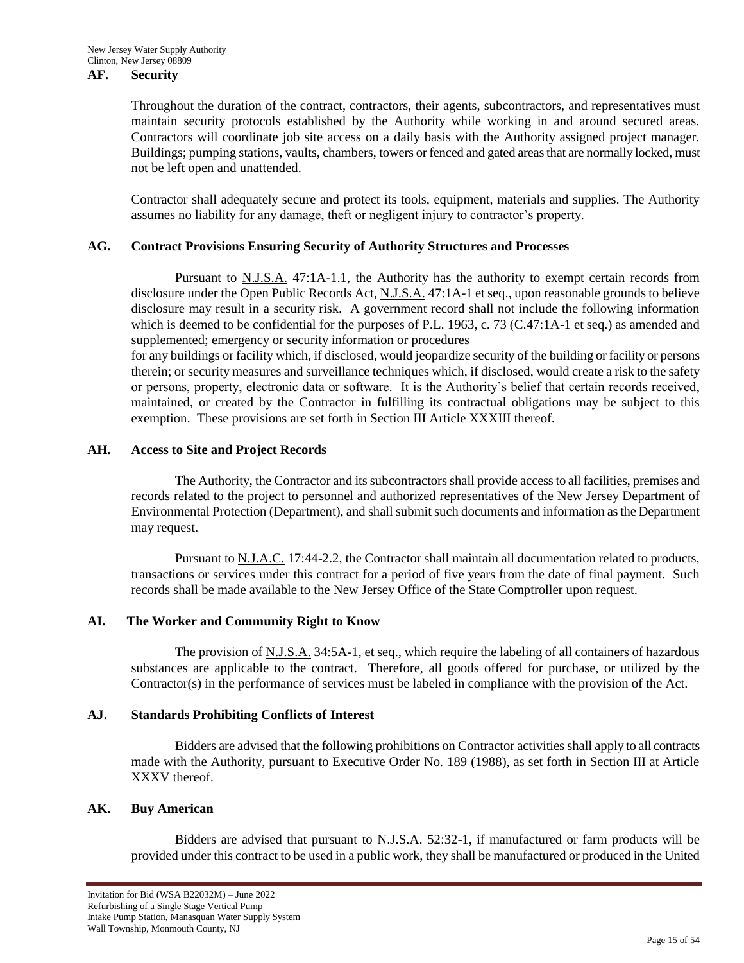#### **AF. Security**

Throughout the duration of the contract, contractors, their agents, subcontractors, and representatives must maintain security protocols established by the Authority while working in and around secured areas. Contractors will coordinate job site access on a daily basis with the Authority assigned project manager. Buildings; pumping stations, vaults, chambers, towers or fenced and gated areas that are normally locked, must not be left open and unattended.

Contractor shall adequately secure and protect its tools, equipment, materials and supplies. The Authority assumes no liability for any damage, theft or negligent injury to contractor's property.

#### **AG. Contract Provisions Ensuring Security of Authority Structures and Processes**

Pursuant to N.J.S.A. 47:1A-1.1, the Authority has the authority to exempt certain records from disclosure under the Open Public Records Act, N.J.S.A. 47:1A-1 et seq., upon reasonable grounds to believe disclosure may result in a security risk. A government record shall not include the following information which is deemed to be confidential for the purposes of P.L. 1963, c. 73 (C.47:1A-1 et seq.) as amended and supplemented; emergency or security information or procedures

for any buildings or facility which, if disclosed, would jeopardize security of the building or facility or persons therein; or security measures and surveillance techniques which, if disclosed, would create a risk to the safety or persons, property, electronic data or software. It is the Authority"s belief that certain records received, maintained, or created by the Contractor in fulfilling its contractual obligations may be subject to this exemption. These provisions are set forth in Section III Article XXXIII thereof.

#### **AH. Access to Site and Project Records**

The Authority, the Contractor and its subcontractors shall provide access to all facilities, premises and records related to the project to personnel and authorized representatives of the New Jersey Department of Environmental Protection (Department), and shall submit such documents and information as the Department may request.

Pursuant to N.J.A.C. 17:44-2.2, the Contractor shall maintain all documentation related to products, transactions or services under this contract for a period of five years from the date of final payment. Such records shall be made available to the New Jersey Office of the State Comptroller upon request.

## **AI. The Worker and Community Right to Know**

The provision of N.J.S.A. 34:5A-1, et seq., which require the labeling of all containers of hazardous substances are applicable to the contract. Therefore, all goods offered for purchase, or utilized by the Contractor(s) in the performance of services must be labeled in compliance with the provision of the Act.

## **AJ. Standards Prohibiting Conflicts of Interest**

Bidders are advised that the following prohibitions on Contractor activities shall apply to all contracts made with the Authority, pursuant to Executive Order No. 189 (1988), as set forth in Section III at Article XXXV thereof.

#### **AK. Buy American**

Bidders are advised that pursuant to N.J.S.A. 52:32-1, if manufactured or farm products will be provided under this contract to be used in a public work, they shall be manufactured or produced in the United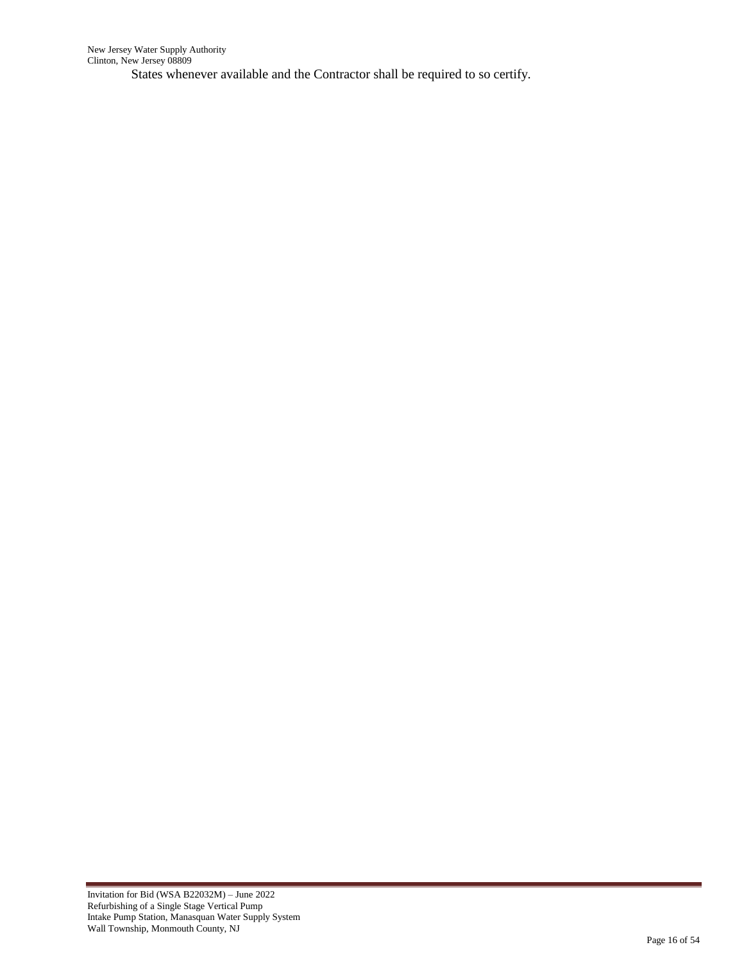States whenever available and the Contractor shall be required to so certify.

÷.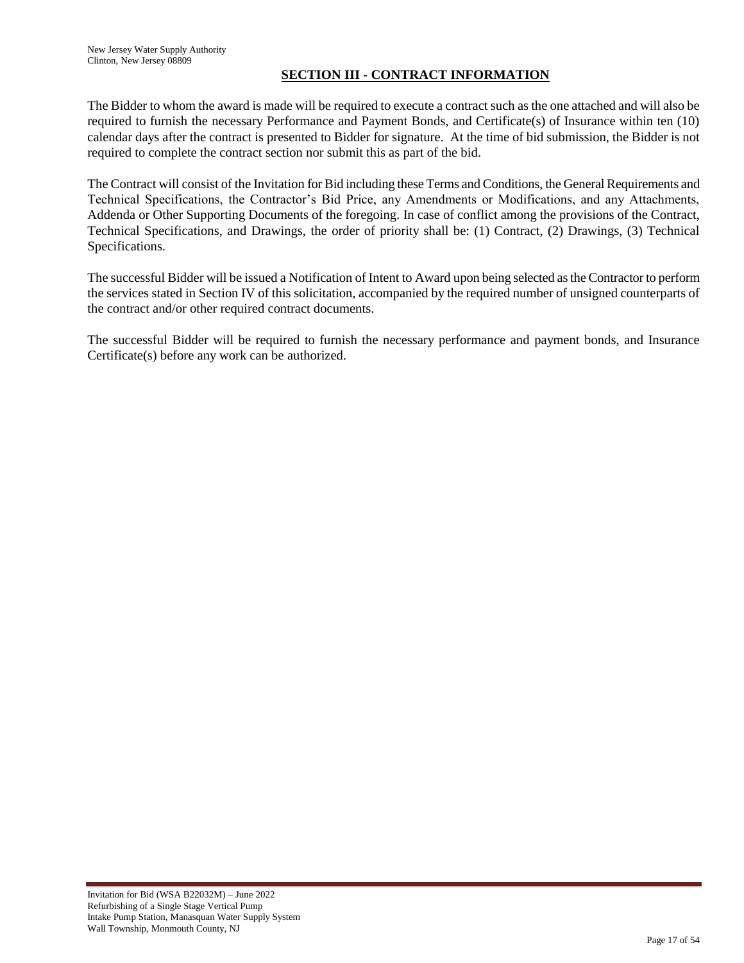## **SECTION III - CONTRACT INFORMATION**

The Bidder to whom the award is made will be required to execute a contract such as the one attached and will also be required to furnish the necessary Performance and Payment Bonds, and Certificate(s) of Insurance within ten (10) calendar days after the contract is presented to Bidder for signature. At the time of bid submission, the Bidder is not required to complete the contract section nor submit this as part of the bid.

The Contract will consist of the Invitation for Bid including these Terms and Conditions, the General Requirements and Technical Specifications, the Contractor's Bid Price, any Amendments or Modifications, and any Attachments, Addenda or Other Supporting Documents of the foregoing. In case of conflict among the provisions of the Contract, Technical Specifications, and Drawings, the order of priority shall be: (1) Contract, (2) Drawings, (3) Technical Specifications.

The successful Bidder will be issued a Notification of Intent to Award upon being selected as the Contractor to perform the services stated in Section IV of this solicitation, accompanied by the required number of unsigned counterparts of the contract and/or other required contract documents.

The successful Bidder will be required to furnish the necessary performance and payment bonds, and Insurance Certificate(s) before any work can be authorized.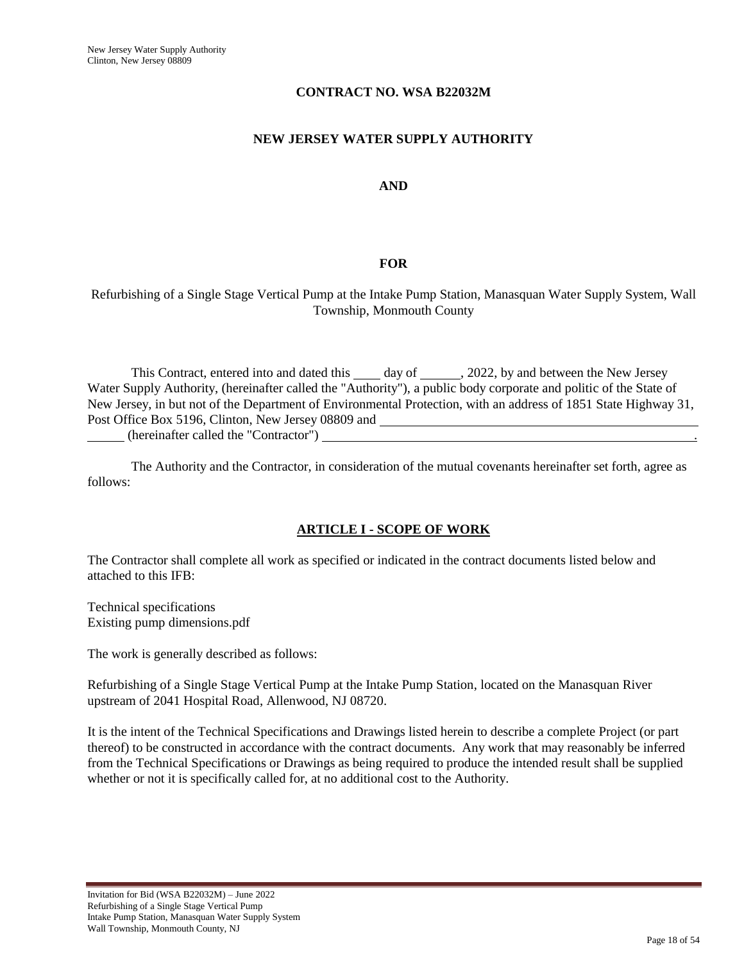## **CONTRACT NO. WSA B22032M**

## **NEW JERSEY WATER SUPPLY AUTHORITY**

## **AND**

## **FOR**

## Refurbishing of a Single Stage Vertical Pump at the Intake Pump Station, Manasquan Water Supply System, Wall Township, Monmouth County

This Contract, entered into and dated this  $\_\_\_\_$  day of  $\_\_\_\_$ , 2022, by and between the New Jersey Water Supply Authority, (hereinafter called the "Authority"), a public body corporate and politic of the State of New Jersey, in but not of the Department of Environmental Protection, with an address of 1851 State Highway 31, Post Office Box 5196, Clinton, New Jersey 08809 and (hereinafter called the "Contractor")

The Authority and the Contractor, in consideration of the mutual covenants hereinafter set forth, agree as follows:

# **ARTICLE I - SCOPE OF WORK**

The Contractor shall complete all work as specified or indicated in the contract documents listed below and attached to this IFB:

Technical specifications Existing pump dimensions.pdf

The work is generally described as follows:

Refurbishing of a Single Stage Vertical Pump at the Intake Pump Station, located on the Manasquan River upstream of 2041 Hospital Road, Allenwood, NJ 08720.

It is the intent of the Technical Specifications and Drawings listed herein to describe a complete Project (or part thereof) to be constructed in accordance with the contract documents. Any work that may reasonably be inferred from the Technical Specifications or Drawings as being required to produce the intended result shall be supplied whether or not it is specifically called for, at no additional cost to the Authority.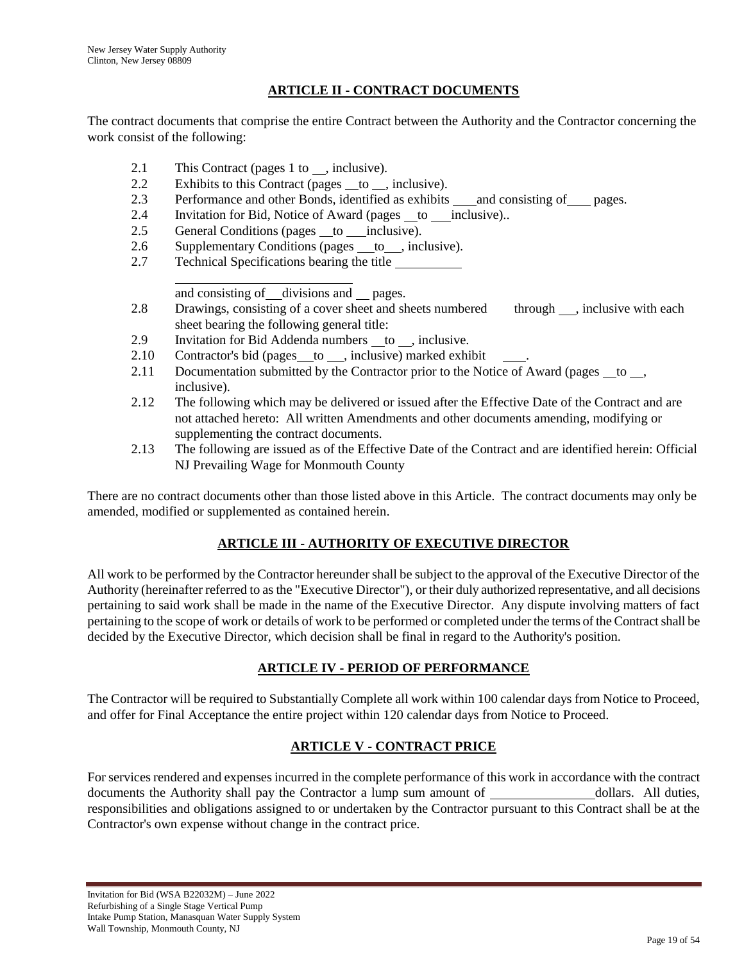# **ARTICLE II - CONTRACT DOCUMENTS**

The contract documents that comprise the entire Contract between the Authority and the Contractor concerning the work consist of the following:

- 2.1 This Contract (pages 1 to , inclusive).
- 2.2 Exhibits to this Contract (pages to , inclusive).
- 2.3 Performance and other Bonds, identified as exhibits \_\_and consisting of \_\_pages.
- 2.4 Invitation for Bid, Notice of Award (pages to inclusive)..
- 2.5 General Conditions (pages <u>to inclusive</u>).
- 2.6 Supplementary Conditions (pages <u>to</u>, inclusive).
- 2.7 Technical Specifications bearing the title

l and consisting of divisions and pages.

- 2.8 Drawings, consisting of a cover sheet and sheets numbered through , inclusive with each sheet bearing the following general title:
- 2.9 Invitation for Bid Addenda numbers  $\_\_$ to , inclusive.
- 2.10 Contractor's bid (pages  $\_\_$ to  $\_\_$ , inclusive) marked exhibit
- 2.11 Documentation submitted by the Contractor prior to the Notice of Award (pages to , inclusive).
- 2.12 The following which may be delivered or issued after the Effective Date of the Contract and are not attached hereto: All written Amendments and other documents amending, modifying or supplementing the contract documents.
- 2.13 The following are issued as of the Effective Date of the Contract and are identified herein: Official NJ Prevailing Wage for Monmouth County

There are no contract documents other than those listed above in this Article. The contract documents may only be amended, modified or supplemented as contained herein.

# **ARTICLE III - AUTHORITY OF EXECUTIVE DIRECTOR**

All work to be performed by the Contractor hereunder shall be subject to the approval of the Executive Director of the Authority (hereinafter referred to as the "Executive Director"), or their duly authorized representative, and all decisions pertaining to said work shall be made in the name of the Executive Director. Any dispute involving matters of fact pertaining to the scope of work or details of work to be performed or completed under the terms of the Contract shall be decided by the Executive Director, which decision shall be final in regard to the Authority's position.

# **ARTICLE IV - PERIOD OF PERFORMANCE**

The Contractor will be required to Substantially Complete all work within 100 calendar days from Notice to Proceed, and offer for Final Acceptance the entire project within 120 calendar days from Notice to Proceed.

# **ARTICLE V - CONTRACT PRICE**

For services rendered and expenses incurred in the complete performance of this work in accordance with the contract documents the Authority shall pay the Contractor a lump sum amount of dollars. All duties, responsibilities and obligations assigned to or undertaken by the Contractor pursuant to this Contract shall be at the Contractor's own expense without change in the contract price.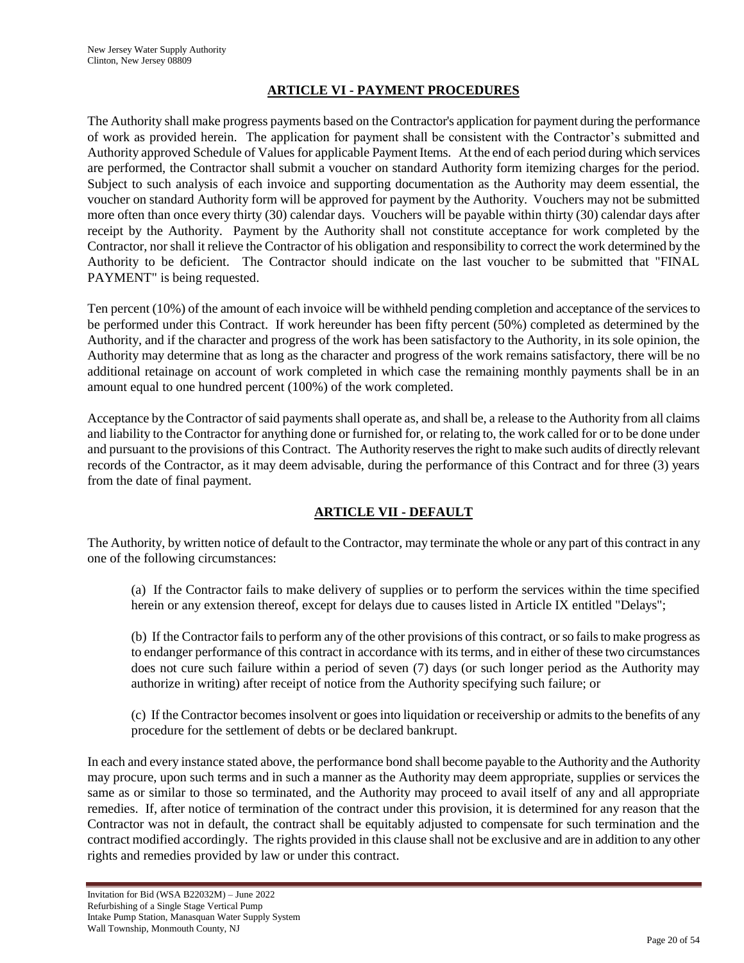# **ARTICLE VI - PAYMENT PROCEDURES**

The Authority shall make progress payments based on the Contractor's application for payment during the performance of work as provided herein. The application for payment shall be consistent with the Contractor"s submitted and Authority approved Schedule of Values for applicable Payment Items. At the end of each period during which services are performed, the Contractor shall submit a voucher on standard Authority form itemizing charges for the period. Subject to such analysis of each invoice and supporting documentation as the Authority may deem essential, the voucher on standard Authority form will be approved for payment by the Authority. Vouchers may not be submitted more often than once every thirty (30) calendar days. Vouchers will be payable within thirty (30) calendar days after receipt by the Authority. Payment by the Authority shall not constitute acceptance for work completed by the Contractor, nor shall it relieve the Contractor of his obligation and responsibility to correct the work determined by the Authority to be deficient. The Contractor should indicate on the last voucher to be submitted that "FINAL PAYMENT" is being requested.

Ten percent (10%) of the amount of each invoice will be withheld pending completion and acceptance of the services to be performed under this Contract. If work hereunder has been fifty percent (50%) completed as determined by the Authority, and if the character and progress of the work has been satisfactory to the Authority, in its sole opinion, the Authority may determine that as long as the character and progress of the work remains satisfactory, there will be no additional retainage on account of work completed in which case the remaining monthly payments shall be in an amount equal to one hundred percent (100%) of the work completed.

Acceptance by the Contractor of said payments shall operate as, and shall be, a release to the Authority from all claims and liability to the Contractor for anything done or furnished for, or relating to, the work called for or to be done under and pursuant to the provisions of this Contract. The Authority reserves the right to make such audits of directly relevant records of the Contractor, as it may deem advisable, during the performance of this Contract and for three (3) years from the date of final payment.

# **ARTICLE VII - DEFAULT**

The Authority, by written notice of default to the Contractor, may terminate the whole or any part of this contract in any one of the following circumstances:

(a) If the Contractor fails to make delivery of supplies or to perform the services within the time specified herein or any extension thereof, except for delays due to causes listed in Article IX entitled "Delays";

(b) If the Contractor fails to perform any of the other provisions of this contract, or so fails to make progress as to endanger performance of this contract in accordance with its terms, and in either of these two circumstances does not cure such failure within a period of seven (7) days (or such longer period as the Authority may authorize in writing) after receipt of notice from the Authority specifying such failure; or

(c) If the Contractor becomes insolvent or goes into liquidation or receivership or admits to the benefits of any procedure for the settlement of debts or be declared bankrupt.

In each and every instance stated above, the performance bond shall become payable to the Authority and the Authority may procure, upon such terms and in such a manner as the Authority may deem appropriate, supplies or services the same as or similar to those so terminated, and the Authority may proceed to avail itself of any and all appropriate remedies. If, after notice of termination of the contract under this provision, it is determined for any reason that the Contractor was not in default, the contract shall be equitably adjusted to compensate for such termination and the contract modified accordingly. The rights provided in this clause shall not be exclusive and are in addition to any other rights and remedies provided by law or under this contract.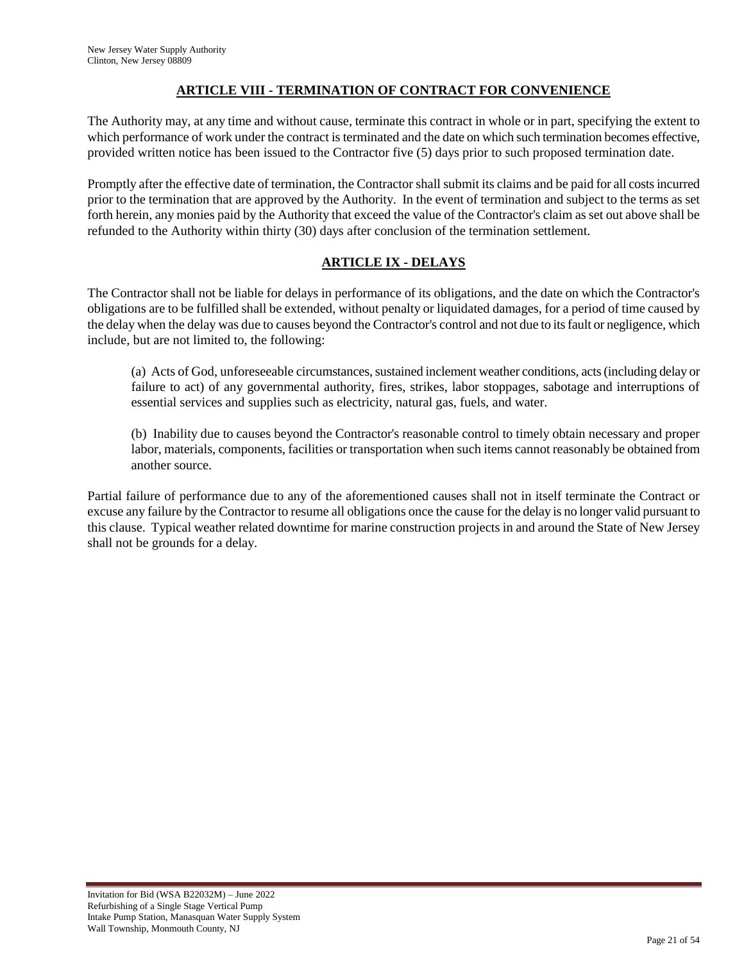# **ARTICLE VIII - TERMINATION OF CONTRACT FOR CONVENIENCE**

The Authority may, at any time and without cause, terminate this contract in whole or in part, specifying the extent to which performance of work under the contract is terminated and the date on which such termination becomes effective, provided written notice has been issued to the Contractor five (5) days prior to such proposed termination date.

Promptly after the effective date of termination, the Contractor shall submit its claims and be paid for all costs incurred prior to the termination that are approved by the Authority. In the event of termination and subject to the terms as set forth herein, any monies paid by the Authority that exceed the value of the Contractor's claim as set out above shall be refunded to the Authority within thirty (30) days after conclusion of the termination settlement.

# **ARTICLE IX - DELAYS**

The Contractor shall not be liable for delays in performance of its obligations, and the date on which the Contractor's obligations are to be fulfilled shall be extended, without penalty or liquidated damages, for a period of time caused by the delay when the delay was due to causes beyond the Contractor's control and not due to its fault or negligence, which include, but are not limited to, the following:

(a) Acts of God, unforeseeable circumstances, sustained inclement weather conditions, acts (including delay or failure to act) of any governmental authority, fires, strikes, labor stoppages, sabotage and interruptions of essential services and supplies such as electricity, natural gas, fuels, and water.

(b) Inability due to causes beyond the Contractor's reasonable control to timely obtain necessary and proper labor, materials, components, facilities or transportation when such items cannot reasonably be obtained from another source.

Partial failure of performance due to any of the aforementioned causes shall not in itself terminate the Contract or excuse any failure by the Contractor to resume all obligations once the cause for the delay is no longer valid pursuant to this clause. Typical weather related downtime for marine construction projects in and around the State of New Jersey shall not be grounds for a delay.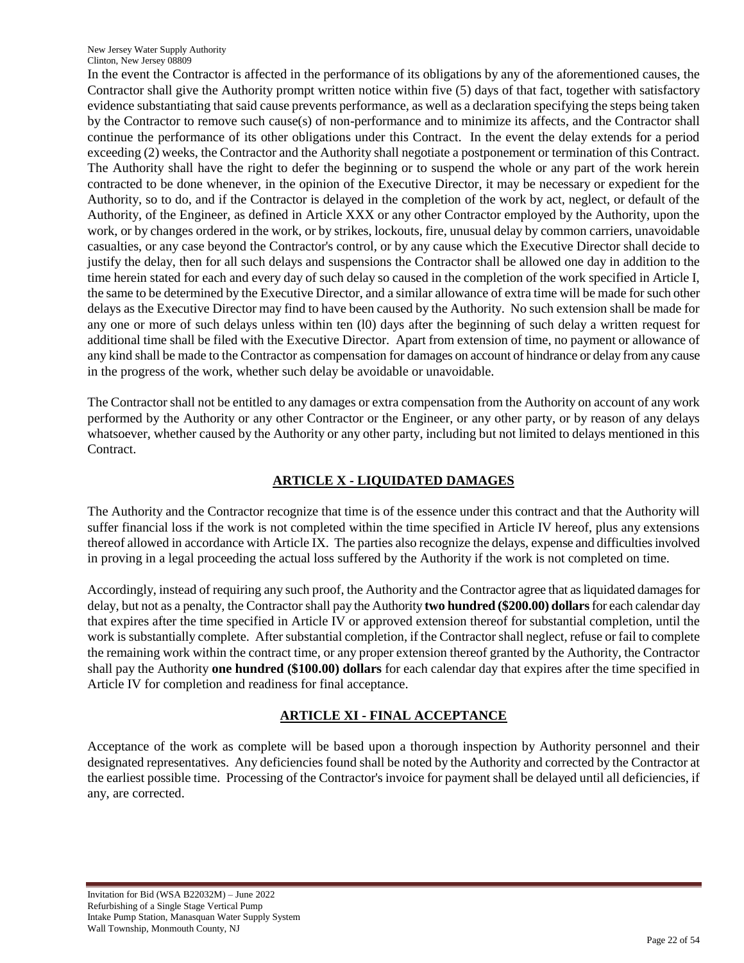New Jersey Water Supply Authority Clinton, New Jersey 08809

In the event the Contractor is affected in the performance of its obligations by any of the aforementioned causes, the Contractor shall give the Authority prompt written notice within five (5) days of that fact, together with satisfactory evidence substantiating that said cause prevents performance, as well as a declaration specifying the steps being taken by the Contractor to remove such cause(s) of non-performance and to minimize its affects, and the Contractor shall continue the performance of its other obligations under this Contract. In the event the delay extends for a period exceeding (2) weeks, the Contractor and the Authority shall negotiate a postponement or termination of this Contract. The Authority shall have the right to defer the beginning or to suspend the whole or any part of the work herein contracted to be done whenever, in the opinion of the Executive Director, it may be necessary or expedient for the Authority, so to do, and if the Contractor is delayed in the completion of the work by act, neglect, or default of the Authority, of the Engineer, as defined in Article XXX or any other Contractor employed by the Authority, upon the work, or by changes ordered in the work, or by strikes, lockouts, fire, unusual delay by common carriers, unavoidable casualties, or any case beyond the Contractor's control, or by any cause which the Executive Director shall decide to justify the delay, then for all such delays and suspensions the Contractor shall be allowed one day in addition to the time herein stated for each and every day of such delay so caused in the completion of the work specified in Article I, the same to be determined by the Executive Director, and a similar allowance of extra time will be made for such other delays as the Executive Director may find to have been caused by the Authority. No such extension shall be made for any one or more of such delays unless within ten (l0) days after the beginning of such delay a written request for additional time shall be filed with the Executive Director. Apart from extension of time, no payment or allowance of any kind shall be made to the Contractor as compensation for damages on account of hindrance or delay from any cause in the progress of the work, whether such delay be avoidable or unavoidable.

The Contractor shall not be entitled to any damages or extra compensation from the Authority on account of any work performed by the Authority or any other Contractor or the Engineer, or any other party, or by reason of any delays whatsoever, whether caused by the Authority or any other party, including but not limited to delays mentioned in this Contract.

# **ARTICLE X - LIQUIDATED DAMAGES**

The Authority and the Contractor recognize that time is of the essence under this contract and that the Authority will suffer financial loss if the work is not completed within the time specified in Article IV hereof, plus any extensions thereof allowed in accordance with Article IX. The parties also recognize the delays, expense and difficulties involved in proving in a legal proceeding the actual loss suffered by the Authority if the work is not completed on time.

Accordingly, instead of requiring any such proof, the Authority and the Contractor agree that as liquidated damages for delay, but not as a penalty, the Contractor shall pay the Authority **two hundred (\$200.00) dollars**for each calendar day that expires after the time specified in Article IV or approved extension thereof for substantial completion, until the work is substantially complete. After substantial completion, if the Contractor shall neglect, refuse or fail to complete the remaining work within the contract time, or any proper extension thereof granted by the Authority, the Contractor shall pay the Authority **one hundred (\$100.00) dollars** for each calendar day that expires after the time specified in Article IV for completion and readiness for final acceptance.

# **ARTICLE XI - FINAL ACCEPTANCE**

Acceptance of the work as complete will be based upon a thorough inspection by Authority personnel and their designated representatives. Any deficiencies found shall be noted by the Authority and corrected by the Contractor at the earliest possible time. Processing of the Contractor's invoice for payment shall be delayed until all deficiencies, if any, are corrected.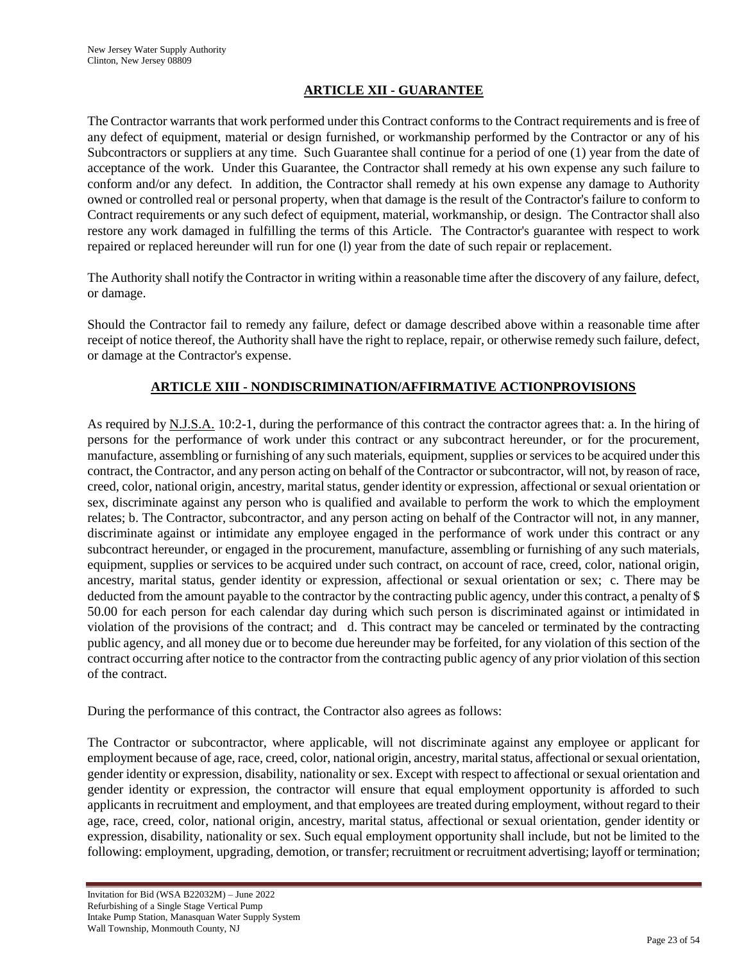# **ARTICLE XII - GUARANTEE**

The Contractor warrants that work performed under this Contract conforms to the Contract requirements and is free of any defect of equipment, material or design furnished, or workmanship performed by the Contractor or any of his Subcontractors or suppliers at any time. Such Guarantee shall continue for a period of one (1) year from the date of acceptance of the work. Under this Guarantee, the Contractor shall remedy at his own expense any such failure to conform and/or any defect. In addition, the Contractor shall remedy at his own expense any damage to Authority owned or controlled real or personal property, when that damage is the result of the Contractor's failure to conform to Contract requirements or any such defect of equipment, material, workmanship, or design. The Contractor shall also restore any work damaged in fulfilling the terms of this Article. The Contractor's guarantee with respect to work repaired or replaced hereunder will run for one (l) year from the date of such repair or replacement.

The Authority shall notify the Contractor in writing within a reasonable time after the discovery of any failure, defect, or damage.

Should the Contractor fail to remedy any failure, defect or damage described above within a reasonable time after receipt of notice thereof, the Authority shall have the right to replace, repair, or otherwise remedy such failure, defect, or damage at the Contractor's expense.

# **ARTICLE XIII - NONDISCRIMINATION/AFFIRMATIVE ACTIONPROVISIONS**

As required by N.J.S.A. 10:2-1, during the performance of this contract the contractor agrees that: a. In the hiring of persons for the performance of work under this contract or any subcontract hereunder, or for the procurement, manufacture, assembling or furnishing of any such materials, equipment, supplies or services to be acquired under this contract, the Contractor, and any person acting on behalf of the Contractor or subcontractor, will not, by reason of race, creed, color, national origin, ancestry, marital status, gender identity or expression, affectional or sexual orientation or sex, discriminate against any person who is qualified and available to perform the work to which the employment relates; b. The Contractor, subcontractor, and any person acting on behalf of the Contractor will not, in any manner, discriminate against or intimidate any employee engaged in the performance of work under this contract or any subcontract hereunder, or engaged in the procurement, manufacture, assembling or furnishing of any such materials, equipment, supplies or services to be acquired under such contract, on account of race, creed, color, national origin, ancestry, marital status, gender identity or expression, affectional or sexual orientation or sex; c. There may be deducted from the amount payable to the contractor by the contracting public agency, under this contract, a penalty of \$ 50.00 for each person for each calendar day during which such person is discriminated against or intimidated in violation of the provisions of the contract; and d. This contract may be canceled or terminated by the contracting public agency, and all money due or to become due hereunder may be forfeited, for any violation of this section of the contract occurring after notice to the contractor from the contracting public agency of any prior violation of this section of the contract.

During the performance of this contract, the Contractor also agrees as follows:

The Contractor or subcontractor, where applicable, will not discriminate against any employee or applicant for employment because of age, race, creed, color, national origin, ancestry, marital status, affectional or sexual orientation, gender identity or expression, disability, nationality or sex. Except with respect to affectional or sexual orientation and gender identity or expression, the contractor will ensure that equal employment opportunity is afforded to such applicants in recruitment and employment, and that employees are treated during employment, without regard to their age, race, creed, color, national origin, ancestry, marital status, affectional or sexual orientation, gender identity or expression, disability, nationality or sex. Such equal employment opportunity shall include, but not be limited to the following: employment, upgrading, demotion, or transfer; recruitment or recruitment advertising; layoff or termination;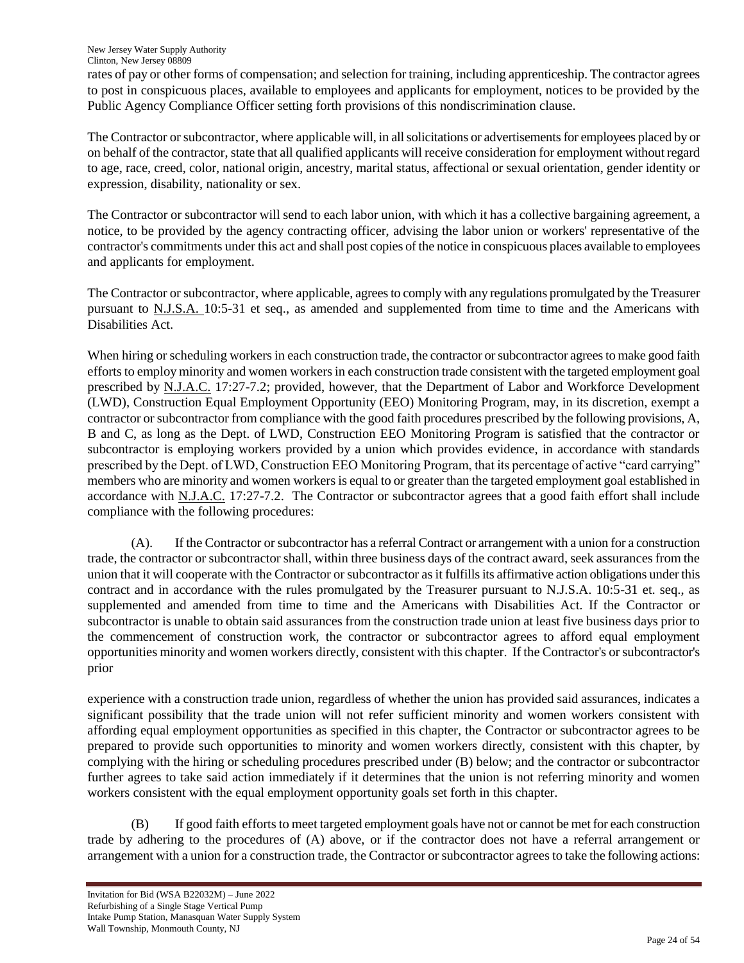rates of pay or other forms of compensation; and selection for training, including apprenticeship. The contractor agrees to post in conspicuous places, available to employees and applicants for employment, notices to be provided by the Public Agency Compliance Officer setting forth provisions of this nondiscrimination clause.

The Contractor or subcontractor, where applicable will, in all solicitations or advertisements for employees placed by or on behalf of the contractor, state that all qualified applicants will receive consideration for employment without regard to age, race, creed, color, national origin, ancestry, marital status, affectional or sexual orientation, gender identity or expression, disability, nationality or sex.

The Contractor or subcontractor will send to each labor union, with which it has a collective bargaining agreement, a notice, to be provided by the agency contracting officer, advising the labor union or workers' representative of the contractor's commitments under this act and shall post copies of the notice in conspicuous places available to employees and applicants for employment.

The Contractor or subcontractor, where applicable, agrees to comply with any regulations promulgated by the Treasurer pursuant to N.J.S.A. 10:5-31 et seq., as amended and supplemented from time to time and the Americans with Disabilities Act.

When hiring or scheduling workers in each construction trade, the contractor or subcontractor agrees to make good faith efforts to employ minority and women workers in each construction trade consistent with the targeted employment goal prescribed by N.J.A.C. 17:27-7.2; provided, however, that the Department of Labor and Workforce Development (LWD), Construction Equal Employment Opportunity (EEO) Monitoring Program, may, in its discretion, exempt a contractor or subcontractor from compliance with the good faith procedures prescribed by the following provisions, A, B and C, as long as the Dept. of LWD, Construction EEO Monitoring Program is satisfied that the contractor or subcontractor is employing workers provided by a union which provides evidence, in accordance with standards prescribed by the Dept. of LWD, Construction EEO Monitoring Program, that its percentage of active "card carrying" members who are minority and women workers is equal to or greater than the targeted employment goal established in accordance with N.J.A.C. 17:27-7.2. The Contractor or subcontractor agrees that a good faith effort shall include compliance with the following procedures:

(A). If the Contractor or subcontractor has a referral Contract or arrangement with a union for a construction trade, the contractor or subcontractor shall, within three business days of the contract award, seek assurances from the union that it will cooperate with the Contractor or subcontractor as it fulfills its affirmative action obligations under this contract and in accordance with the rules promulgated by the Treasurer pursuant to N.J.S.A. 10:5-31 et. seq., as supplemented and amended from time to time and the Americans with Disabilities Act. If the Contractor or subcontractor is unable to obtain said assurances from the construction trade union at least five business days prior to the commencement of construction work, the contractor or subcontractor agrees to afford equal employment opportunities minority and women workers directly, consistent with this chapter. If the Contractor's or subcontractor's prior

experience with a construction trade union, regardless of whether the union has provided said assurances, indicates a significant possibility that the trade union will not refer sufficient minority and women workers consistent with affording equal employment opportunities as specified in this chapter, the Contractor or subcontractor agrees to be prepared to provide such opportunities to minority and women workers directly, consistent with this chapter, by complying with the hiring or scheduling procedures prescribed under (B) below; and the contractor or subcontractor further agrees to take said action immediately if it determines that the union is not referring minority and women workers consistent with the equal employment opportunity goals set forth in this chapter.

(B) If good faith efforts to meet targeted employment goals have not or cannot be met for each construction trade by adhering to the procedures of (A) above, or if the contractor does not have a referral arrangement or arrangement with a union for a construction trade, the Contractor or subcontractor agrees to take the following actions: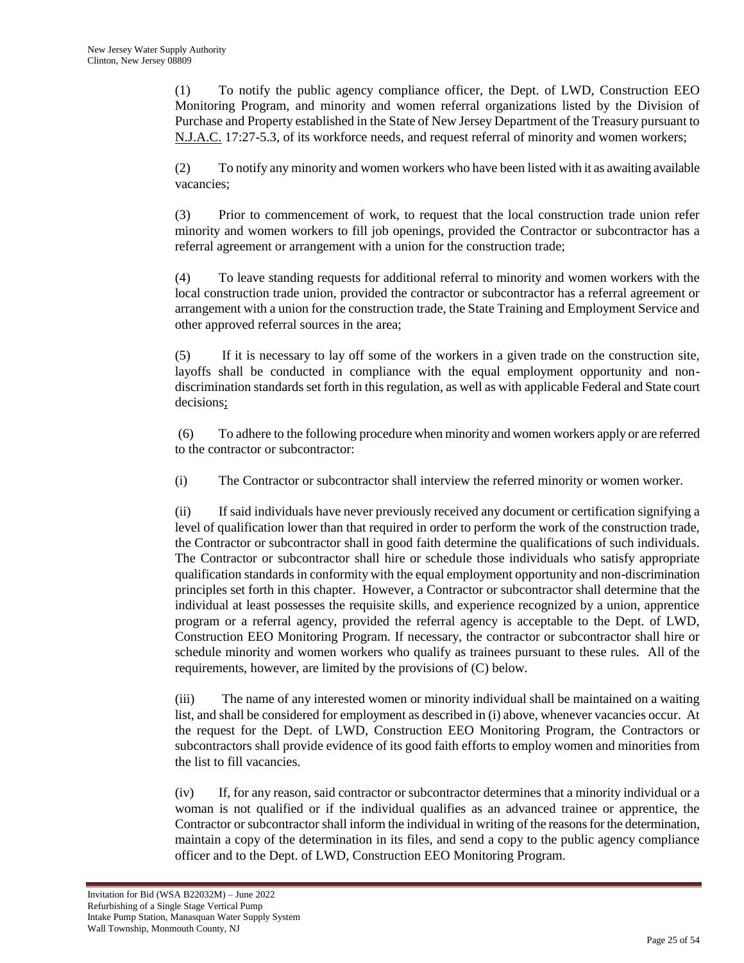(1) To notify the public agency compliance officer, the Dept. of LWD, Construction EEO Monitoring Program, and minority and women referral organizations listed by the Division of Purchase and Property established in the State of New Jersey Department of the Treasury pursuant to N.J.A.C. 17:27-5.3, of its workforce needs, and request referral of minority and women workers;

(2) To notify any minority and women workers who have been listed with it as awaiting available vacancies;

(3) Prior to commencement of work, to request that the local construction trade union refer minority and women workers to fill job openings, provided the Contractor or subcontractor has a referral agreement or arrangement with a union for the construction trade;

(4) To leave standing requests for additional referral to minority and women workers with the local construction trade union, provided the contractor or subcontractor has a referral agreement or arrangement with a union for the construction trade, the State Training and Employment Service and other approved referral sources in the area;

(5) If it is necessary to lay off some of the workers in a given trade on the construction site, layoffs shall be conducted in compliance with the equal employment opportunity and nondiscrimination standards set forth in this regulation, as well as with applicable Federal and State court decisions;

(6) To adhere to the following procedure when minority and women workers apply or are referred to the contractor or subcontractor:

(i) The Contractor or subcontractor shall interview the referred minority or women worker.

 (ii) If said individuals have never previously received any document or certification signifying a level of qualification lower than that required in order to perform the work of the construction trade, the Contractor or subcontractor shall in good faith determine the qualifications of such individuals. The Contractor or subcontractor shall hire or schedule those individuals who satisfy appropriate qualification standards in conformity with the equal employment opportunity and non-discrimination principles set forth in this chapter. However, a Contractor or subcontractor shall determine that the individual at least possesses the requisite skills, and experience recognized by a union, apprentice program or a referral agency, provided the referral agency is acceptable to the Dept. of LWD, Construction EEO Monitoring Program. If necessary, the contractor or subcontractor shall hire or schedule minority and women workers who qualify as trainees pursuant to these rules. All of the requirements, however, are limited by the provisions of (C) below.

(iii) The name of any interested women or minority individual shall be maintained on a waiting list, and shall be considered for employment as described in (i) above, whenever vacancies occur. At the request for the Dept. of LWD, Construction EEO Monitoring Program, the Contractors or subcontractors shall provide evidence of its good faith efforts to employ women and minorities from the list to fill vacancies.

(iv) If, for any reason, said contractor or subcontractor determines that a minority individual or a woman is not qualified or if the individual qualifies as an advanced trainee or apprentice, the Contractor or subcontractor shall inform the individual in writing of the reasons for the determination, maintain a copy of the determination in its files, and send a copy to the public agency compliance officer and to the Dept. of LWD, Construction EEO Monitoring Program.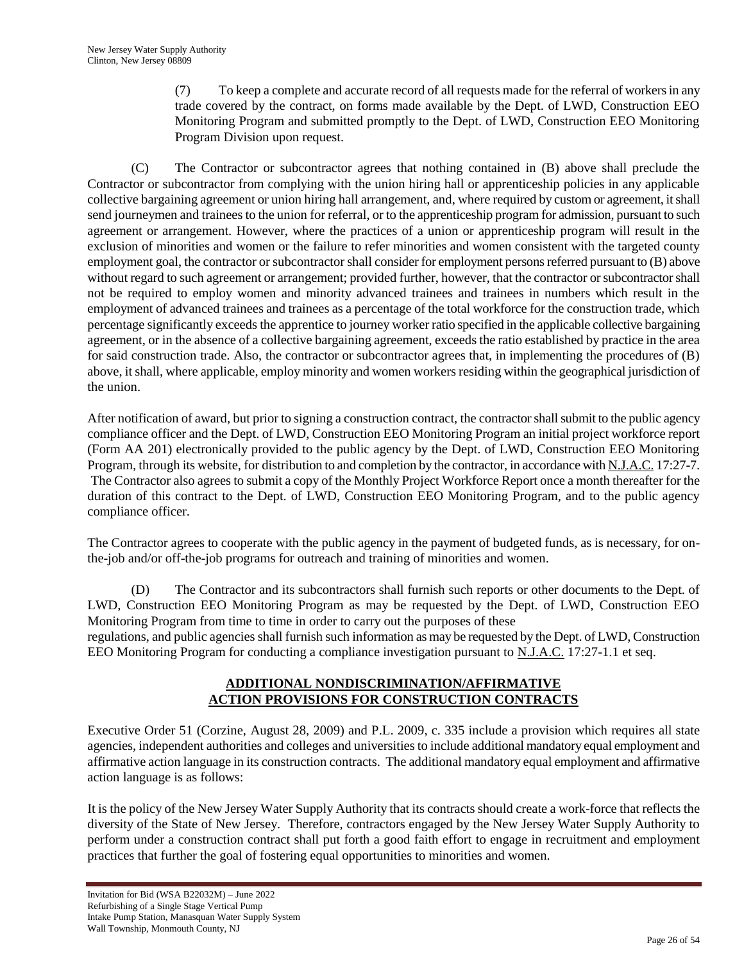(7) To keep a complete and accurate record of all requests made for the referral of workers in any trade covered by the contract, on forms made available by the Dept. of LWD, Construction EEO Monitoring Program and submitted promptly to the Dept. of LWD, Construction EEO Monitoring Program Division upon request.

(C) The Contractor or subcontractor agrees that nothing contained in (B) above shall preclude the Contractor or subcontractor from complying with the union hiring hall or apprenticeship policies in any applicable collective bargaining agreement or union hiring hall arrangement, and, where required by custom or agreement, it shall send journeymen and trainees to the union for referral, or to the apprenticeship program for admission, pursuant to such agreement or arrangement. However, where the practices of a union or apprenticeship program will result in the exclusion of minorities and women or the failure to refer minorities and women consistent with the targeted county employment goal, the contractor or subcontractor shall consider for employment persons referred pursuant to (B) above without regard to such agreement or arrangement; provided further, however, that the contractor or subcontractor shall not be required to employ women and minority advanced trainees and trainees in numbers which result in the employment of advanced trainees and trainees as a percentage of the total workforce for the construction trade, which percentage significantly exceeds the apprentice to journey worker ratio specified in the applicable collective bargaining agreement, or in the absence of a collective bargaining agreement, exceeds the ratio established by practice in the area for said construction trade. Also, the contractor or subcontractor agrees that, in implementing the procedures of (B) above, it shall, where applicable, employ minority and women workers residing within the geographical jurisdiction of the union.

After notification of award, but prior to signing a construction contract, the contractor shall submit to the public agency compliance officer and the Dept. of LWD, Construction EEO Monitoring Program an initial project workforce report (Form AA 201) electronically provided to the public agency by the Dept. of LWD, Construction EEO Monitoring Program, through its website, for distribution to and completion by the contractor, in accordance with N.J.A.C. 17:27-7. The Contractor also agrees to submit a copy of the Monthly Project Workforce Report once a month thereafter for the duration of this contract to the Dept. of LWD, Construction EEO Monitoring Program, and to the public agency compliance officer.

The Contractor agrees to cooperate with the public agency in the payment of budgeted funds, as is necessary, for onthe-job and/or off-the-job programs for outreach and training of minorities and women.

(D) The Contractor and its subcontractors shall furnish such reports or other documents to the Dept. of LWD, Construction EEO Monitoring Program as may be requested by the Dept. of LWD, Construction EEO Monitoring Program from time to time in order to carry out the purposes of these regulations, and public agencies shall furnish such information as may be requested by the Dept. of LWD, Construction EEO Monitoring Program for conducting a compliance investigation pursuant to N.J.A.C. 17:27-1.1 et seq.

# **ADDITIONAL NONDISCRIMINATION/AFFIRMATIVE ACTION PROVISIONS FOR CONSTRUCTION CONTRACTS**

Executive Order 51 (Corzine, August 28, 2009) and P.L. 2009, c. 335 include a provision which requires all state agencies, independent authorities and colleges and universities to include additional mandatory equal employment and affirmative action language in its construction contracts. The additional mandatory equal employment and affirmative action language is as follows:

It is the policy of the New Jersey Water Supply Authority that its contracts should create a work-force that reflects the diversity of the State of New Jersey. Therefore, contractors engaged by the New Jersey Water Supply Authority to perform under a construction contract shall put forth a good faith effort to engage in recruitment and employment practices that further the goal of fostering equal opportunities to minorities and women.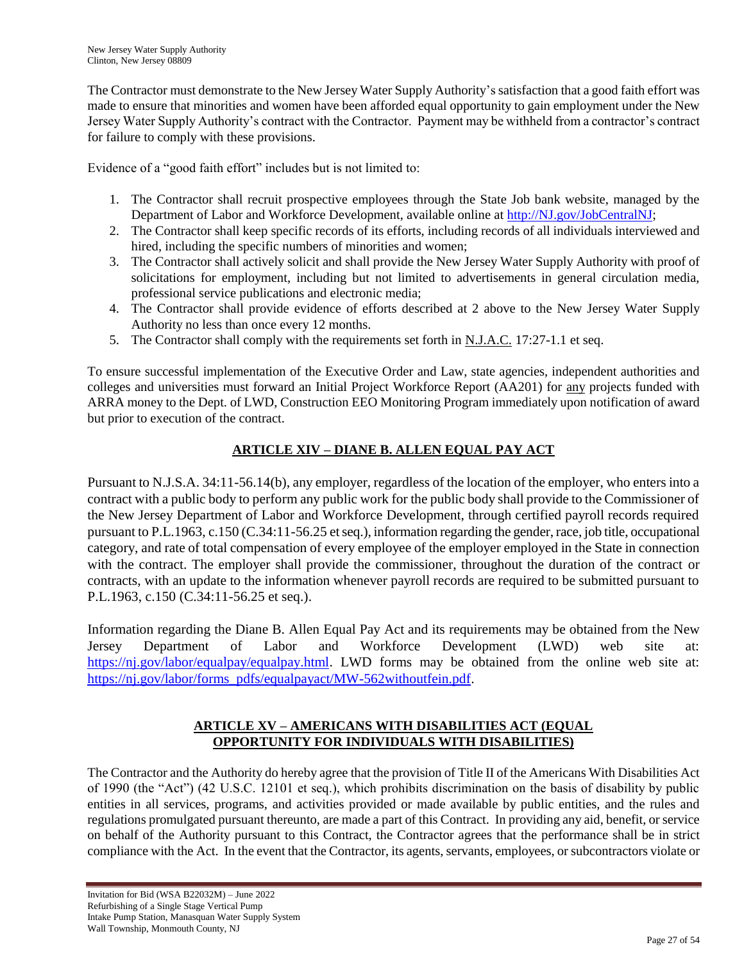The Contractor must demonstrate to the New Jersey Water Supply Authority's satisfaction that a good faith effort was made to ensure that minorities and women have been afforded equal opportunity to gain employment under the New Jersey Water Supply Authority"s contract with the Contractor. Payment may be withheld from a contractor"s contract for failure to comply with these provisions.

Evidence of a "good faith effort" includes but is not limited to:

- 1. The Contractor shall recruit prospective employees through the State Job bank website, managed by the Department of Labor and Workforce Development, available online at [http://NJ.gov/JobCentralNJ;](http://nj.gov/JobCentralNJ)
- 2. The Contractor shall keep specific records of its efforts, including records of all individuals interviewed and hired, including the specific numbers of minorities and women;
- 3. The Contractor shall actively solicit and shall provide the New Jersey Water Supply Authority with proof of solicitations for employment, including but not limited to advertisements in general circulation media, professional service publications and electronic media;
- 4. The Contractor shall provide evidence of efforts described at 2 above to the New Jersey Water Supply Authority no less than once every 12 months.
- 5. The Contractor shall comply with the requirements set forth in N.J.A.C. 17:27-1.1 et seq.

To ensure successful implementation of the Executive Order and Law, state agencies, independent authorities and colleges and universities must forward an Initial Project Workforce Report (AA201) for any projects funded with ARRA money to the Dept. of LWD, Construction EEO Monitoring Program immediately upon notification of award but prior to execution of the contract.

# **ARTICLE XIV – DIANE B. ALLEN EQUAL PAY ACT**

Pursuant to N.J.S.A. 34:11-56.14(b), any employer, regardless of the location of the employer, who enters into a contract with a public body to perform any public work for the public body shall provide to the Commissioner of the New Jersey Department of Labor and Workforce Development, through certified payroll records required pursuant to P.L.1963, c.150 (C.34:11-56.25 et seq.), information regarding the gender, race, job title, occupational category, and rate of total compensation of every employee of the employer employed in the State in connection with the contract. The employer shall provide the commissioner, throughout the duration of the contract or contracts, with an update to the information whenever payroll records are required to be submitted pursuant to P.L.1963, c.150 (C.34:11-56.25 et seq.).

Information regarding the Diane B. Allen Equal Pay Act and its requirements may be obtained from the New Jersey Department of Labor and Workforce Development (LWD) web site at: [https://nj.gov/labor/equalpay/equalpay.html.](https://nj.gov/labor/equalpay/equalpay.html) LWD forms may be obtained from the online web site at: [https://nj.gov/labor/forms\\_pdfs/equalpayact/MW-562withoutfein.pdf.](https://nj.gov/labor/forms_pdfs/equalpayact/MW-562withoutfein.pdf)

# **ARTICLE XV – AMERICANS WITH DISABILITIES ACT (EQUAL OPPORTUNITY FOR INDIVIDUALS WITH DISABILITIES)**

The Contractor and the Authority do hereby agree that the provision of Title II of the Americans With Disabilities Act of 1990 (the "Act") (42 U.S.C. 12101 et seq.), which prohibits discrimination on the basis of disability by public entities in all services, programs, and activities provided or made available by public entities, and the rules and regulations promulgated pursuant thereunto, are made a part of this Contract. In providing any aid, benefit, or service on behalf of the Authority pursuant to this Contract, the Contractor agrees that the performance shall be in strict compliance with the Act. In the event that the Contractor, its agents, servants, employees, or subcontractors violate or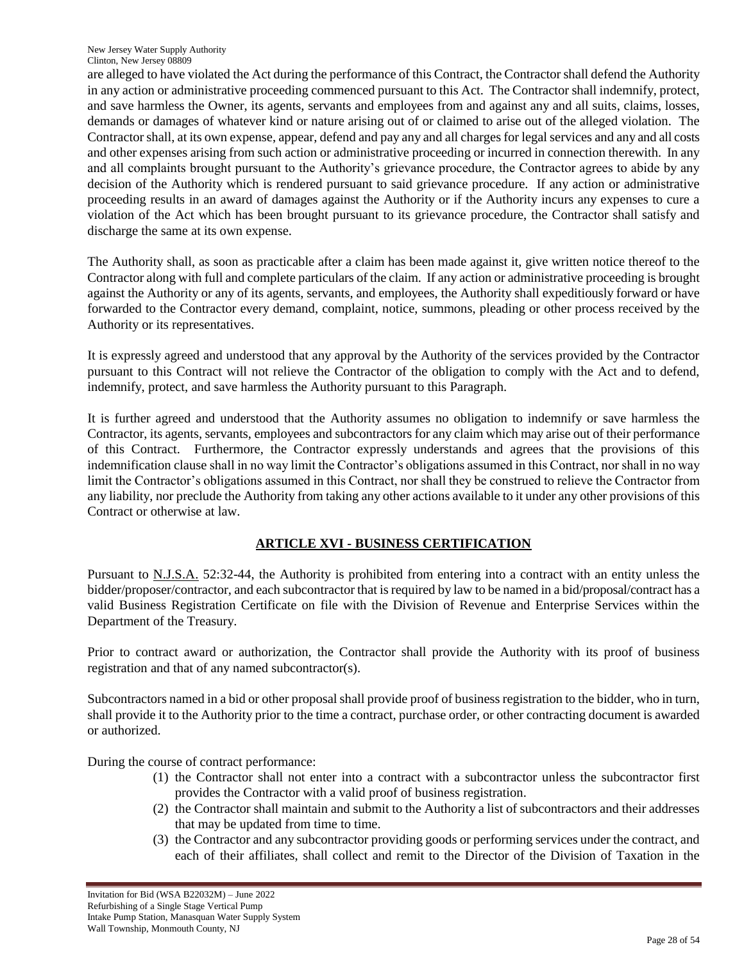are alleged to have violated the Act during the performance of this Contract, the Contractor shall defend the Authority in any action or administrative proceeding commenced pursuant to this Act. The Contractor shall indemnify, protect, and save harmless the Owner, its agents, servants and employees from and against any and all suits, claims, losses, demands or damages of whatever kind or nature arising out of or claimed to arise out of the alleged violation. The Contractor shall, at its own expense, appear, defend and pay any and all charges for legal services and any and all costs and other expenses arising from such action or administrative proceeding or incurred in connection therewith. In any and all complaints brought pursuant to the Authority"s grievance procedure, the Contractor agrees to abide by any decision of the Authority which is rendered pursuant to said grievance procedure. If any action or administrative proceeding results in an award of damages against the Authority or if the Authority incurs any expenses to cure a violation of the Act which has been brought pursuant to its grievance procedure, the Contractor shall satisfy and discharge the same at its own expense.

The Authority shall, as soon as practicable after a claim has been made against it, give written notice thereof to the Contractor along with full and complete particulars of the claim. If any action or administrative proceeding is brought against the Authority or any of its agents, servants, and employees, the Authority shall expeditiously forward or have forwarded to the Contractor every demand, complaint, notice, summons, pleading or other process received by the Authority or its representatives.

It is expressly agreed and understood that any approval by the Authority of the services provided by the Contractor pursuant to this Contract will not relieve the Contractor of the obligation to comply with the Act and to defend, indemnify, protect, and save harmless the Authority pursuant to this Paragraph.

It is further agreed and understood that the Authority assumes no obligation to indemnify or save harmless the Contractor, its agents, servants, employees and subcontractors for any claim which may arise out of their performance of this Contract. Furthermore, the Contractor expressly understands and agrees that the provisions of this indemnification clause shall in no way limit the Contractor's obligations assumed in this Contract, nor shall in no way limit the Contractor's obligations assumed in this Contract, nor shall they be construed to relieve the Contractor from any liability, nor preclude the Authority from taking any other actions available to it under any other provisions of this Contract or otherwise at law.

# **ARTICLE XVI - BUSINESS CERTIFICATION**

Pursuant to N.J.S.A. 52:32-44, the Authority is prohibited from entering into a contract with an entity unless the bidder/proposer/contractor, and each subcontractor that is required by law to be named in a bid/proposal/contract has a valid Business Registration Certificate on file with the Division of Revenue and Enterprise Services within the Department of the Treasury.

Prior to contract award or authorization, the Contractor shall provide the Authority with its proof of business registration and that of any named subcontractor(s).

Subcontractors named in a bid or other proposal shall provide proof of business registration to the bidder, who in turn, shall provide it to the Authority prior to the time a contract, purchase order, or other contracting document is awarded or authorized.

During the course of contract performance:

- (1) the Contractor shall not enter into a contract with a subcontractor unless the subcontractor first provides the Contractor with a valid proof of business registration.
- (2) the Contractor shall maintain and submit to the Authority a list of subcontractors and their addresses that may be updated from time to time.
- (3) the Contractor and any subcontractor providing goods or performing services under the contract, and each of their affiliates, shall collect and remit to the Director of the Division of Taxation in the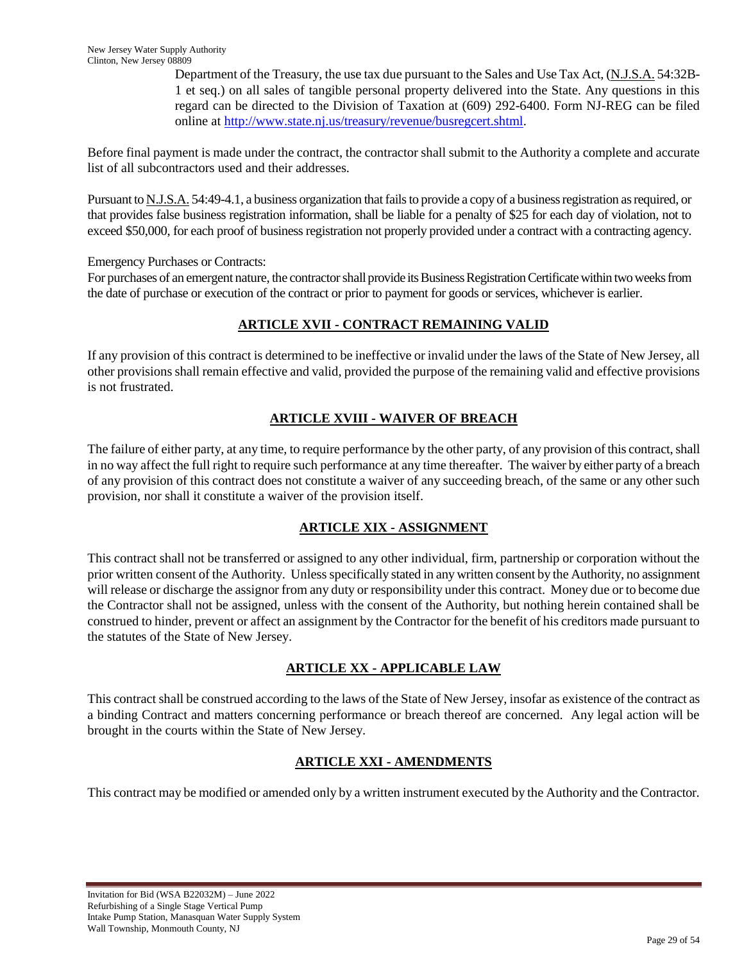Department of the Treasury, the use tax due pursuant to the Sales and Use Tax Act, (N.J.S.A. 54:32B-1 et seq.) on all sales of tangible personal property delivered into the State. Any questions in this regard can be directed to the Division of Taxation at (609) 292-6400. Form NJ-REG can be filed online at [http://www.state.nj.us/treasury/revenue/busregcert.shtml.](http://www.state.nj.us/treasury/revenue/busregcert.shtml)

Before final payment is made under the contract, the contractor shall submit to the Authority a complete and accurate list of all subcontractors used and their addresses.

Pursuant to N.J.S.A. 54:49-4.1, a business organization that fails to provide a copy of a business registration as required, or that provides false business registration information, shall be liable for a penalty of \$25 for each day of violation, not to exceed \$50,000, for each proof of business registration not properly provided under a contract with a contracting agency.

Emergency Purchases or Contracts:

For purchases of an emergent nature, the contractor shall provide its Business Registration Certificate within two weeks from the date of purchase or execution of the contract or prior to payment for goods or services, whichever is earlier.

# **ARTICLE XVII - CONTRACT REMAINING VALID**

If any provision of this contract is determined to be ineffective or invalid under the laws of the State of New Jersey, all other provisions shall remain effective and valid, provided the purpose of the remaining valid and effective provisions is not frustrated.

# **ARTICLE XVIII - WAIVER OF BREACH**

The failure of either party, at any time, to require performance by the other party, of any provision of this contract, shall in no way affect the full right to require such performance at any time thereafter. The waiver by either party of a breach of any provision of this contract does not constitute a waiver of any succeeding breach, of the same or any other such provision, nor shall it constitute a waiver of the provision itself.

# **ARTICLE XIX - ASSIGNMENT**

This contract shall not be transferred or assigned to any other individual, firm, partnership or corporation without the prior written consent of the Authority. Unless specifically stated in any written consent by the Authority, no assignment will release or discharge the assignor from any duty or responsibility under this contract. Money due or to become due the Contractor shall not be assigned, unless with the consent of the Authority, but nothing herein contained shall be construed to hinder, prevent or affect an assignment by the Contractor for the benefit of his creditors made pursuant to the statutes of the State of New Jersey.

# **ARTICLE XX - APPLICABLE LAW**

This contract shall be construed according to the laws of the State of New Jersey, insofar as existence of the contract as a binding Contract and matters concerning performance or breach thereof are concerned. Any legal action will be brought in the courts within the State of New Jersey.

# **ARTICLE XXI - AMENDMENTS**

This contract may be modified or amended only by a written instrument executed by the Authority and the Contractor.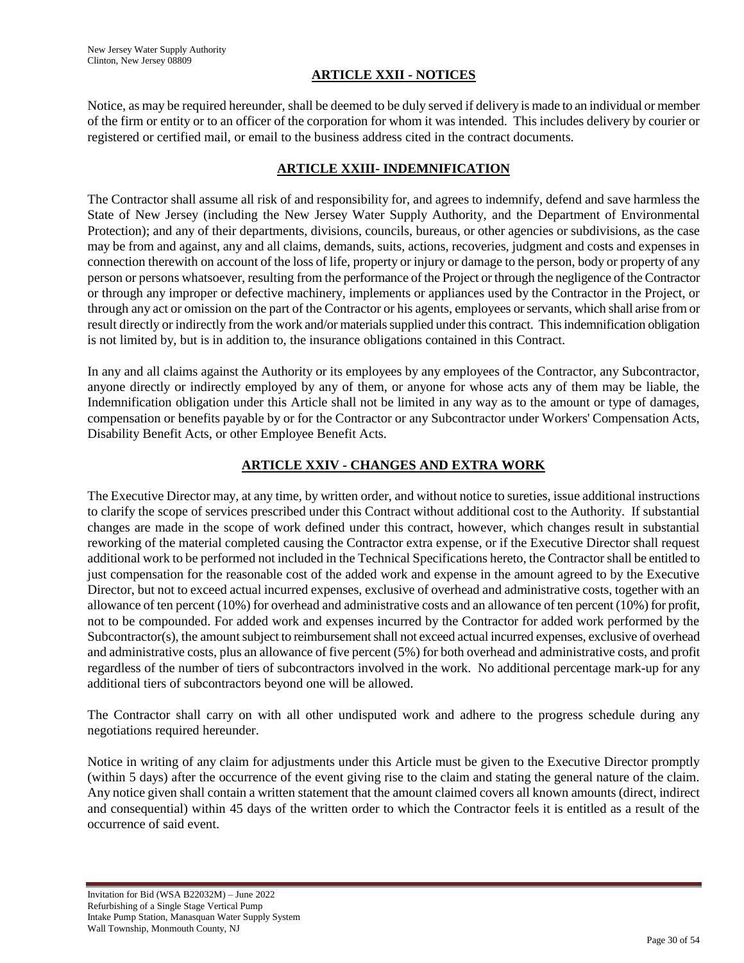## **ARTICLE XXII - NOTICES**

Notice, as may be required hereunder, shall be deemed to be duly served if delivery is made to an individual or member of the firm or entity or to an officer of the corporation for whom it was intended. This includes delivery by courier or registered or certified mail, or email to the business address cited in the contract documents.

## **ARTICLE XXIII- INDEMNIFICATION**

The Contractor shall assume all risk of and responsibility for, and agrees to indemnify, defend and save harmless the State of New Jersey (including the New Jersey Water Supply Authority, and the Department of Environmental Protection); and any of their departments, divisions, councils, bureaus, or other agencies or subdivisions, as the case may be from and against, any and all claims, demands, suits, actions, recoveries, judgment and costs and expenses in connection therewith on account of the loss of life, property or injury or damage to the person, body or property of any person or persons whatsoever, resulting from the performance of the Project or through the negligence of the Contractor or through any improper or defective machinery, implements or appliances used by the Contractor in the Project, or through any act or omission on the part of the Contractor or his agents, employees or servants, which shall arise from or result directly or indirectly from the work and/or materials supplied under this contract. This indemnification obligation is not limited by, but is in addition to, the insurance obligations contained in this Contract.

In any and all claims against the Authority or its employees by any employees of the Contractor, any Subcontractor, anyone directly or indirectly employed by any of them, or anyone for whose acts any of them may be liable, the Indemnification obligation under this Article shall not be limited in any way as to the amount or type of damages, compensation or benefits payable by or for the Contractor or any Subcontractor under Workers' Compensation Acts, Disability Benefit Acts, or other Employee Benefit Acts.

# **ARTICLE XXIV - CHANGES AND EXTRA WORK**

The Executive Director may, at any time, by written order, and without notice to sureties, issue additional instructions to clarify the scope of services prescribed under this Contract without additional cost to the Authority. If substantial changes are made in the scope of work defined under this contract, however, which changes result in substantial reworking of the material completed causing the Contractor extra expense, or if the Executive Director shall request additional work to be performed not included in the Technical Specifications hereto, the Contractor shall be entitled to just compensation for the reasonable cost of the added work and expense in the amount agreed to by the Executive Director, but not to exceed actual incurred expenses, exclusive of overhead and administrative costs, together with an allowance of ten percent (10%) for overhead and administrative costs and an allowance of ten percent (10%) for profit, not to be compounded. For added work and expenses incurred by the Contractor for added work performed by the Subcontractor(s), the amount subject to reimbursement shall not exceed actual incurred expenses, exclusive of overhead and administrative costs, plus an allowance of five percent (5%) for both overhead and administrative costs, and profit regardless of the number of tiers of subcontractors involved in the work. No additional percentage mark-up for any additional tiers of subcontractors beyond one will be allowed.

The Contractor shall carry on with all other undisputed work and adhere to the progress schedule during any negotiations required hereunder.

Notice in writing of any claim for adjustments under this Article must be given to the Executive Director promptly (within 5 days) after the occurrence of the event giving rise to the claim and stating the general nature of the claim. Any notice given shall contain a written statement that the amount claimed covers all known amounts (direct, indirect and consequential) within 45 days of the written order to which the Contractor feels it is entitled as a result of the occurrence of said event.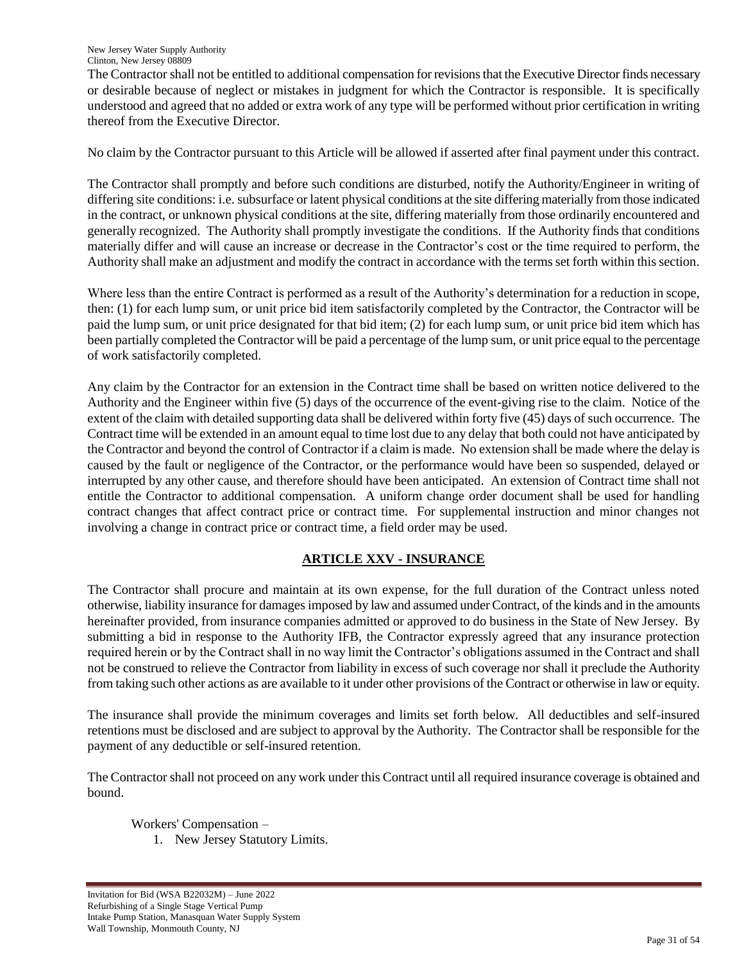The Contractor shall not be entitled to additional compensation for revisions that the Executive Director finds necessary or desirable because of neglect or mistakes in judgment for which the Contractor is responsible. It is specifically understood and agreed that no added or extra work of any type will be performed without prior certification in writing thereof from the Executive Director.

No claim by the Contractor pursuant to this Article will be allowed if asserted after final payment under this contract.

The Contractor shall promptly and before such conditions are disturbed, notify the Authority/Engineer in writing of differing site conditions: i.e. subsurface or latent physical conditions at the site differing materially from those indicated in the contract, or unknown physical conditions at the site, differing materially from those ordinarily encountered and generally recognized. The Authority shall promptly investigate the conditions. If the Authority finds that conditions materially differ and will cause an increase or decrease in the Contractor's cost or the time required to perform, the Authority shall make an adjustment and modify the contract in accordance with the terms set forth within this section.

Where less than the entire Contract is performed as a result of the Authority's determination for a reduction in scope, then: (1) for each lump sum, or unit price bid item satisfactorily completed by the Contractor, the Contractor will be paid the lump sum, or unit price designated for that bid item; (2) for each lump sum, or unit price bid item which has been partially completed the Contractor will be paid a percentage of the lump sum, or unit price equal to the percentage of work satisfactorily completed.

Any claim by the Contractor for an extension in the Contract time shall be based on written notice delivered to the Authority and the Engineer within five (5) days of the occurrence of the event-giving rise to the claim. Notice of the extent of the claim with detailed supporting data shall be delivered within forty five (45) days of such occurrence. The Contract time will be extended in an amount equal to time lost due to any delay that both could not have anticipated by the Contractor and beyond the control of Contractor if a claim is made. No extension shall be made where the delay is caused by the fault or negligence of the Contractor, or the performance would have been so suspended, delayed or interrupted by any other cause, and therefore should have been anticipated. An extension of Contract time shall not entitle the Contractor to additional compensation. A uniform change order document shall be used for handling contract changes that affect contract price or contract time. For supplemental instruction and minor changes not involving a change in contract price or contract time, a field order may be used.

# **ARTICLE XXV - INSURANCE**

The Contractor shall procure and maintain at its own expense, for the full duration of the Contract unless noted otherwise, liability insurance for damages imposed by law and assumed under Contract, of the kinds and in the amounts hereinafter provided, from insurance companies admitted or approved to do business in the State of New Jersey. By submitting a bid in response to the Authority IFB, the Contractor expressly agreed that any insurance protection required herein or by the Contract shall in no way limit the Contractor"s obligations assumed in the Contract and shall not be construed to relieve the Contractor from liability in excess of such coverage nor shall it preclude the Authority from taking such other actions as are available to it under other provisions of the Contract or otherwise in law or equity.

The insurance shall provide the minimum coverages and limits set forth below. All deductibles and self-insured retentions must be disclosed and are subject to approval by the Authority. The Contractor shall be responsible for the payment of any deductible or self-insured retention.

The Contractor shall not proceed on any work under this Contract until all required insurance coverage is obtained and bound.

Workers' Compensation –

1. New Jersey Statutory Limits.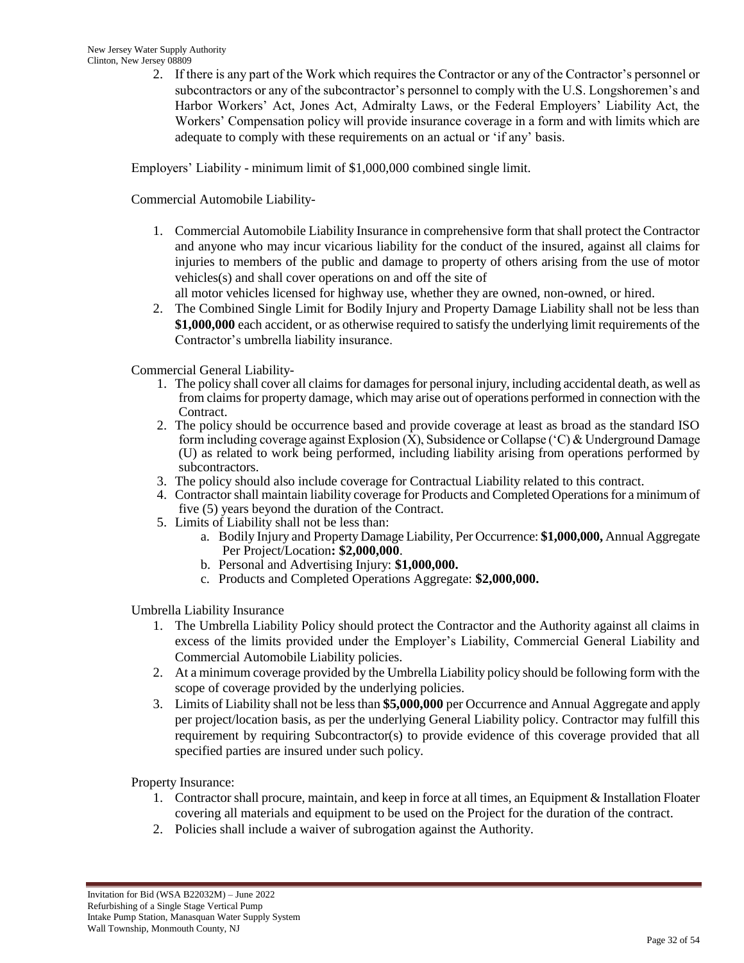2. If there is any part of the Work which requires the Contractor or any of the Contractor"s personnel or subcontractors or any of the subcontractor's personnel to comply with the U.S. Longshoremen's and Harbor Workers" Act, Jones Act, Admiralty Laws, or the Federal Employers" Liability Act, the Workers" Compensation policy will provide insurance coverage in a form and with limits which are adequate to comply with these requirements on an actual or "if any" basis.

Employers" Liability - minimum limit of \$1,000,000 combined single limit.

Commercial Automobile Liability-

1. Commercial Automobile Liability Insurance in comprehensive form that shall protect the Contractor and anyone who may incur vicarious liability for the conduct of the insured, against all claims for injuries to members of the public and damage to property of others arising from the use of motor vehicles(s) and shall cover operations on and off the site of

all motor vehicles licensed for highway use, whether they are owned, non-owned, or hired.

2. The Combined Single Limit for Bodily Injury and Property Damage Liability shall not be less than **\$1,000,000** each accident, or as otherwise required to satisfy the underlying limit requirements of the Contractor"s umbrella liability insurance.

Commercial General Liability-

- 1. The policy shall cover all claims for damages for personal injury, including accidental death, as well as from claims for property damage, which may arise out of operations performed in connection with the Contract.
- 2. The policy should be occurrence based and provide coverage at least as broad as the standard ISO form including coverage against Explosion (X), Subsidence or Collapse ("C) & Underground Damage (U) as related to work being performed, including liability arising from operations performed by subcontractors.
- 3. The policy should also include coverage for Contractual Liability related to this contract.
- 4. Contractor shall maintain liability coverage for Products and Completed Operations for a minimum of five (5) years beyond the duration of the Contract.
- 5. Limits of Liability shall not be less than:
	- a. Bodily Injury and Property Damage Liability, Per Occurrence: **\$1,000,000,** Annual Aggregate Per Project/Location**: \$2,000,000**.
	- b. Personal and Advertising Injury: **\$1,000,000.**
	- c. Products and Completed Operations Aggregate: **\$2,000,000.**

Umbrella Liability Insurance

- 1. The Umbrella Liability Policy should protect the Contractor and the Authority against all claims in excess of the limits provided under the Employer"s Liability, Commercial General Liability and Commercial Automobile Liability policies.
- 2. At a minimum coverage provided by the Umbrella Liability policy should be following form with the scope of coverage provided by the underlying policies.
- 3. Limits of Liability shall not be less than **\$5,000,000** per Occurrence and Annual Aggregate and apply per project/location basis, as per the underlying General Liability policy. Contractor may fulfill this requirement by requiring Subcontractor(s) to provide evidence of this coverage provided that all specified parties are insured under such policy.

Property Insurance:

- 1. Contractor shall procure, maintain, and keep in force at all times, an Equipment & Installation Floater covering all materials and equipment to be used on the Project for the duration of the contract.
- 2. Policies shall include a waiver of subrogation against the Authority.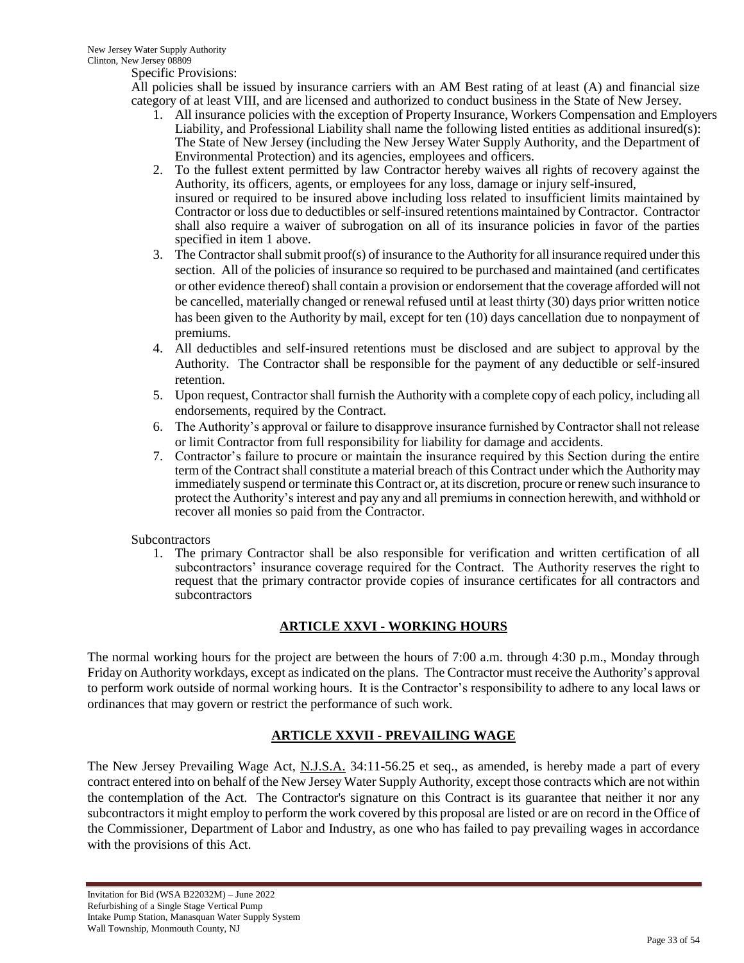Specific Provisions:

All policies shall be issued by insurance carriers with an AM Best rating of at least (A) and financial size category of at least VIII, and are licensed and authorized to conduct business in the State of New Jersey.

- 1. All insurance policies with the exception of Property Insurance, Workers Compensation and Employers Liability, and Professional Liability shall name the following listed entities as additional insured(s): The State of New Jersey (including the New Jersey Water Supply Authority, and the Department of Environmental Protection) and its agencies, employees and officers.
- 2. To the fullest extent permitted by law Contractor hereby waives all rights of recovery against the Authority, its officers, agents, or employees for any loss, damage or injury self-insured, insured or required to be insured above including loss related to insufficient limits maintained by Contractor or loss due to deductibles or self-insured retentions maintained by Contractor. Contractor shall also require a waiver of subrogation on all of its insurance policies in favor of the parties specified in item 1 above.
- 3. The Contractor shall submit proof(s) of insurance to the Authority for all insurance required under this section. All of the policies of insurance so required to be purchased and maintained (and certificates or other evidence thereof) shall contain a provision or endorsement that the coverage afforded will not be cancelled, materially changed or renewal refused until at least thirty (30) days prior written notice has been given to the Authority by mail, except for ten (10) days cancellation due to nonpayment of premiums.
- 4. All deductibles and self-insured retentions must be disclosed and are subject to approval by the Authority. The Contractor shall be responsible for the payment of any deductible or self-insured retention.
- 5. Upon request, Contractor shall furnish the Authority with a complete copy of each policy, including all endorsements, required by the Contract.
- 6. The Authority"s approval or failure to disapprove insurance furnished by Contractor shall not release or limit Contractor from full responsibility for liability for damage and accidents.
- 7. Contractor"s failure to procure or maintain the insurance required by this Section during the entire term of the Contract shall constitute a material breach of this Contract under which the Authority may immediately suspend or terminate this Contract or, at its discretion, procure or renew such insurance to protect the Authority"s interest and pay any and all premiums in connection herewith, and withhold or recover all monies so paid from the Contractor.

## **Subcontractors**

1. The primary Contractor shall be also responsible for verification and written certification of all subcontractors' insurance coverage required for the Contract. The Authority reserves the right to request that the primary contractor provide copies of insurance certificates for all contractors and subcontractors

# **ARTICLE XXVI - WORKING HOURS**

The normal working hours for the project are between the hours of 7:00 a.m. through 4:30 p.m., Monday through Friday on Authority workdays, except as indicated on the plans. The Contractor must receive the Authority"s approval to perform work outside of normal working hours. It is the Contractor"s responsibility to adhere to any local laws or ordinances that may govern or restrict the performance of such work.

# **ARTICLE XXVII - PREVAILING WAGE**

The New Jersey Prevailing Wage Act, N.J.S.A. 34:11-56.25 et seq., as amended, is hereby made a part of every contract entered into on behalf of the New Jersey Water Supply Authority, except those contracts which are not within the contemplation of the Act. The Contractor's signature on this Contract is its guarantee that neither it nor any subcontractors it might employ to perform the work covered by this proposal are listed or are on record in the Office of the Commissioner, Department of Labor and Industry, as one who has failed to pay prevailing wages in accordance with the provisions of this Act.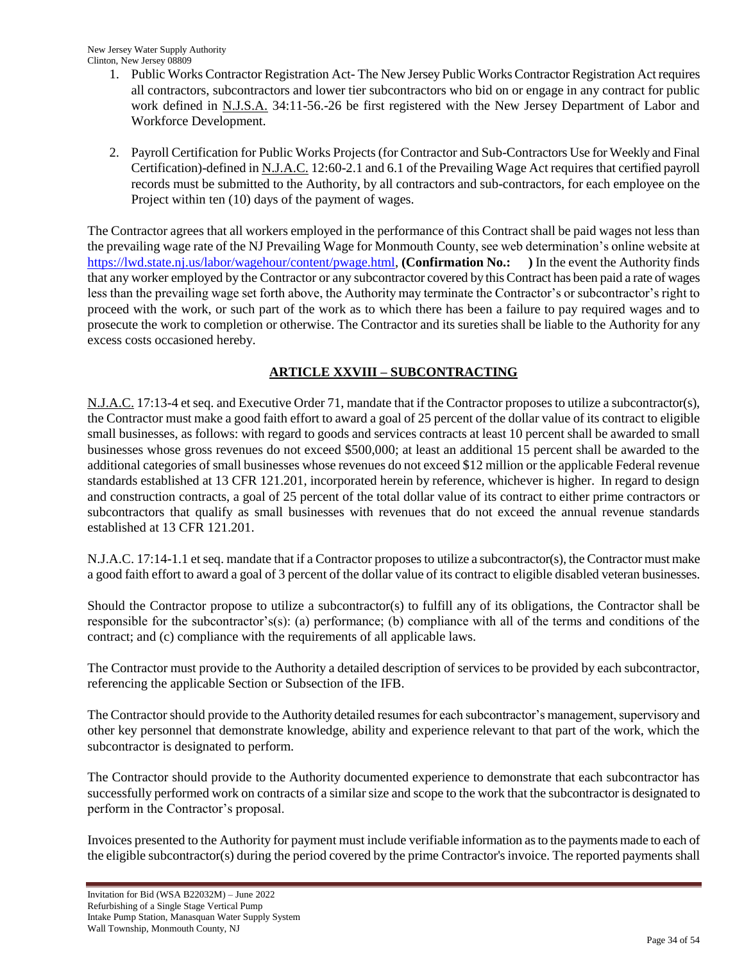New Jersey Water Supply Authority Clinton, New Jersey 08809

- 1. Public Works Contractor Registration Act- The New Jersey Public Works Contractor Registration Act requires all contractors, subcontractors and lower tier subcontractors who bid on or engage in any contract for public work defined in <u>N.J.S.A.</u> 34:11-56.-26 be first registered with the New Jersey Department of Labor and Workforce Development.
- 2. Payroll Certification for Public Works Projects (for Contractor and Sub-Contractors Use for Weekly and Final Certification)-defined in N.J.A.C. 12:60-2.1 and 6.1 of the Prevailing Wage Act requires that certified payroll records must be submitted to the Authority, by all contractors and sub-contractors, for each employee on the Project within ten (10) days of the payment of wages.

The Contractor agrees that all workers employed in the performance of this Contract shall be paid wages not less than the prevailing wage rate of the NJ Prevailing Wage for Monmouth County, see web determination"s online website at [https://lwd.state.nj.us/labor/wagehour/content/pwage.html,](https://lwd.state.nj.us/labor/wagehour/content/pwage.html) **(Confirmation No.: )** In the event the Authority finds that any worker employed by the Contractor or any subcontractor covered by this Contract has been paid a rate of wages less than the prevailing wage set forth above, the Authority may terminate the Contractor's or subcontractor's right to proceed with the work, or such part of the work as to which there has been a failure to pay required wages and to prosecute the work to completion or otherwise. The Contractor and its sureties shall be liable to the Authority for any excess costs occasioned hereby.

# **ARTICLE XXVIII – SUBCONTRACTING**

N.J.A.C. 17:13-4 et seq. and Executive Order 71, mandate that if the Contractor proposes to utilize a subcontractor(s), the Contractor must make a good faith effort to award a goal of 25 percent of the dollar value of its contract to eligible small businesses, as follows: with regard to goods and services contracts at least 10 percent shall be awarded to small businesses whose gross revenues do not exceed \$500,000; at least an additional 15 percent shall be awarded to the additional categories of small businesses whose revenues do not exceed \$12 million or the applicable Federal revenue standards established at 13 CFR 121.201, incorporated herein by reference, whichever is higher. In regard to design and construction contracts, a goal of 25 percent of the total dollar value of its contract to either prime contractors or subcontractors that qualify as small businesses with revenues that do not exceed the annual revenue standards established at 13 CFR 121.201.

N.J.A.C. 17:14-1.1 et seq. mandate that if a Contractor proposes to utilize a subcontractor(s), the Contractor must make a good faith effort to award a goal of 3 percent of the dollar value of its contract to eligible disabled veteran businesses.

Should the Contractor propose to utilize a subcontractor(s) to fulfill any of its obligations, the Contractor shall be responsible for the subcontractor's(s): (a) performance; (b) compliance with all of the terms and conditions of the contract; and (c) compliance with the requirements of all applicable laws.

The Contractor must provide to the Authority a detailed description of services to be provided by each subcontractor, referencing the applicable Section or Subsection of the IFB.

The Contractor should provide to the Authority detailed resumes for each subcontractor"s management, supervisory and other key personnel that demonstrate knowledge, ability and experience relevant to that part of the work, which the subcontractor is designated to perform.

The Contractor should provide to the Authority documented experience to demonstrate that each subcontractor has successfully performed work on contracts of a similar size and scope to the work that the subcontractor is designated to perform in the Contractor's proposal.

Invoices presented to the Authority for payment must include verifiable information as to the payments made to each of the eligible subcontractor(s) during the period covered by the prime Contractor's invoice. The reported payments shall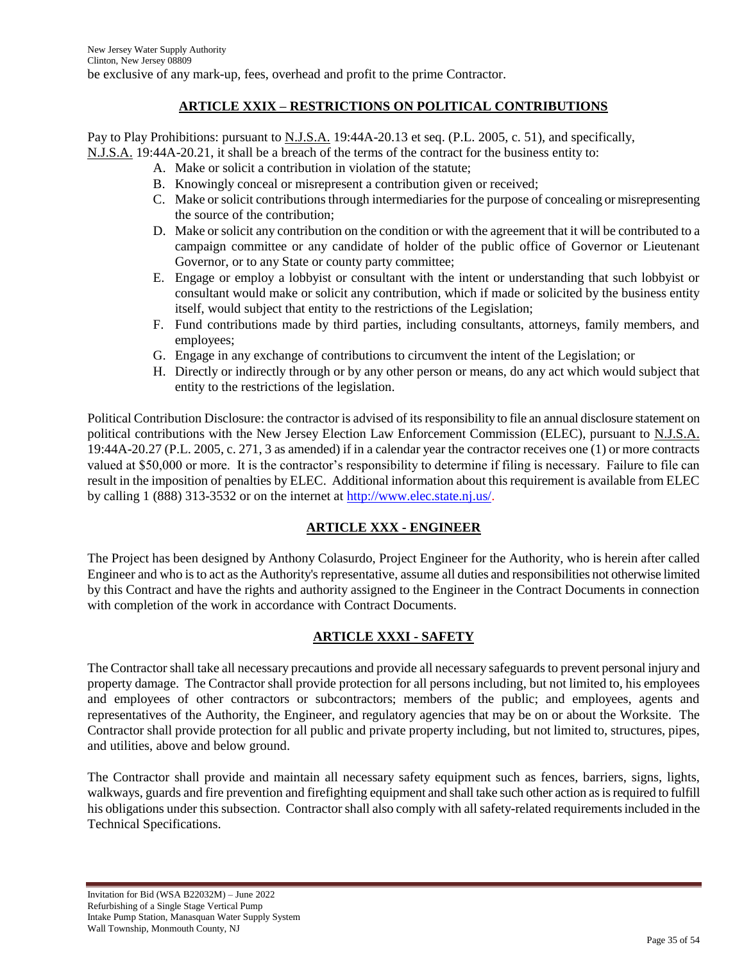# **ARTICLE XXIX – RESTRICTIONS ON POLITICAL CONTRIBUTIONS**

Pay to Play Prohibitions: pursuant to N.J.S.A. 19:44A-20.13 et seq. (P.L. 2005, c. 51), and specifically, N.J.S.A. 19:44A-20.21, it shall be a breach of the terms of the contract for the business entity to:

- A. Make or solicit a contribution in violation of the statute;
- B. Knowingly conceal or misrepresent a contribution given or received;
- C. Make or solicit contributions through intermediaries for the purpose of concealing or misrepresenting the source of the contribution;
- D. Make or solicit any contribution on the condition or with the agreement that it will be contributed to a campaign committee or any candidate of holder of the public office of Governor or Lieutenant Governor, or to any State or county party committee;
- E. Engage or employ a lobbyist or consultant with the intent or understanding that such lobbyist or consultant would make or solicit any contribution, which if made or solicited by the business entity itself, would subject that entity to the restrictions of the Legislation;
- F. Fund contributions made by third parties, including consultants, attorneys, family members, and employees;
- G. Engage in any exchange of contributions to circumvent the intent of the Legislation; or
- H. Directly or indirectly through or by any other person or means, do any act which would subject that entity to the restrictions of the legislation.

Political Contribution Disclosure: the contractor is advised of its responsibility to file an annual disclosure statement on political contributions with the New Jersey Election Law Enforcement Commission (ELEC), pursuant to N.J.S.A. 19:44A-20.27 (P.L. 2005, c. 271, 3 as amended) if in a calendar year the contractor receives one (1) or more contracts valued at \$50,000 or more. It is the contractor"s responsibility to determine if filing is necessary. Failure to file can result in the imposition of penalties by ELEC. Additional information about this requirement is available from ELEC by calling 1 (888) 313-3532 or on the internet at [http://www.elec.state.nj.us/.](http://www.elec.state.nj.us/)

# **ARTICLE XXX - ENGINEER**

The Project has been designed by Anthony Colasurdo, Project Engineer for the Authority, who is herein after called Engineer and who is to act as the Authority's representative, assume all duties and responsibilities not otherwise limited by this Contract and have the rights and authority assigned to the Engineer in the Contract Documents in connection with completion of the work in accordance with Contract Documents.

# **ARTICLE XXXI - SAFETY**

The Contractor shall take all necessary precautions and provide all necessary safeguards to prevent personal injury and property damage. The Contractor shall provide protection for all persons including, but not limited to, his employees and employees of other contractors or subcontractors; members of the public; and employees, agents and representatives of the Authority, the Engineer, and regulatory agencies that may be on or about the Worksite. The Contractor shall provide protection for all public and private property including, but not limited to, structures, pipes, and utilities, above and below ground.

The Contractor shall provide and maintain all necessary safety equipment such as fences, barriers, signs, lights, walkways, guards and fire prevention and firefighting equipment and shall take such other action as is required to fulfill his obligations under this subsection. Contractor shall also comply with all safety-related requirements included in the Technical Specifications.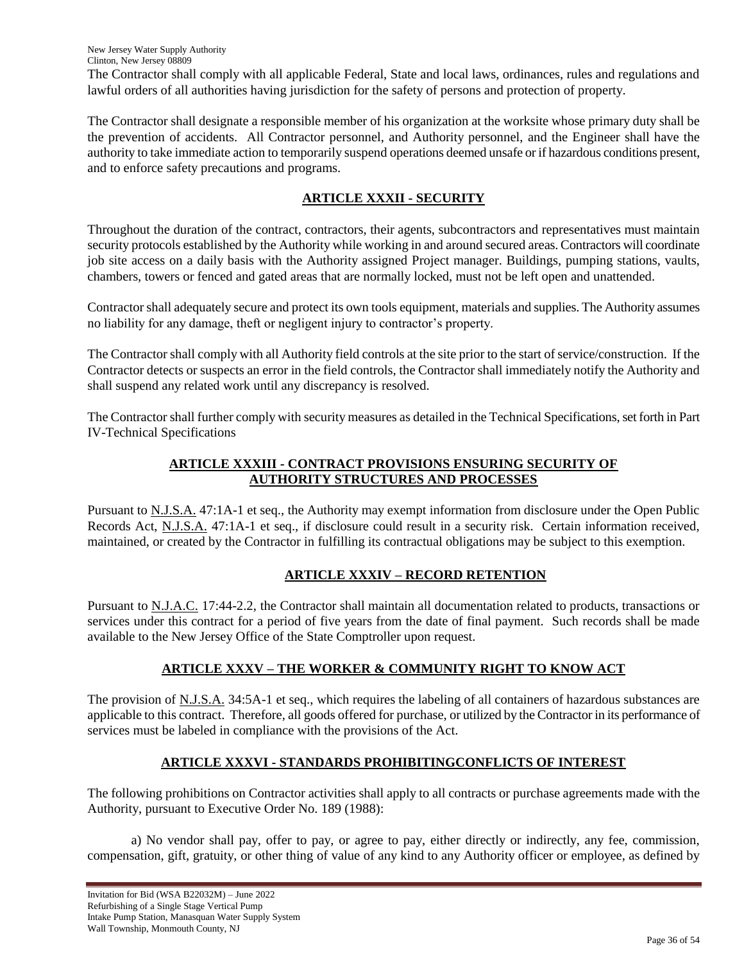The Contractor shall comply with all applicable Federal, State and local laws, ordinances, rules and regulations and lawful orders of all authorities having jurisdiction for the safety of persons and protection of property.

The Contractor shall designate a responsible member of his organization at the worksite whose primary duty shall be the prevention of accidents. All Contractor personnel, and Authority personnel, and the Engineer shall have the authority to take immediate action to temporarily suspend operations deemed unsafe or if hazardous conditions present, and to enforce safety precautions and programs.

# **ARTICLE XXXII - SECURITY**

Throughout the duration of the contract, contractors, their agents, subcontractors and representatives must maintain security protocols established by the Authority while working in and around secured areas. Contractors will coordinate job site access on a daily basis with the Authority assigned Project manager. Buildings, pumping stations, vaults, chambers, towers or fenced and gated areas that are normally locked, must not be left open and unattended.

Contractor shall adequately secure and protect its own tools equipment, materials and supplies. The Authority assumes no liability for any damage, theft or negligent injury to contractor"s property.

The Contractor shall comply with all Authority field controls at the site prior to the start of service/construction. If the Contractor detects or suspects an error in the field controls, the Contractor shall immediately notify the Authority and shall suspend any related work until any discrepancy is resolved.

The Contractor shall further comply with security measures as detailed in the Technical Specifications, set forth in Part IV-Technical Specifications

# **ARTICLE XXXIII - CONTRACT PROVISIONS ENSURING SECURITY OF AUTHORITY STRUCTURES AND PROCESSES**

Pursuant to N.J.S.A. 47:1A-1 et seq., the Authority may exempt information from disclosure under the Open Public Records Act, N.J.S.A. 47:1A-1 et seq., if disclosure could result in a security risk. Certain information received, maintained, or created by the Contractor in fulfilling its contractual obligations may be subject to this exemption.

# **ARTICLE XXXIV – RECORD RETENTION**

Pursuant to N.J.A.C. 17:44-2.2, the Contractor shall maintain all documentation related to products, transactions or services under this contract for a period of five years from the date of final payment. Such records shall be made available to the New Jersey Office of the State Comptroller upon request.

# **ARTICLE XXXV – THE WORKER & COMMUNITY RIGHT TO KNOW ACT**

The provision of N.J.S.A. 34:5A-1 et seq., which requires the labeling of all containers of hazardous substances are applicable to this contract. Therefore, all goods offered for purchase, or utilized by the Contractor in its performance of services must be labeled in compliance with the provisions of the Act.

# **ARTICLE XXXVI - STANDARDS PROHIBITINGCONFLICTS OF INTEREST**

The following prohibitions on Contractor activities shall apply to all contracts or purchase agreements made with the Authority, pursuant to Executive Order No. 189 (1988):

a) No vendor shall pay, offer to pay, or agree to pay, either directly or indirectly, any fee, commission, compensation, gift, gratuity, or other thing of value of any kind to any Authority officer or employee, as defined by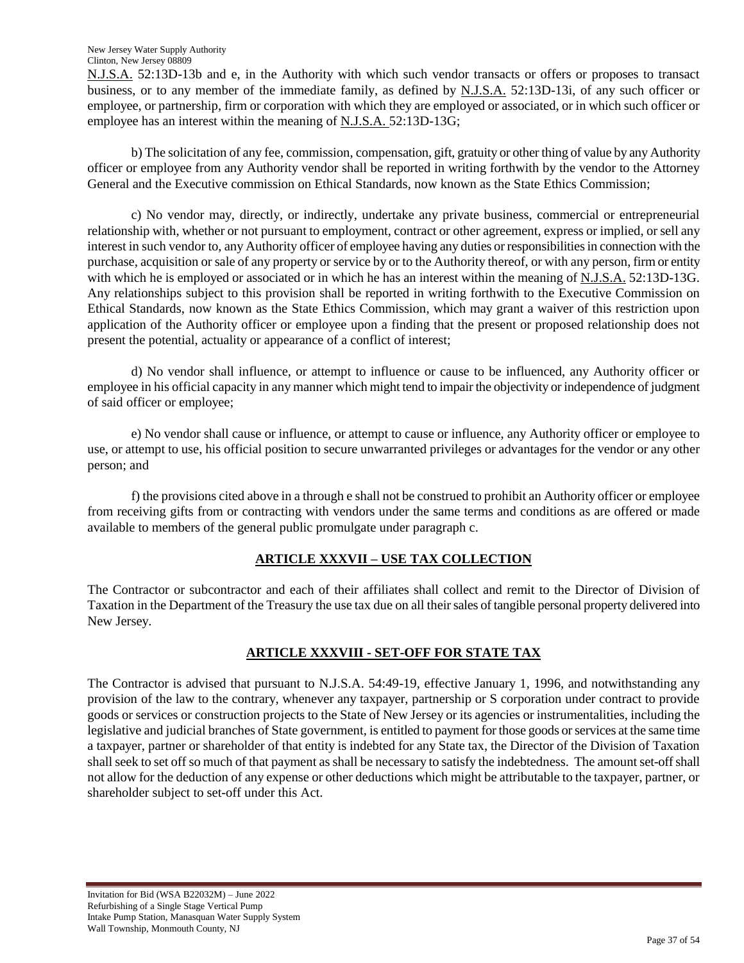New Jersey Water Supply Authority Clinton, New Jersey 08809

N.J.S.A. 52:13D-13b and e, in the Authority with which such vendor transacts or offers or proposes to transact business, or to any member of the immediate family, as defined by N.J.S.A. 52:13D-13i, of any such officer or employee, or partnership, firm or corporation with which they are employed or associated, or in which such officer or employee has an interest within the meaning of N.J.S.A. 52:13D-13G;

b) The solicitation of any fee, commission, compensation, gift, gratuity or other thing of value by any Authority officer or employee from any Authority vendor shall be reported in writing forthwith by the vendor to the Attorney General and the Executive commission on Ethical Standards, now known as the State Ethics Commission;

c) No vendor may, directly, or indirectly, undertake any private business, commercial or entrepreneurial relationship with, whether or not pursuant to employment, contract or other agreement, express or implied, or sell any interest in such vendor to, any Authority officer of employee having any duties or responsibilities in connection with the purchase, acquisition or sale of any property or service by or to the Authority thereof, or with any person, firm or entity with which he is employed or associated or in which he has an interest within the meaning of N.J.S.A. 52:13D-13G. Any relationships subject to this provision shall be reported in writing forthwith to the Executive Commission on Ethical Standards, now known as the State Ethics Commission, which may grant a waiver of this restriction upon application of the Authority officer or employee upon a finding that the present or proposed relationship does not present the potential, actuality or appearance of a conflict of interest;

d) No vendor shall influence, or attempt to influence or cause to be influenced, any Authority officer or employee in his official capacity in any manner which might tend to impair the objectivity or independence of judgment of said officer or employee;

e) No vendor shall cause or influence, or attempt to cause or influence, any Authority officer or employee to use, or attempt to use, his official position to secure unwarranted privileges or advantages for the vendor or any other person; and

f) the provisions cited above in a through e shall not be construed to prohibit an Authority officer or employee from receiving gifts from or contracting with vendors under the same terms and conditions as are offered or made available to members of the general public promulgate under paragraph c.

# **ARTICLE XXXVII – USE TAX COLLECTION**

The Contractor or subcontractor and each of their affiliates shall collect and remit to the Director of Division of Taxation in the Department of the Treasury the use tax due on all their sales of tangible personal property delivered into New Jersey.

# **ARTICLE XXXVIII - SET-OFF FOR STATE TAX**

The Contractor is advised that pursuant to N.J.S.A. 54:49-19, effective January 1, 1996, and notwithstanding any provision of the law to the contrary, whenever any taxpayer, partnership or S corporation under contract to provide goods or services or construction projects to the State of New Jersey or its agencies or instrumentalities, including the legislative and judicial branches of State government, is entitled to payment for those goods or services at the same time a taxpayer, partner or shareholder of that entity is indebted for any State tax, the Director of the Division of Taxation shall seek to set off so much of that payment as shall be necessary to satisfy the indebtedness. The amount set-off shall not allow for the deduction of any expense or other deductions which might be attributable to the taxpayer, partner, or shareholder subject to set-off under this Act.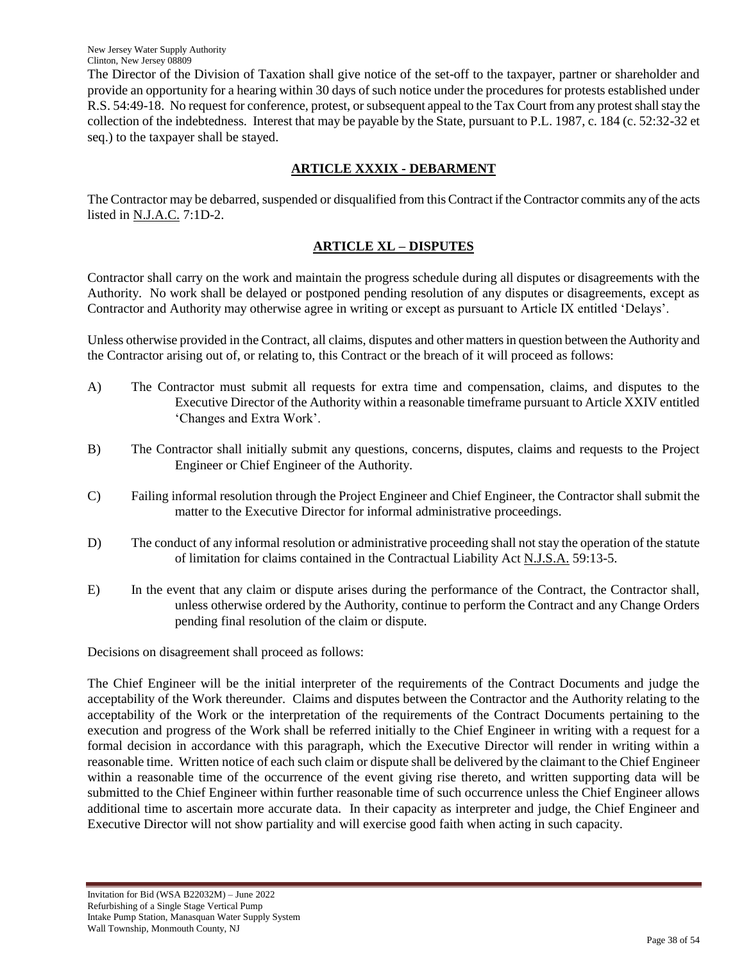The Director of the Division of Taxation shall give notice of the set-off to the taxpayer, partner or shareholder and provide an opportunity for a hearing within 30 days of such notice under the procedures for protests established under R.S. 54:49-18. No request for conference, protest, or subsequent appeal to the Tax Court from any protest shall stay the collection of the indebtedness. Interest that may be payable by the State, pursuant to P.L. 1987, c. 184 (c. 52:32-32 et seq.) to the taxpayer shall be stayed.

# **ARTICLE XXXIX - DEBARMENT**

The Contractor may be debarred, suspended or disqualified from this Contract if the Contractor commits any of the acts listed in N.J.A.C. 7:1D-2.

# **ARTICLE XL – DISPUTES**

Contractor shall carry on the work and maintain the progress schedule during all disputes or disagreements with the Authority. No work shall be delayed or postponed pending resolution of any disputes or disagreements, except as Contractor and Authority may otherwise agree in writing or except as pursuant to Article IX entitled "Delays".

Unless otherwise provided in the Contract, all claims, disputes and other matters in question between the Authority and the Contractor arising out of, or relating to, this Contract or the breach of it will proceed as follows:

- A) The Contractor must submit all requests for extra time and compensation, claims, and disputes to the Executive Director of the Authority within a reasonable timeframe pursuant to Article XXIV entitled "Changes and Extra Work".
- B) The Contractor shall initially submit any questions, concerns, disputes, claims and requests to the Project Engineer or Chief Engineer of the Authority.
- C) Failing informal resolution through the Project Engineer and Chief Engineer, the Contractor shall submit the matter to the Executive Director for informal administrative proceedings.
- D) The conduct of any informal resolution or administrative proceeding shall not stay the operation of the statute of limitation for claims contained in the Contractual Liability Act N.J.S.A. 59:13-5.
- E) In the event that any claim or dispute arises during the performance of the Contract, the Contractor shall, unless otherwise ordered by the Authority, continue to perform the Contract and any Change Orders pending final resolution of the claim or dispute.

Decisions on disagreement shall proceed as follows:

The Chief Engineer will be the initial interpreter of the requirements of the Contract Documents and judge the acceptability of the Work thereunder. Claims and disputes between the Contractor and the Authority relating to the acceptability of the Work or the interpretation of the requirements of the Contract Documents pertaining to the execution and progress of the Work shall be referred initially to the Chief Engineer in writing with a request for a formal decision in accordance with this paragraph, which the Executive Director will render in writing within a reasonable time. Written notice of each such claim or dispute shall be delivered by the claimant to the Chief Engineer within a reasonable time of the occurrence of the event giving rise thereto, and written supporting data will be submitted to the Chief Engineer within further reasonable time of such occurrence unless the Chief Engineer allows additional time to ascertain more accurate data. In their capacity as interpreter and judge, the Chief Engineer and Executive Director will not show partiality and will exercise good faith when acting in such capacity.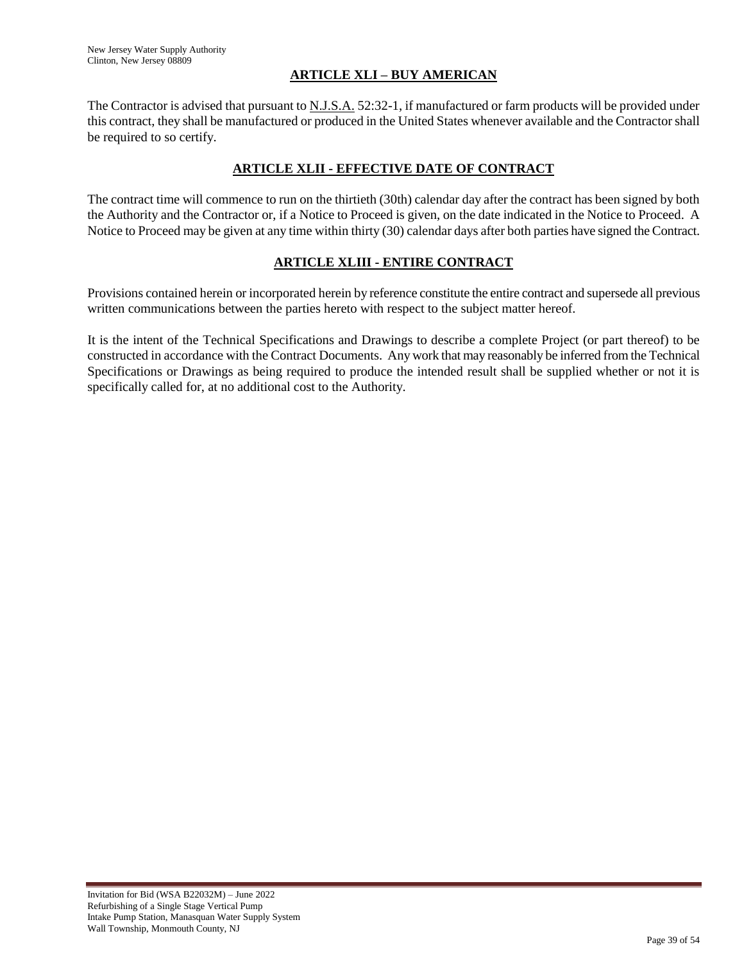# **ARTICLE XLI – BUY AMERICAN**

The Contractor is advised that pursuant to <u>N.J.S.A.</u> 52:32-1, if manufactured or farm products will be provided under this contract, they shall be manufactured or produced in the United States whenever available and the Contractor shall be required to so certify.

## **ARTICLE XLII - EFFECTIVE DATE OF CONTRACT**

The contract time will commence to run on the thirtieth (30th) calendar day after the contract has been signed by both the Authority and the Contractor or, if a Notice to Proceed is given, on the date indicated in the Notice to Proceed. A Notice to Proceed may be given at any time within thirty (30) calendar days after both parties have signed the Contract.

# **ARTICLE XLIII - ENTIRE CONTRACT**

Provisions contained herein or incorporated herein by reference constitute the entire contract and supersede all previous written communications between the parties hereto with respect to the subject matter hereof.

It is the intent of the Technical Specifications and Drawings to describe a complete Project (or part thereof) to be constructed in accordance with the Contract Documents. Any work that may reasonably be inferred from the Technical Specifications or Drawings as being required to produce the intended result shall be supplied whether or not it is specifically called for, at no additional cost to the Authority.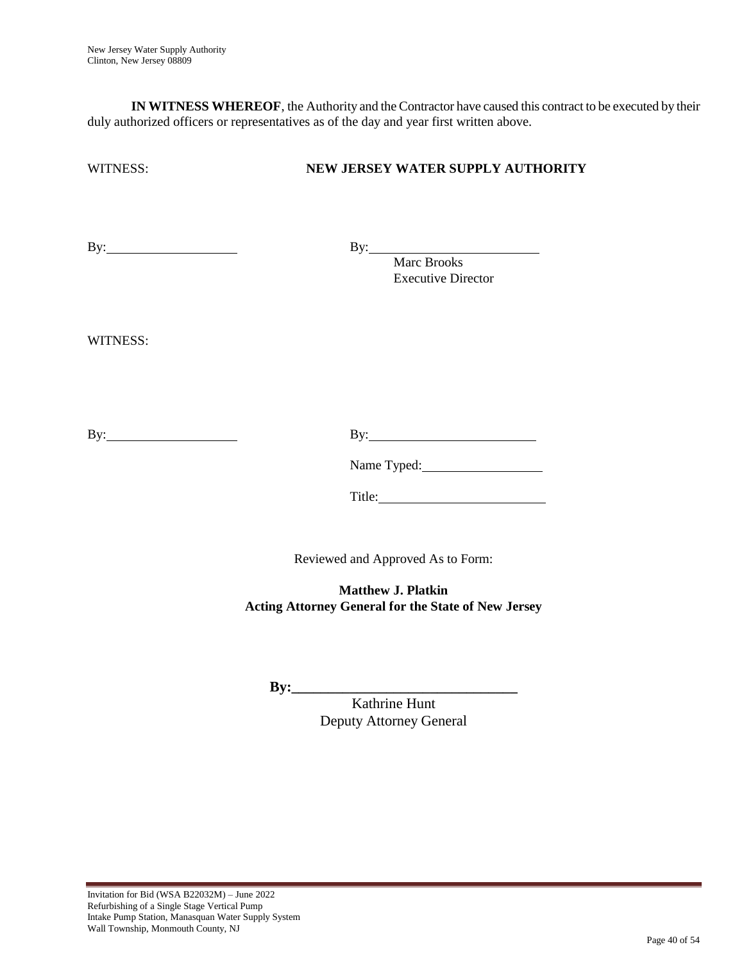**IN WITNESS WHEREOF**, the Authority and the Contractor have caused this contract to be executed by their duly authorized officers or representatives as of the day and year first written above.

# WITNESS: **NEW JERSEY WATER SUPPLY AUTHORITY**

By: By: By:

Marc Brooks Executive Director

WITNESS:

By: By:

Name Typed:

Title:

Reviewed and Approved As to Form:

**Matthew J. Platkin Acting Attorney General for the State of New Jersey**

**By:\_\_\_\_\_\_\_\_\_\_\_\_\_\_\_\_\_\_\_\_\_\_\_\_\_\_\_\_\_\_\_**

Kathrine Hunt Deputy Attorney General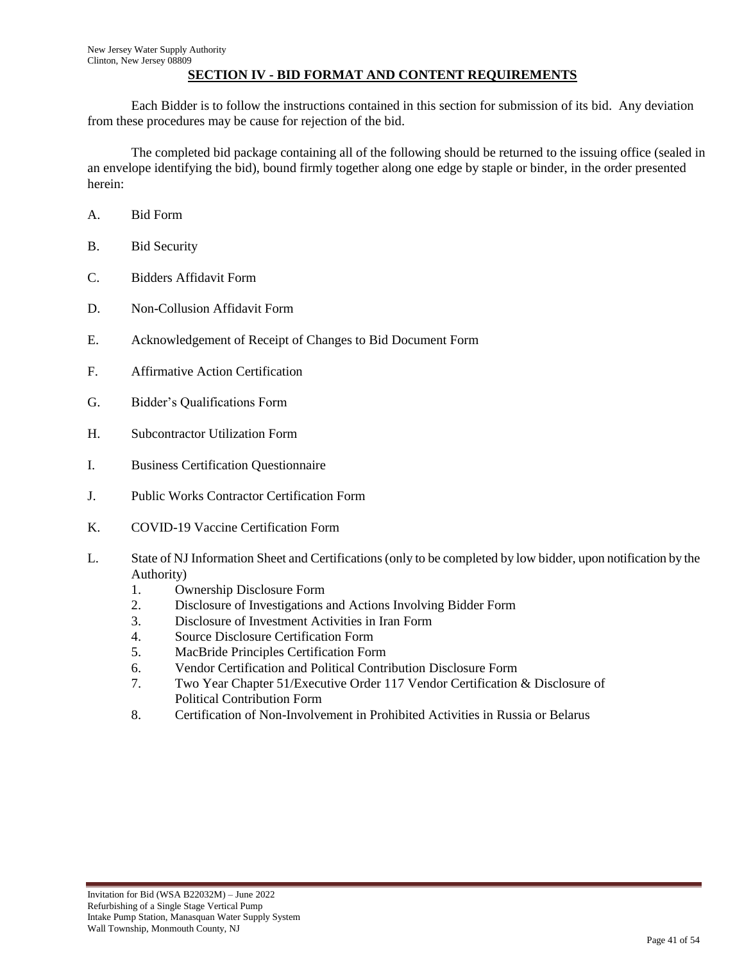## **SECTION IV - BID FORMAT AND CONTENT REQUIREMENTS**

Each Bidder is to follow the instructions contained in this section for submission of its bid. Any deviation from these procedures may be cause for rejection of the bid.

The completed bid package containing all of the following should be returned to the issuing office (sealed in an envelope identifying the bid), bound firmly together along one edge by staple or binder, in the order presented herein:

- A. Bid Form
- B. Bid Security
- C. Bidders Affidavit Form
- D. Non-Collusion Affidavit Form
- E. Acknowledgement of Receipt of Changes to Bid Document Form
- F. Affirmative Action Certification
- G. Bidder"s Qualifications Form
- H. Subcontractor Utilization Form
- I. Business Certification Questionnaire
- J. Public Works Contractor Certification Form
- K. COVID-19 Vaccine Certification Form
- L. State of NJ Information Sheet and Certifications (only to be completed by low bidder, upon notification by the Authority)
	- 1. Ownership Disclosure Form
	- 2. Disclosure of Investigations and Actions Involving Bidder Form
	- 3. Disclosure of Investment Activities in Iran Form
	- 4. Source Disclosure Certification Form
	- 5. MacBride Principles Certification Form
	- 6. Vendor Certification and Political Contribution Disclosure Form
	- 7. Two Year Chapter 51/Executive Order 117 Vendor Certification & Disclosure of Political Contribution Form
	- 8. Certification of Non-Involvement in Prohibited Activities in Russia or Belarus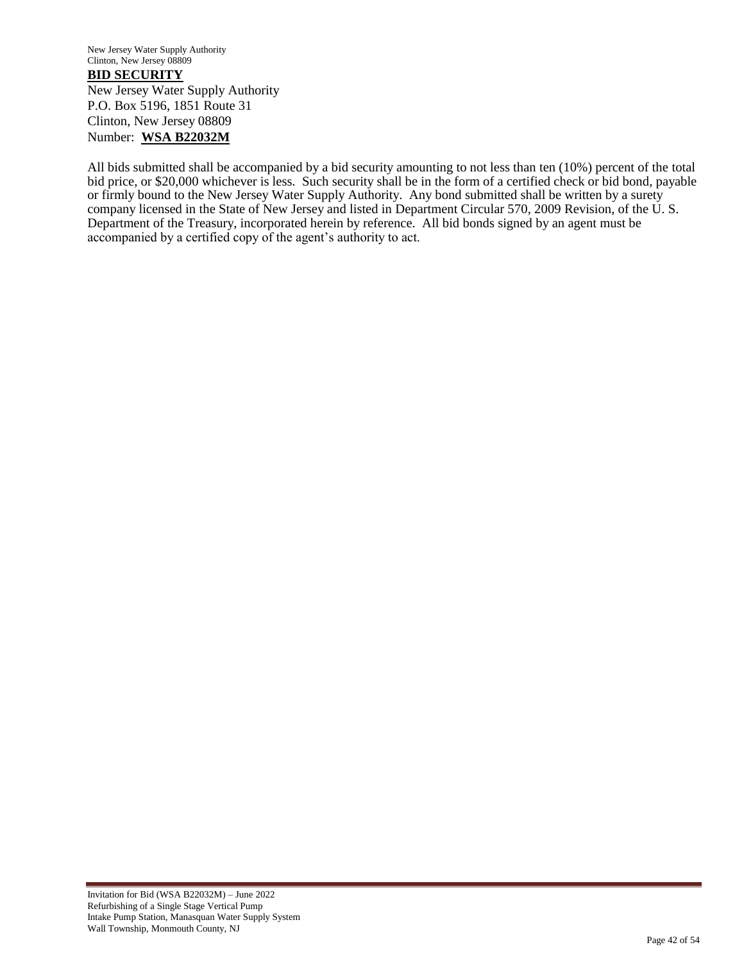New Jersey Water Supply Authority Clinton, New Jersey 08809 **BID SECURITY** New Jersey Water Supply Authority P.O. Box 5196, 1851 Route 31 Clinton, New Jersey 08809 Number: **WSA B22032M**

All bids submitted shall be accompanied by a bid security amounting to not less than ten (10%) percent of the total bid price, or \$20,000 whichever is less. Such security shall be in the form of a certified check or bid bond, payable or firmly bound to the New Jersey Water Supply Authority. Any bond submitted shall be written by a surety company licensed in the State of New Jersey and listed in Department Circular 570, 2009 Revision, of the U. S. Department of the Treasury, incorporated herein by reference. All bid bonds signed by an agent must be accompanied by a certified copy of the agent's authority to act.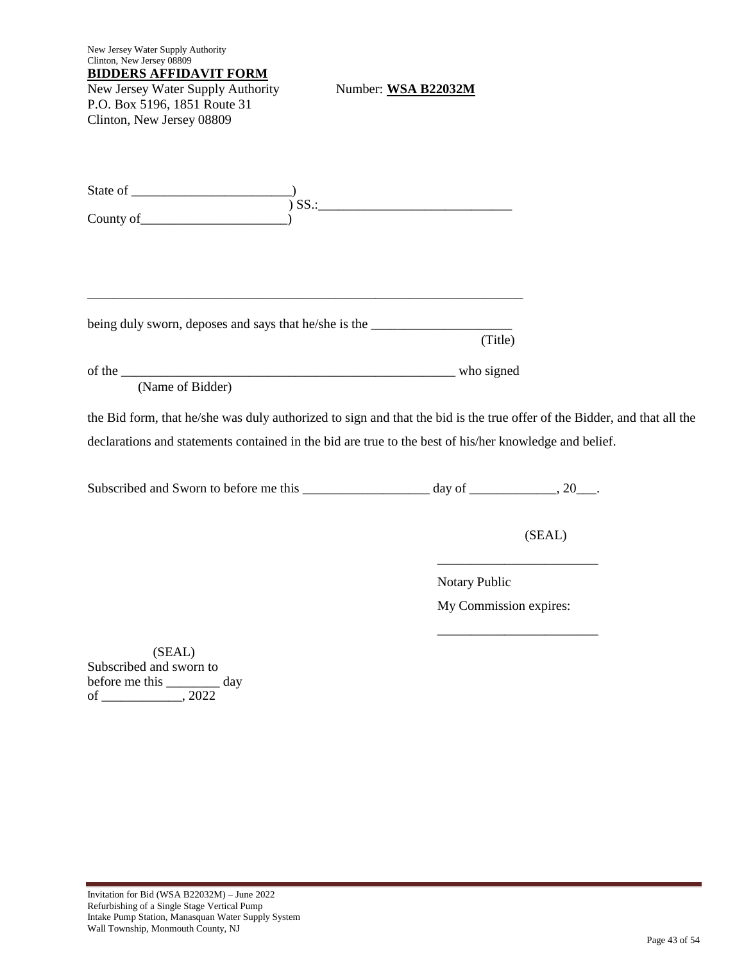| New Jersey Water Supply Authority<br>Clinton, New Jersey 08809                                                           |                        |        |  |
|--------------------------------------------------------------------------------------------------------------------------|------------------------|--------|--|
| <b>BIDDERS AFFIDAVIT FORM</b><br>New Jersey Water Supply Authority                                                       | Number: WSA B22032M    |        |  |
| P.O. Box 5196, 1851 Route 31                                                                                             |                        |        |  |
| Clinton, New Jersey 08809                                                                                                |                        |        |  |
|                                                                                                                          |                        |        |  |
|                                                                                                                          |                        |        |  |
|                                                                                                                          |                        |        |  |
|                                                                                                                          |                        |        |  |
|                                                                                                                          |                        |        |  |
| being duly sworn, deposes and says that he/she is the __________________________                                         | (Title)                |        |  |
|                                                                                                                          |                        |        |  |
| (Name of Bidder)                                                                                                         |                        |        |  |
| the Bid form, that he/she was duly authorized to sign and that the bid is the true offer of the Bidder, and that all the |                        |        |  |
| declarations and statements contained in the bid are true to the best of his/her knowledge and belief.                   |                        |        |  |
|                                                                                                                          |                        |        |  |
|                                                                                                                          |                        | (SEAL) |  |
|                                                                                                                          | Notary Public          |        |  |
|                                                                                                                          | My Commission expires: |        |  |
| (SEAL)<br>Subscribed and sworn to<br>before me this __________ day                                                       |                        |        |  |
|                                                                                                                          |                        |        |  |

÷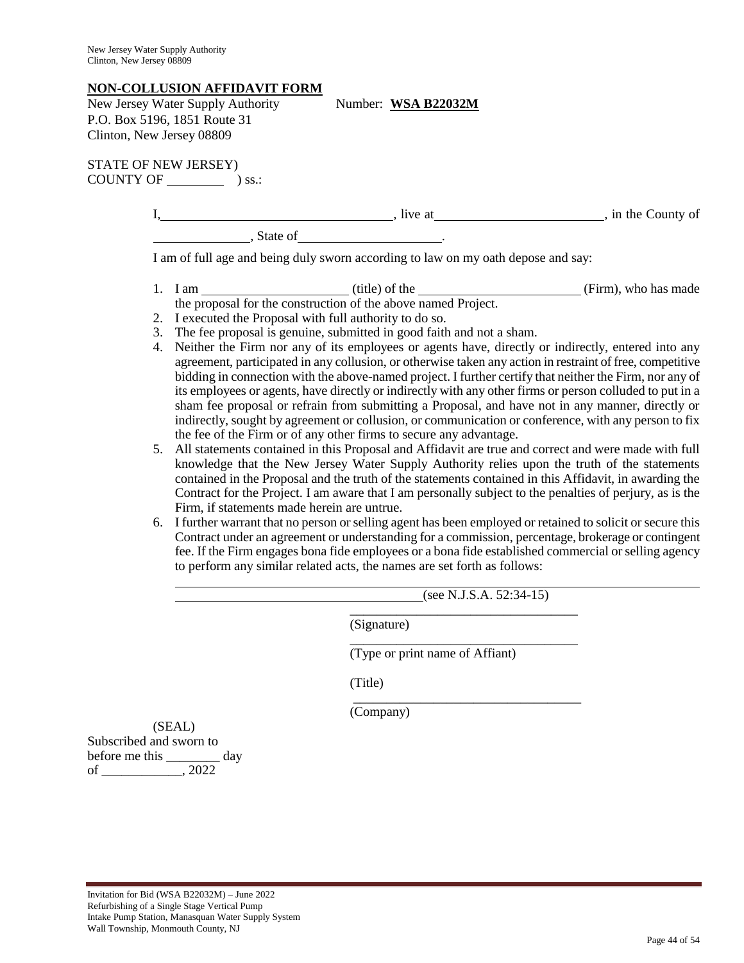#### **NON-COLLUSION AFFIDAVIT FORM**

| New Jersey Water Supply Authority |
|-----------------------------------|
| P.O. Box 5196, 1851 Route 31      |
| Clinton, New Jersey 08809         |

Number: WSA B22032M

STATE OF NEW JERSEY) COUNTY OF  $\qquad \qquad$  ) ss.:

|          | ומ בזדו | in the County of |
|----------|---------|------------------|
| State of |         |                  |

I am of full age and being duly sworn according to law on my oath depose and say:

- 1. I am (title) of the (Firm), who has made the proposal for the construction of the above named Project.
- 2. I executed the Proposal with full authority to do so.
- 3. The fee proposal is genuine, submitted in good faith and not a sham.
- 4. Neither the Firm nor any of its employees or agents have, directly or indirectly, entered into any agreement, participated in any collusion, or otherwise taken any action in restraint of free, competitive bidding in connection with the above-named project. I further certify that neither the Firm, nor any of its employees or agents, have directly or indirectly with any other firms or person colluded to put in a sham fee proposal or refrain from submitting a Proposal, and have not in any manner, directly or indirectly, sought by agreement or collusion, or communication or conference, with any person to fix the fee of the Firm or of any other firms to secure any advantage.
- 5. All statements contained in this Proposal and Affidavit are true and correct and were made with full knowledge that the New Jersey Water Supply Authority relies upon the truth of the statements contained in the Proposal and the truth of the statements contained in this Affidavit, in awarding the Contract for the Project. I am aware that I am personally subject to the penalties of perjury, as is the Firm, if statements made herein are untrue.
- 6. I further warrant that no person or selling agent has been employed or retained to solicit or secure this Contract under an agreement or understanding for a commission, percentage, brokerage or contingent fee. If the Firm engages bona fide employees or a bona fide established commercial or selling agency to perform any similar related acts, the names are set forth as follows:

 $(see N.J.S.A. 52:34-15)$ 

(Signature)

(Type or print name of Affiant)

\_\_\_\_\_\_\_\_\_\_\_\_\_\_\_\_\_\_\_\_\_\_\_\_\_\_\_\_\_\_\_\_\_\_

\_\_\_\_\_\_\_\_\_\_\_\_\_\_\_\_\_\_\_\_\_\_\_\_\_\_\_\_\_\_\_\_\_\_

(Title)

 $\overline{\phantom{a}}$  , and the contract of the contract of the contract of the contract of the contract of the contract of the contract of the contract of the contract of the contract of the contract of the contract of the contrac

(Company)

(SEAL) Subscribed and sworn to before me this \_\_\_\_\_\_\_\_ day of \_\_\_\_\_\_\_\_\_\_\_\_, 2022

l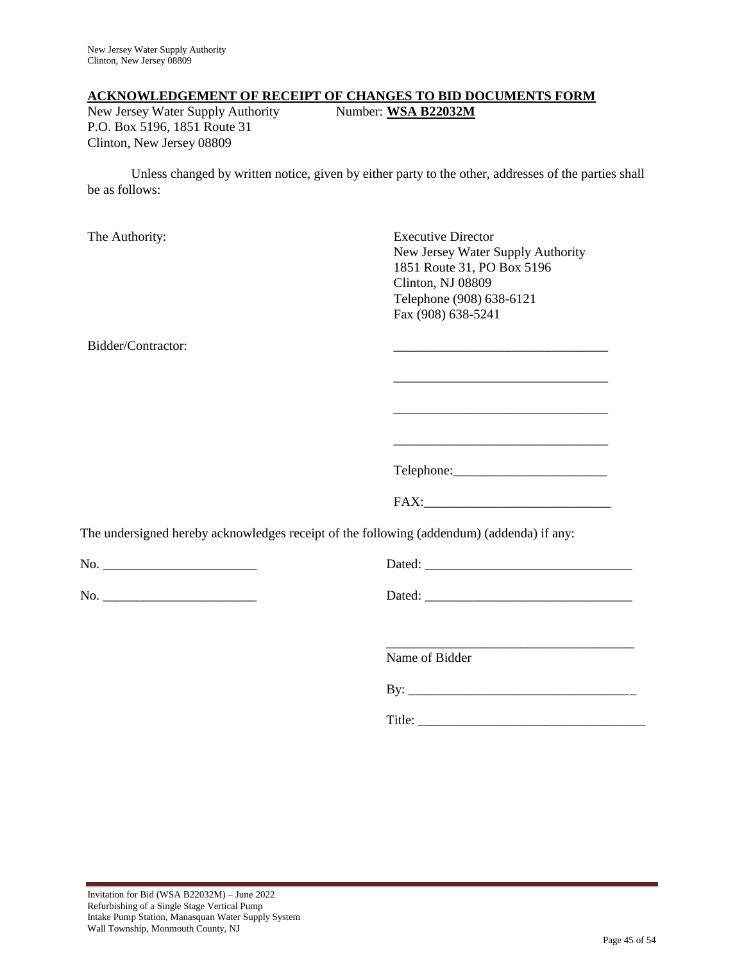#### **ACKNOWLEDGEMENT OF RECEIPT OF CHANGES TO BID DOCUMENTS FORM**

New Jersey Water Supply Authority Number: WSA B22032M P.O. Box 5196, 1851 Route 31 Clinton, New Jersey 08809

Unless changed by written notice, given by either party to the other, addresses of the parties shall be as follows:

The Authority: Executive Director New Jersey Water Supply Authority 1851 Route 31, PO Box 5196 Clinton, NJ 08809 Telephone (908) 638-6121 Fax (908) 638-5241 Bidder/Contractor: \_\_\_\_\_\_\_\_\_\_\_\_\_\_\_\_\_\_\_\_\_\_\_\_\_\_\_\_\_\_\_\_ \_\_\_\_\_\_\_\_\_\_\_\_\_\_\_\_\_\_\_\_\_\_\_\_\_\_\_\_\_\_\_\_ \_\_\_\_\_\_\_\_\_\_\_\_\_\_\_\_\_\_\_\_\_\_\_\_\_\_\_\_\_\_\_\_ Telephone: FAX:\_\_\_\_\_\_\_\_\_\_\_\_\_\_\_\_\_\_\_\_\_\_\_\_\_\_\_\_ The undersigned hereby acknowledges receipt of the following (addendum) (addenda) if any: No. \_\_\_\_\_\_\_\_\_\_\_\_\_\_\_\_\_\_\_\_\_\_\_ Dated: \_\_\_\_\_\_\_\_\_\_\_\_\_\_\_\_\_\_\_\_\_\_\_\_\_\_\_\_\_\_\_ No. \_\_\_\_\_\_\_\_\_\_\_\_\_\_\_\_\_\_\_\_\_\_\_ Dated: \_\_\_\_\_\_\_\_\_\_\_\_\_\_\_\_\_\_\_\_\_\_\_\_\_\_\_\_\_\_\_ \_\_\_\_\_\_\_\_\_\_\_\_\_\_\_\_\_\_\_\_\_\_\_\_\_\_\_\_\_\_\_\_\_\_\_\_\_ Name of Bidder By:  $\Box$ Title: \_\_\_\_\_\_\_\_\_\_\_\_\_\_\_\_\_\_\_\_\_\_\_\_\_\_\_\_\_\_\_\_\_\_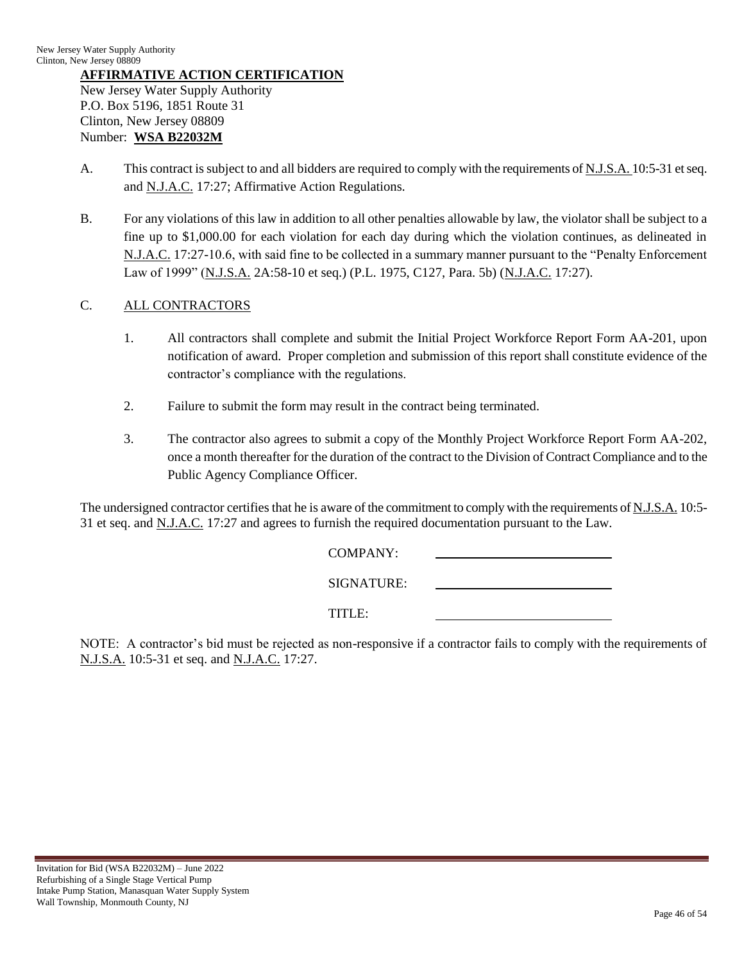## **AFFIRMATIVE ACTION CERTIFICATION**

New Jersey Water Supply Authority P.O. Box 5196, 1851 Route 31 Clinton, New Jersey 08809 Number: **WSA B22032M**

- A. This contract is subject to and all bidders are required to comply with the requirements of N.J.S.A. 10:5-31 et seq. and N.J.A.C. 17:27; Affirmative Action Regulations.
- B. For any violations of this law in addition to all other penalties allowable by law, the violator shall be subject to a fine up to \$1,000.00 for each violation for each day during which the violation continues, as delineated in N.J.A.C. 17:27-10.6, with said fine to be collected in a summary manner pursuant to the "Penalty Enforcement Law of 1999" (N.J.S.A. 2A:58-10 et seq.) (P.L. 1975, C127, Para. 5b) (N.J.A.C. 17:27).

# C. ALL CONTRACTORS

- 1. All contractors shall complete and submit the Initial Project Workforce Report Form AA-201, upon notification of award. Proper completion and submission of this report shall constitute evidence of the contractor"s compliance with the regulations.
- 2. Failure to submit the form may result in the contract being terminated.
- 3. The contractor also agrees to submit a copy of the Monthly Project Workforce Report Form AA-202, once a month thereafter for the duration of the contract to the Division of Contract Compliance and to the Public Agency Compliance Officer.

The undersigned contractor certifies that he is aware of the commitment to comply with the requirements of N.J.S.A. 10:5- 31 et seq. and N.J.A.C. 17:27 and agrees to furnish the required documentation pursuant to the Law.

| COMPANY:   |
|------------|
| SIGNATURE: |
| TITLE:     |

NOTE: A contractor"s bid must be rejected as non-responsive if a contractor fails to comply with the requirements of N.J.S.A. 10:5-31 et seq. and N.J.A.C. 17:27.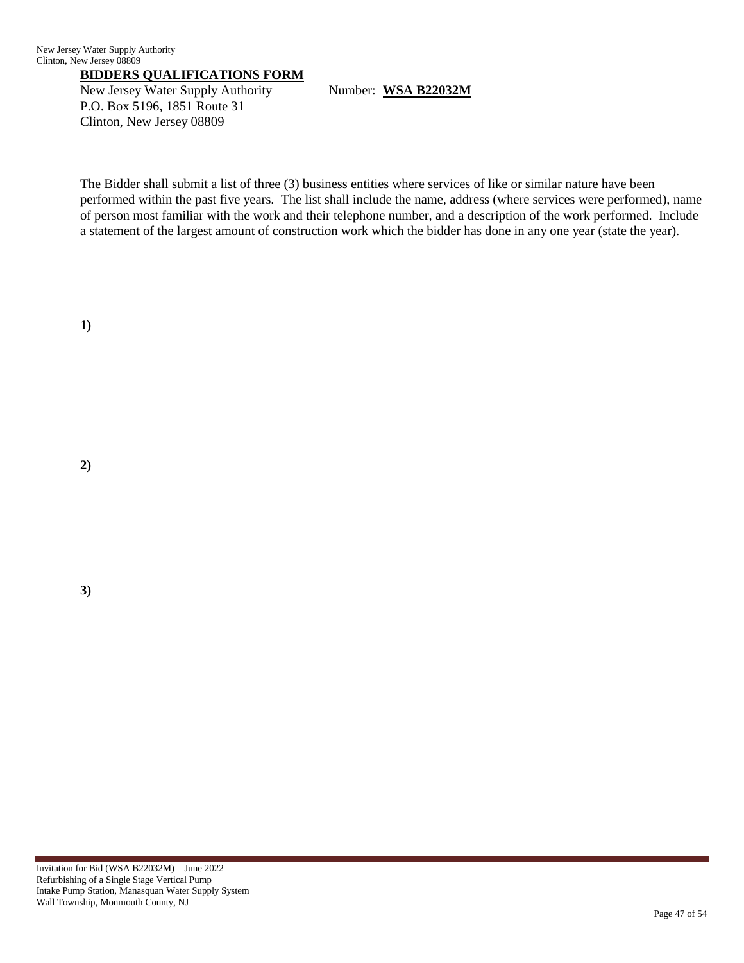## **BIDDERS QUALIFICATIONS FORM**

New Jersey Water Supply Authority Number: WSA B22032M P.O. Box 5196, 1851 Route 31 Clinton, New Jersey 08809

The Bidder shall submit a list of three (3) business entities where services of like or similar nature have been performed within the past five years. The list shall include the name, address (where services were performed), name of person most familiar with the work and their telephone number, and a description of the work performed. Include a statement of the largest amount of construction work which the bidder has done in any one year (state the year).

**1)**

**2)**

**3)**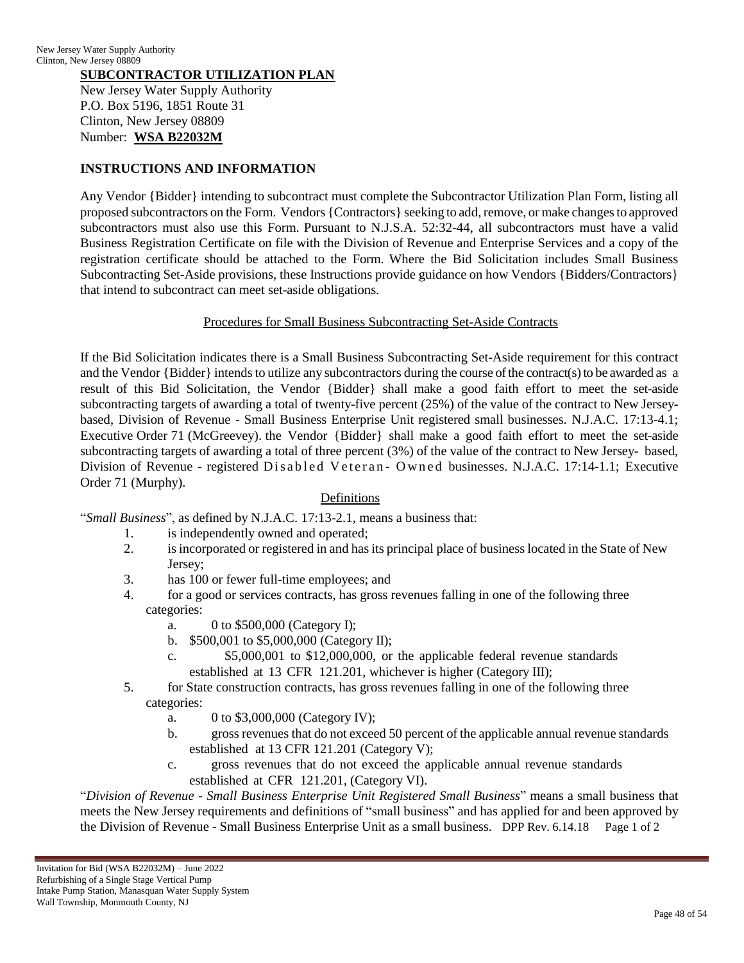## **SUBCONTRACTOR UTILIZATION PLAN**

New Jersey Water Supply Authority P.O. Box 5196, 1851 Route 31 Clinton, New Jersey 08809 Number: **WSA B22032M**

## **INSTRUCTIONS AND INFORMATION**

Any Vendor {Bidder} intending to subcontract must complete the Subcontractor Utilization Plan Form, listing all proposed subcontractors on the Form. Vendors {Contractors} seeking to add, remove, or make changesto approved subcontractors must also use this Form. Pursuant to N.J.S.A. 52:32-44, all subcontractors must have a valid Business Registration Certificate on file with the Division of Revenue and Enterprise Services and a copy of the registration certificate should be attached to the Form. Where the Bid Solicitation includes Small Business Subcontracting Set-Aside provisions, these Instructions provide guidance on how Vendors {Bidders/Contractors} that intend to subcontract can meet set-aside obligations.

## Procedures for Small Business Subcontracting Set-Aside Contracts

If the Bid Solicitation indicates there is a Small Business Subcontracting Set-Aside requirement for this contract and the Vendor  ${Bidder}$  intends to utilize any subcontractors during the course of the contract(s) to be awarded as a result of this Bid Solicitation, the Vendor {Bidder} shall make a good faith effort to meet the set-aside subcontracting targets of awarding a total of twenty-five percent (25%) of the value of the contract to New Jerseybased, Division of Revenue - Small Business Enterprise Unit registered small businesses. N.J.A.C. 17:13-4.1; Executive Order 71 (McGreevey). the Vendor {Bidder} shall make a good faith effort to meet the set-aside subcontracting targets of awarding a total of three percent (3%) of the value of the contract to New Jersey- based, Division of Revenue - registered Disabled Veteran - Owned businesses. N.J.A.C. 17:14-1.1; Executive Order 71 (Murphy).

## **Definitions**

"*Small Business*", as defined by N.J.A.C. 17:13-2.1, means a business that:

- 1. is independently owned and operated;
- 2. is incorporated or registered in and has its principal place of business located in the State of New Jersey;
- 3. has 100 or fewer full-time employees; and
- 4. for a good or services contracts, has gross revenues falling in one of the following three categories:
	- a. 0 to \$500,000 (Category I);
	- b. \$500,001 to \$5,000,000 (Category II);
	- c. \$5,000,001 to \$12,000,000, or the applicable federal revenue standards established at 13 CFR 121.201, whichever is higher (Category III);
- 5. for State construction contracts, has gross revenues falling in one of the following three categories:
	- a. 0 to \$3,000,000 (Category IV);
	- b. gross revenues that do not exceed 50 percent of the applicable annual revenue standards established at 13 CFR 121.201 (Category V);
	- c. gross revenues that do not exceed the applicable annual revenue standards established at CFR 121.201, (Category VI).

"*Division of Revenue - Small Business Enterprise Unit Registered Small Business*" means a small business that meets the New Jersey requirements and definitions of "small business" and has applied for and been approved by the Division of Revenue - Small Business Enterprise Unit as a small business. DPP Rev. 6.14.18 Page 1 of 2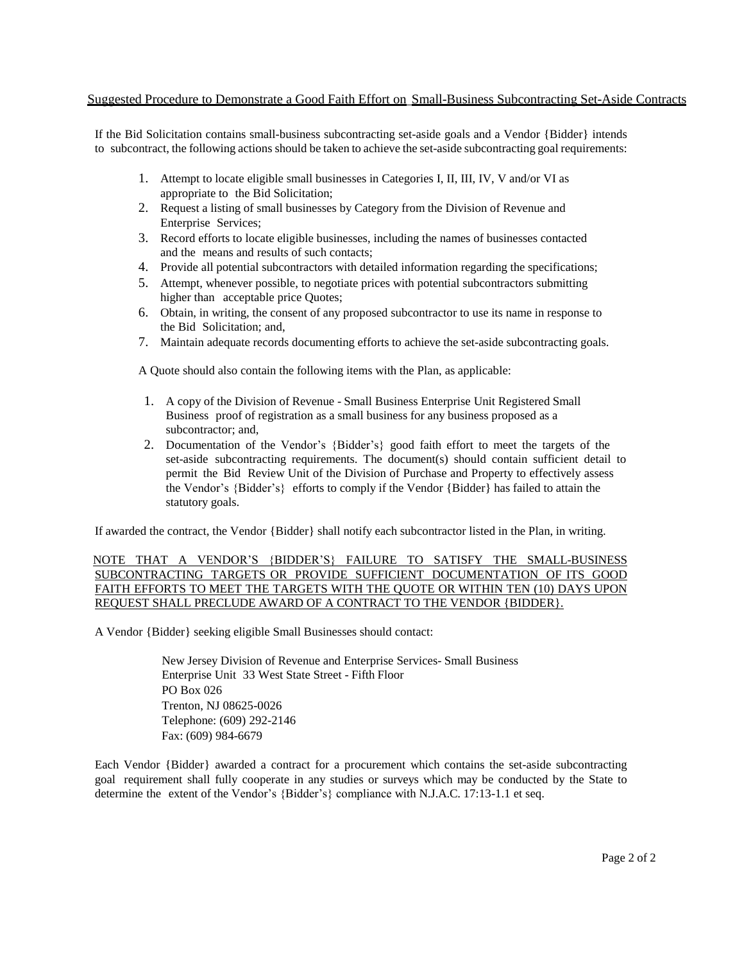#### Suggested Procedure to Demonstrate a Good Faith Effort on Small-Business Subcontracting Set-Aside Contracts

If the Bid Solicitation contains small-business subcontracting set-aside goals and a Vendor {Bidder} intends to subcontract, the following actions should be taken to achieve the set-aside subcontracting goal requirements:

- 1. Attempt to locate eligible small businesses in Categories I, II, III, IV, V and/or VI as appropriate to the Bid Solicitation;
- 2. Request a listing of small businesses by Category from the Division of Revenue and Enterprise Services;
- 3. Record efforts to locate eligible businesses, including the names of businesses contacted and the means and results of such contacts;
- 4. Provide all potential subcontractors with detailed information regarding the specifications;
- 5. Attempt, whenever possible, to negotiate prices with potential subcontractors submitting higher than acceptable price Quotes;
- 6. Obtain, in writing, the consent of any proposed subcontractor to use its name in response to the Bid Solicitation; and,
- 7. Maintain adequate records documenting efforts to achieve the set-aside subcontracting goals.

A Quote should also contain the following items with the Plan, as applicable:

- 1. A copy of the Division of Revenue Small Business Enterprise Unit Registered Small Business proof of registration as a small business for any business proposed as a subcontractor; and,
- 2. Documentation of the Vendor"s {Bidder"s} good faith effort to meet the targets of the set-aside subcontracting requirements. The document(s) should contain sufficient detail to permit the Bid Review Unit of the Division of Purchase and Property to effectively assess the Vendor"s {Bidder"s} efforts to comply if the Vendor {Bidder} has failed to attain the statutory goals.

If awarded the contract, the Vendor {Bidder} shall notify each subcontractor listed in the Plan, in writing.

#### NOTE THAT A VENDOR"S {BIDDER"S} FAILURE TO SATISFY THE SMALL-BUSINESS SUBCONTRACTING TARGETS OR PROVIDE SUFFICIENT DOCUMENTATION OF ITS GOOD FAITH EFFORTS TO MEET THE TARGETS WITH THE QUOTE OR WITHIN TEN (10) DAYS UPON REQUEST SHALL PRECLUDE AWARD OF A CONTRACT TO THE VENDOR {BIDDER}.

A Vendor {Bidder} seeking eligible Small Businesses should contact:

New Jersey Division of Revenue and Enterprise Services- Small Business Enterprise Unit 33 West State Street - Fifth Floor PO Box 026 Trenton, NJ 08625-0026 Telephone: (609) 292-2146 Fax: (609) 984-6679

Each Vendor {Bidder} awarded a contract for a procurement which contains the set-aside subcontracting goal requirement shall fully cooperate in any studies or surveys which may be conducted by the State to determine the extent of the Vendor's {Bidder's} compliance with N.J.A.C. 17:13-1.1 et seq.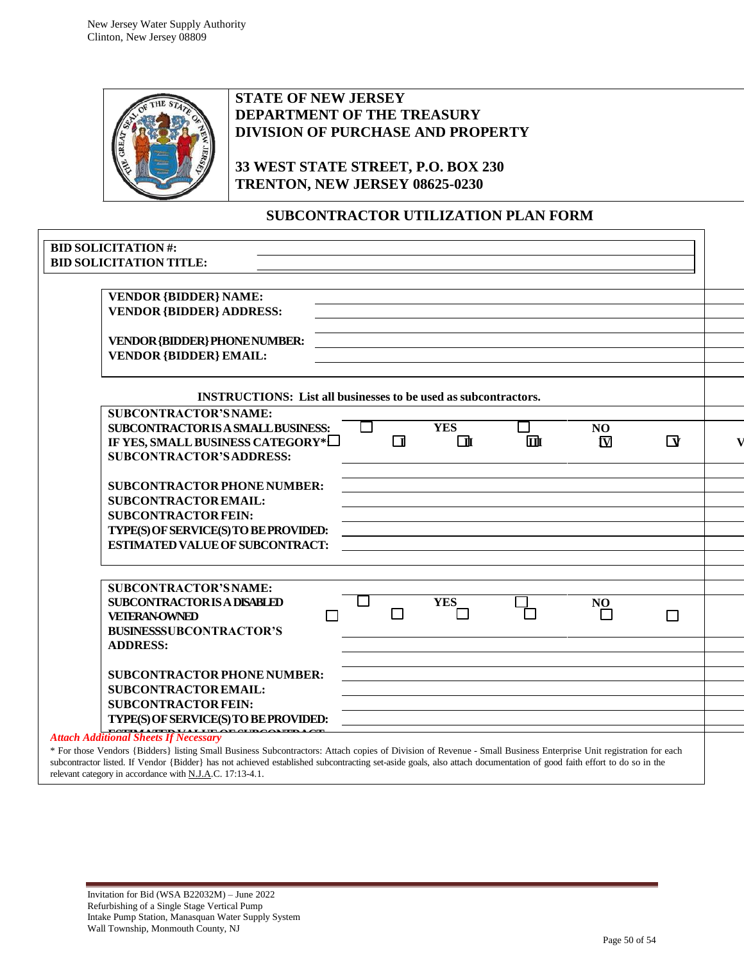

# **STATE OF NEW JERSEY DEPARTMENT OF THE TREASURY DIVISION OF PURCHASE AND PROPERTY**

**33 WEST STATE STREET, P.O. BOX 230 TRENTON, NEW JERSEY 08625-0230**

# **SUBCONTRACTOR UTILIZATION PLAN FORM**

| <b>VENDOR {BIDDER} NAME:</b>                                           |        |            |   |                         |                  |
|------------------------------------------------------------------------|--------|------------|---|-------------------------|------------------|
| <b>VENDOR {BIDDER} ADDRESS:</b>                                        |        |            |   |                         |                  |
| <b>VENDOR {BIDDER} PHONE NUMBER:</b>                                   |        |            |   |                         |                  |
| <b>VENDOR {BIDDER} EMAIL:</b>                                          |        |            |   |                         |                  |
| <b>INSTRUCTIONS:</b> List all businesses to be used as subcontractors. |        |            |   |                         |                  |
| <b>SUBCONTRACTOR'S NAME:</b>                                           |        |            |   |                         |                  |
| <b>SUBCONTRACTORISA SMALL BUSINESS:</b>                                | $\Box$ | <b>YES</b> |   | NO.                     |                  |
| IF YES, SMALL BUSINESS CATEGORY*                                       | $\Box$ | $\Box$     | 血 | $\overline{\mathbf{N}}$ | $\mathbf \Delta$ |
| <b>SUBCONTRACTOR'S ADDRESS:</b>                                        |        |            |   |                         |                  |
| <b>SUBCONTRACTOR PHONE NUMBER:</b>                                     |        |            |   |                         |                  |
| <b>SUBCONTRACTOR EMAIL:</b>                                            |        |            |   |                         |                  |
| <b>SUBCONTRACTOR FEIN:</b>                                             |        |            |   |                         |                  |
| TYPE(S) OF SERVICE(S) TO BE PROVIDED:                                  |        |            |   |                         |                  |
| <b>ESTIMATED VALUE OF SUBCONTRACT:</b>                                 |        |            |   |                         |                  |
| <b>SUBCONTRACTOR'S NAME:</b>                                           |        |            |   |                         |                  |
| <b>SUBCONTRACTORIS A DISABLED</b>                                      |        | <b>YES</b> |   | NO                      |                  |
| <b>VETERAN-OWNED</b>                                                   | П      |            |   |                         |                  |
| <b>BUSINESSSUBCONTRACTOR'S</b>                                         |        |            |   |                         |                  |
| <b>ADDRESS:</b>                                                        |        |            |   |                         |                  |
|                                                                        |        |            |   |                         |                  |
| <b>SUBCONTRACTOR PHONE NUMBER:</b>                                     |        |            |   |                         |                  |
| <b>SUBCONTRACTOR EMAIL:</b>                                            |        |            |   |                         |                  |
| <b>SUBCONTRACTOR FEIN:</b>                                             |        |            |   |                         |                  |
| TYPE(S) OF SERVICE(S) TO BE PROVIDED:                                  |        |            |   |                         |                  |

relevant category in accordance with N.J.A.C. 17:13-4.1.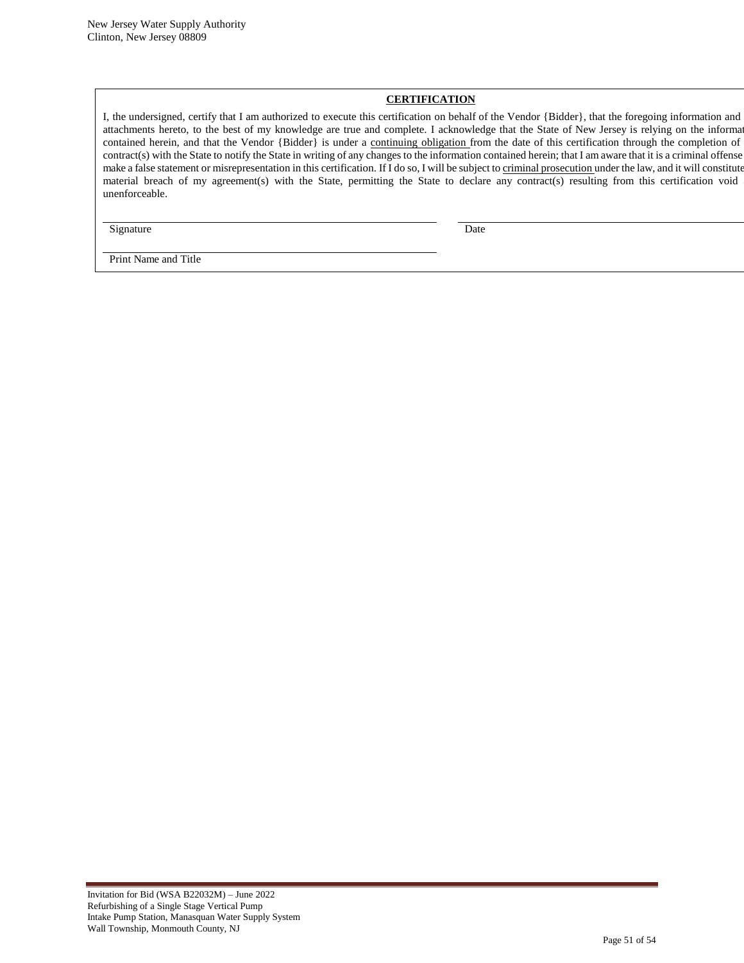#### **CERTIFICATION**

I, the undersigned, certify that I am authorized to execute this certification on behalf of the Vendor {Bidder}, that the foregoing information and any attachments hereto, to the best of my knowledge are true and complete. I acknowledge that the State of New Jersey is relying on the informa contained herein, and that the Vendor {Bidder} is under a continuing obligation from the date of this certification through the completion of contract(s) with the State to notify the State in writing of any changes to the information contained herein; that I am aware that it is a criminal offense make a false statement or misrepresentation in this certification. If I do so, I will be subject to criminal prosecution under the law, and it will constitute material breach of my agreement(s) with the State, permitting the State to declare any contract(s) resulting from this certification void unenforceable.

Signature Date

Print Name and Title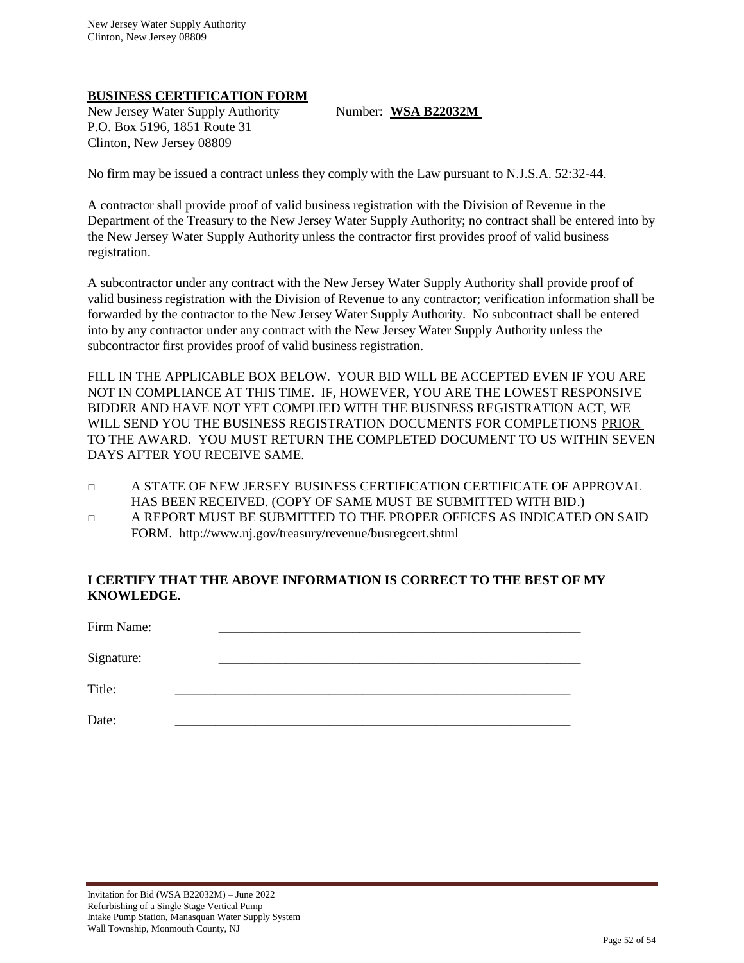## **BUSINESS CERTIFICATION FORM**

New Jersey Water Supply Authority Number: WSA B22032M P.O. Box 5196, 1851 Route 31 Clinton, New Jersey 08809

No firm may be issued a contract unless they comply with the Law pursuant to N.J.S.A. 52:32-44.

A contractor shall provide proof of valid business registration with the Division of Revenue in the Department of the Treasury to the New Jersey Water Supply Authority; no contract shall be entered into by the New Jersey Water Supply Authority unless the contractor first provides proof of valid business registration.

A subcontractor under any contract with the New Jersey Water Supply Authority shall provide proof of valid business registration with the Division of Revenue to any contractor; verification information shall be forwarded by the contractor to the New Jersey Water Supply Authority. No subcontract shall be entered into by any contractor under any contract with the New Jersey Water Supply Authority unless the subcontractor first provides proof of valid business registration.

FILL IN THE APPLICABLE BOX BELOW. YOUR BID WILL BE ACCEPTED EVEN IF YOU ARE NOT IN COMPLIANCE AT THIS TIME. IF, HOWEVER, YOU ARE THE LOWEST RESPONSIVE BIDDER AND HAVE NOT YET COMPLIED WITH THE BUSINESS REGISTRATION ACT, WE WILL SEND YOU THE BUSINESS REGISTRATION DOCUMENTS FOR COMPLETIONS PRIOR TO THE AWARD. YOU MUST RETURN THE COMPLETED DOCUMENT TO US WITHIN SEVEN DAYS AFTER YOU RECEIVE SAME.

- □ A STATE OF NEW JERSEY BUSINESS CERTIFICATION CERTIFICATE OF APPROVAL HAS BEEN RECEIVED. (COPY OF SAME MUST BE SUBMITTED WITH BID.)
- □ A REPORT MUST BE SUBMITTED TO THE PROPER OFFICES AS INDICATED ON SAID FORM. http://www.nj.gov/treasury/revenue/busregcert.shtml

# **I CERTIFY THAT THE ABOVE INFORMATION IS CORRECT TO THE BEST OF MY KNOWLEDGE.**

| Firm Name: |  |  |
|------------|--|--|
| Signature: |  |  |
| Title:     |  |  |

Date: \_\_\_\_\_\_\_\_\_\_\_\_\_\_\_\_\_\_\_\_\_\_\_\_\_\_\_\_\_\_\_\_\_\_\_\_\_\_\_\_\_\_\_\_\_\_\_\_\_\_\_\_\_\_\_\_\_\_\_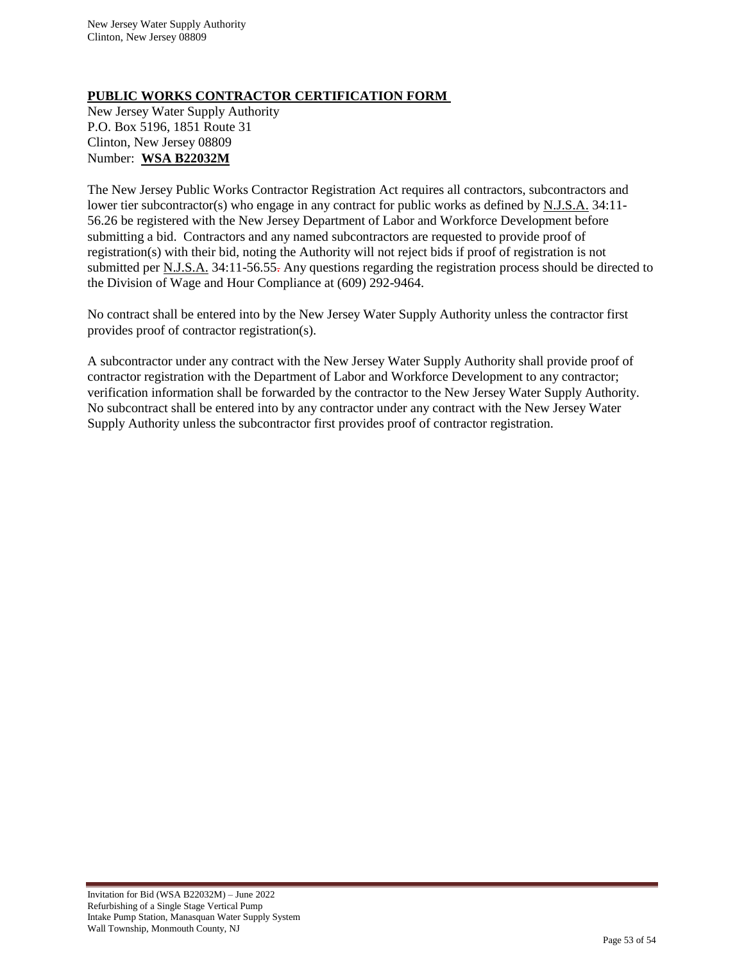## **PUBLIC WORKS CONTRACTOR CERTIFICATION FORM**

New Jersey Water Supply Authority P.O. Box 5196, 1851 Route 31 Clinton, New Jersey 08809 Number: **WSA B22032M**

The New Jersey Public Works Contractor Registration Act requires all contractors, subcontractors and lower tier subcontractor(s) who engage in any contract for public works as defined by N.J.S.A. 34:11-56.26 be registered with the New Jersey Department of Labor and Workforce Development before submitting a bid. Contractors and any named subcontractors are requested to provide proof of registration(s) with their bid, noting the Authority will not reject bids if proof of registration is not submitted per <u>N.J.S.A.</u> 34:11-56.55. Any questions regarding the registration process should be directed to the Division of Wage and Hour Compliance at (609) 292-9464.

No contract shall be entered into by the New Jersey Water Supply Authority unless the contractor first provides proof of contractor registration(s).

A subcontractor under any contract with the New Jersey Water Supply Authority shall provide proof of contractor registration with the Department of Labor and Workforce Development to any contractor; verification information shall be forwarded by the contractor to the New Jersey Water Supply Authority. No subcontract shall be entered into by any contractor under any contract with the New Jersey Water Supply Authority unless the subcontractor first provides proof of contractor registration.